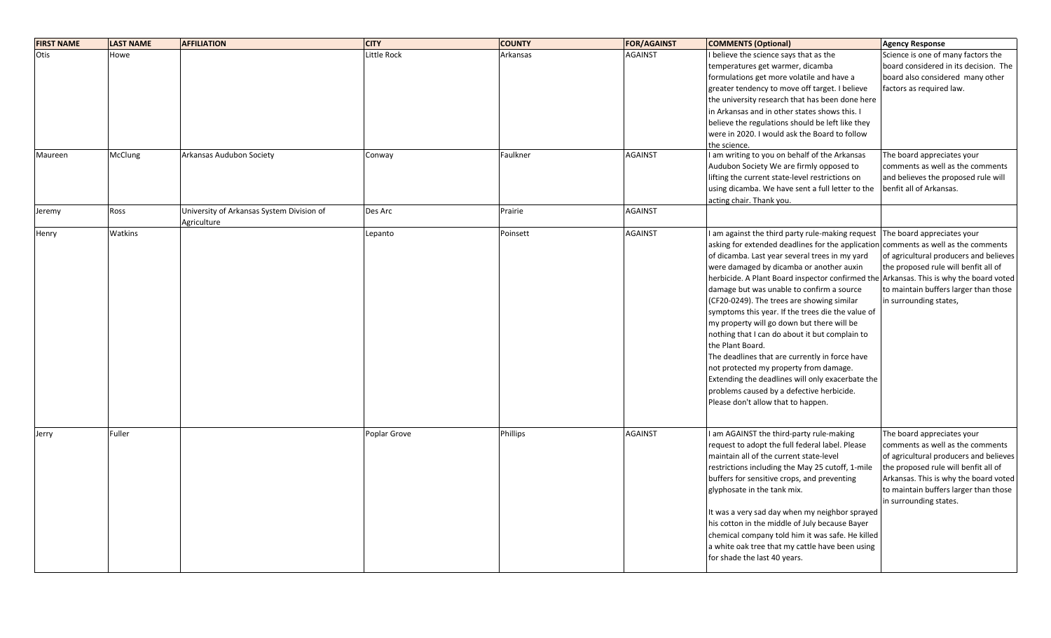| <b>FIRST NAME</b> | <b>LAST NAME</b> | <b>AFFILIATION</b>                        | <b>CITY</b>           | <b>COUNTY</b>        | <b>FOR/AGAINST</b>               | <b>COMMENTS (Optional)</b>                                                                                                                                                                                                                                                                                                                                                                                                                                                                                                                                                                                                                                                                                                                                                                           | <b>Agency Response</b>                                                                                                                                                                                                                                       |
|-------------------|------------------|-------------------------------------------|-----------------------|----------------------|----------------------------------|------------------------------------------------------------------------------------------------------------------------------------------------------------------------------------------------------------------------------------------------------------------------------------------------------------------------------------------------------------------------------------------------------------------------------------------------------------------------------------------------------------------------------------------------------------------------------------------------------------------------------------------------------------------------------------------------------------------------------------------------------------------------------------------------------|--------------------------------------------------------------------------------------------------------------------------------------------------------------------------------------------------------------------------------------------------------------|
| Otis<br>Maureen   | Howe<br>McClung  | Arkansas Audubon Society                  | Little Rock<br>Conway | Arkansas<br>Faulkner | <b>AGAINST</b><br><b>AGAINST</b> | I believe the science says that as the<br>temperatures get warmer, dicamba<br>formulations get more volatile and have a<br>greater tendency to move off target. I believe<br>the university research that has been done here<br>in Arkansas and in other states shows this. I<br>believe the regulations should be left like they<br>were in 2020. I would ask the Board to follow<br>the science.<br>I am writing to you on behalf of the Arkansas<br>Audubon Society We are firmly opposed to                                                                                                                                                                                                                                                                                                      | Science is one of many factors the<br>board considered in its decision. The<br>board also considered many other<br>factors as required law.<br>The board appreciates your<br>comments as well as the comments                                                |
| Jeremy            | Ross             | University of Arkansas System Division of | Des Arc               | Prairie              | <b>AGAINST</b>                   | lifting the current state-level restrictions on<br>using dicamba. We have sent a full letter to the<br>acting chair. Thank you.                                                                                                                                                                                                                                                                                                                                                                                                                                                                                                                                                                                                                                                                      | and believes the proposed rule will<br>benfit all of Arkansas.                                                                                                                                                                                               |
| Henry             | Watkins          | Agriculture                               | Lepanto               | Poinsett             | <b>AGAINST</b>                   | I am against the third party rule-making request<br>asking for extended deadlines for the application<br>of dicamba. Last year several trees in my yard<br>were damaged by dicamba or another auxin<br>herbicide. A Plant Board inspector confirmed the Arkansas. This is why the board voted<br>damage but was unable to confirm a source<br>(CF20-0249). The trees are showing similar<br>symptoms this year. If the trees die the value of<br>my property will go down but there will be<br>nothing that I can do about it but complain to<br>the Plant Board.<br>The deadlines that are currently in force have<br>not protected my property from damage.<br>Extending the deadlines will only exacerbate the<br>problems caused by a defective herbicide.<br>Please don't allow that to happen. | The board appreciates your<br>comments as well as the comments<br>of agricultural producers and believes<br>the proposed rule will benfit all of<br>to maintain buffers larger than those<br>in surrounding states,                                          |
| Jerry             | Fuller           |                                           | Poplar Grove          | Phillips             | <b>AGAINST</b>                   | I am AGAINST the third-party rule-making<br>request to adopt the full federal label. Please<br>maintain all of the current state-level<br>restrictions including the May 25 cutoff, 1-mile<br>buffers for sensitive crops, and preventing<br>glyphosate in the tank mix.<br>It was a very sad day when my neighbor sprayed<br>his cotton in the middle of July because Bayer<br>chemical company told him it was safe. He killed<br>a white oak tree that my cattle have been using<br>for shade the last 40 years.                                                                                                                                                                                                                                                                                  | The board appreciates your<br>comments as well as the comments<br>of agricultural producers and believes<br>the proposed rule will benfit all of<br>Arkansas. This is why the board voted<br>to maintain buffers larger than those<br>in surrounding states. |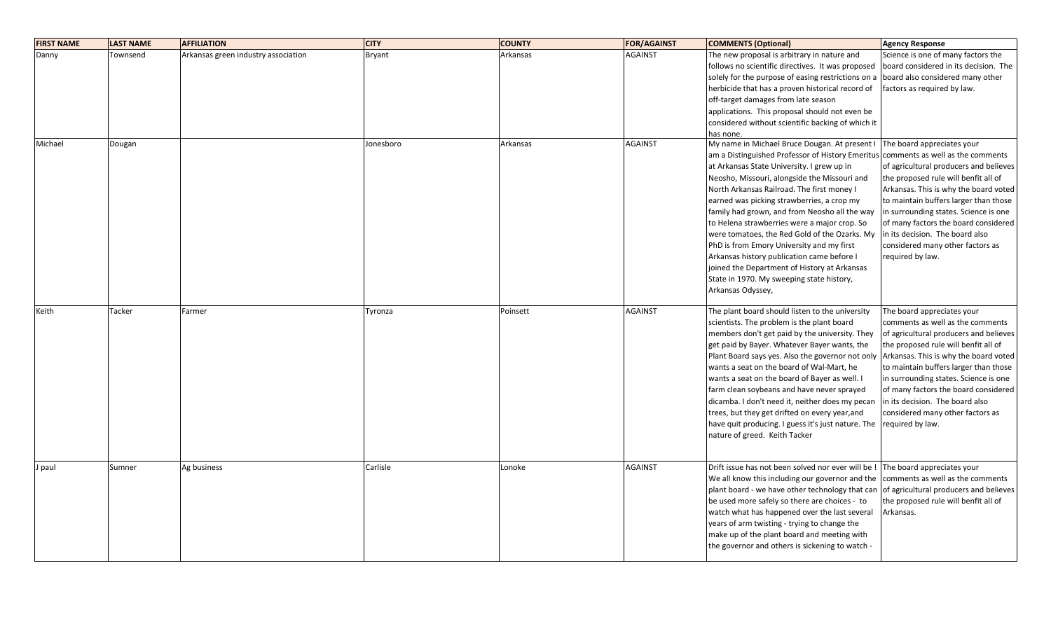| <b>FIRST NAME</b> | <b>LAST NAME</b> | <b>AFFILIATION</b>                  | <b>CITY</b> | <b>COUNTY</b> | <b>FOR/AGAINST</b> | <b>COMMENTS (Optional)</b>                                                        | <b>Agency Response</b>                 |
|-------------------|------------------|-------------------------------------|-------------|---------------|--------------------|-----------------------------------------------------------------------------------|----------------------------------------|
| Danny             | Townsend         | Arkansas green industry association | Bryant      | Arkansas      | <b>AGAINST</b>     | The new proposal is arbitrary in nature and                                       | Science is one of many factors the     |
|                   |                  |                                     |             |               |                    | follows no scientific directives. It was proposed                                 | board considered in its decision. The  |
|                   |                  |                                     |             |               |                    | solely for the purpose of easing restrictions on a                                | board also considered many other       |
|                   |                  |                                     |             |               |                    | herbicide that has a proven historical record of                                  | factors as required by law.            |
|                   |                  |                                     |             |               |                    | off-target damages from late season                                               |                                        |
|                   |                  |                                     |             |               |                    | applications. This proposal should not even be                                    |                                        |
|                   |                  |                                     |             |               |                    | considered without scientific backing of which it                                 |                                        |
|                   |                  |                                     |             |               |                    | has none.                                                                         |                                        |
| Michael           | Dougan           |                                     | Jonesboro   | Arkansas      | <b>AGAINST</b>     | My name in Michael Bruce Dougan. At present I                                     | The board appreciates your             |
|                   |                  |                                     |             |               |                    | am a Distinguished Professor of History Emeritus comments as well as the comments |                                        |
|                   |                  |                                     |             |               |                    | at Arkansas State University. I grew up in                                        | of agricultural producers and believes |
|                   |                  |                                     |             |               |                    | Neosho, Missouri, alongside the Missouri and                                      | the proposed rule will benfit all of   |
|                   |                  |                                     |             |               |                    | North Arkansas Railroad. The first money I                                        | Arkansas. This is why the board voted  |
|                   |                  |                                     |             |               |                    | earned was picking strawberries, a crop my                                        | to maintain buffers larger than those  |
|                   |                  |                                     |             |               |                    | family had grown, and from Neosho all the way                                     | in surrounding states. Science is one  |
|                   |                  |                                     |             |               |                    | to Helena strawberries were a major crop. So                                      | of many factors the board considered   |
|                   |                  |                                     |             |               |                    | were tomatoes, the Red Gold of the Ozarks. My                                     | in its decision. The board also        |
|                   |                  |                                     |             |               |                    | PhD is from Emory University and my first                                         | considered many other factors as       |
|                   |                  |                                     |             |               |                    | Arkansas history publication came before I                                        | required by law.                       |
|                   |                  |                                     |             |               |                    | joined the Department of History at Arkansas                                      |                                        |
|                   |                  |                                     |             |               |                    | State in 1970. My sweeping state history,                                         |                                        |
|                   |                  |                                     |             |               |                    | Arkansas Odyssey,                                                                 |                                        |
|                   |                  |                                     |             |               |                    |                                                                                   |                                        |
| Keith             | Tacker           | Farmer                              | Tyronza     | Poinsett      | <b>AGAINST</b>     | The plant board should listen to the university                                   | The board appreciates your             |
|                   |                  |                                     |             |               |                    | scientists. The problem is the plant board                                        | comments as well as the comments       |
|                   |                  |                                     |             |               |                    | members don't get paid by the university. They                                    | of agricultural producers and believes |
|                   |                  |                                     |             |               |                    | get paid by Bayer. Whatever Bayer wants, the                                      | the proposed rule will benfit all of   |
|                   |                  |                                     |             |               |                    | Plant Board says yes. Also the governor not only                                  | Arkansas. This is why the board voted  |
|                   |                  |                                     |             |               |                    | wants a seat on the board of Wal-Mart, he                                         | to maintain buffers larger than those  |
|                   |                  |                                     |             |               |                    | wants a seat on the board of Bayer as well. I                                     | in surrounding states. Science is one  |
|                   |                  |                                     |             |               |                    | farm clean soybeans and have never sprayed                                        | of many factors the board considered   |
|                   |                  |                                     |             |               |                    | dicamba. I don't need it, neither does my pecan                                   | in its decision. The board also        |
|                   |                  |                                     |             |               |                    | trees, but they get drifted on every year, and                                    | considered many other factors as       |
|                   |                  |                                     |             |               |                    | have quit producing. I guess it's just nature. The                                | required by law.                       |
|                   |                  |                                     |             |               |                    | nature of greed. Keith Tacker                                                     |                                        |
|                   |                  |                                     |             |               |                    |                                                                                   |                                        |
|                   |                  |                                     |             |               |                    |                                                                                   |                                        |
| J paul            | Sumner           | Ag business                         | Carlisle    | Lonoke        | <b>AGAINST</b>     | Drift issue has not been solved nor ever will be !                                | The board appreciates your             |
|                   |                  |                                     |             |               |                    | We all know this including our governor and the                                   | comments as well as the comments       |
|                   |                  |                                     |             |               |                    | plant board - we have other technology that can                                   | of agricultural producers and believes |
|                   |                  |                                     |             |               |                    | be used more safely so there are choices - to                                     | the proposed rule will benfit all of   |
|                   |                  |                                     |             |               |                    | watch what has happened over the last several                                     | Arkansas.                              |
|                   |                  |                                     |             |               |                    | years of arm twisting - trying to change the                                      |                                        |
|                   |                  |                                     |             |               |                    | make up of the plant board and meeting with                                       |                                        |
|                   |                  |                                     |             |               |                    | the governor and others is sickening to watch -                                   |                                        |
|                   |                  |                                     |             |               |                    |                                                                                   |                                        |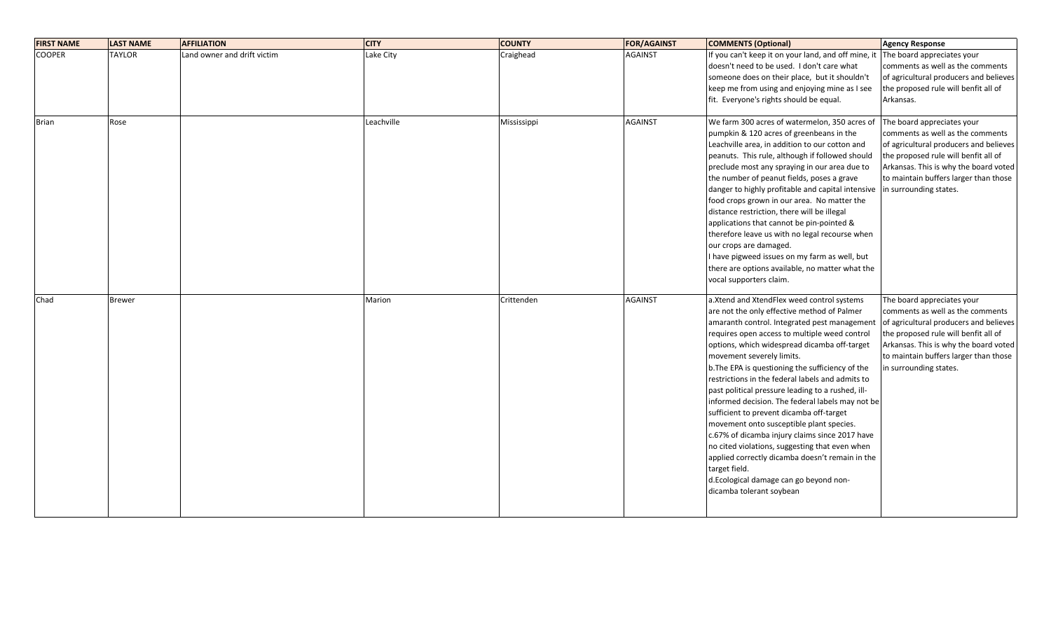| <b>FIRST NAME</b> | <b>LAST NAME</b> | <b>AFFILIATION</b>          | <b>CITY</b> | <b>COUNTY</b> | <b>FOR/AGAINST</b> | <b>COMMENTS (Optional)</b>                                                                                                                                                                                                                                                                                                                                                                                                                                                                                                                                                                                                                                                                                                                                                                                                      | <b>Agency Response</b>                                                                                                                                                                                                                                       |
|-------------------|------------------|-----------------------------|-------------|---------------|--------------------|---------------------------------------------------------------------------------------------------------------------------------------------------------------------------------------------------------------------------------------------------------------------------------------------------------------------------------------------------------------------------------------------------------------------------------------------------------------------------------------------------------------------------------------------------------------------------------------------------------------------------------------------------------------------------------------------------------------------------------------------------------------------------------------------------------------------------------|--------------------------------------------------------------------------------------------------------------------------------------------------------------------------------------------------------------------------------------------------------------|
| <b>COOPER</b>     | <b>TAYLOR</b>    | Land owner and drift victim | Lake City   | Craighead     | <b>AGAINST</b>     | If you can't keep it on your land, and off mine, it<br>doesn't need to be used. I don't care what<br>someone does on their place, but it shouldn't<br>keep me from using and enjoying mine as I see                                                                                                                                                                                                                                                                                                                                                                                                                                                                                                                                                                                                                             | The board appreciates your<br>comments as well as the comments<br>of agricultural producers and believes<br>the proposed rule will benfit all of                                                                                                             |
| <b>Brian</b>      | Rose             |                             | Leachville  | Mississippi   | <b>AGAINST</b>     | fit. Everyone's rights should be equal.<br>We farm 300 acres of watermelon, 350 acres of<br>pumpkin & 120 acres of greenbeans in the<br>Leachville area, in addition to our cotton and<br>peanuts. This rule, although if followed should<br>preclude most any spraying in our area due to<br>the number of peanut fields, poses a grave<br>danger to highly profitable and capital intensive in surrounding states.<br>food crops grown in our area. No matter the<br>distance restriction, there will be illegal<br>applications that cannot be pin-pointed &<br>therefore leave us with no legal recourse when<br>our crops are damaged.<br>I have pigweed issues on my farm as well, but<br>there are options available, no matter what the<br>vocal supporters claim.                                                      | Arkansas.<br>The board appreciates your<br>comments as well as the comments<br>of agricultural producers and believes<br>the proposed rule will benfit all of<br>Arkansas. This is why the board voted<br>to maintain buffers larger than those              |
| Chad              | <b>Brewer</b>    |                             | Marion      | Crittenden    | <b>AGAINST</b>     | a. Xtend and XtendFlex weed control systems<br>are not the only effective method of Palmer<br>amaranth control. Integrated pest management<br>requires open access to multiple weed control<br>options, which widespread dicamba off-target<br>movement severely limits.<br>b. The EPA is questioning the sufficiency of the<br>restrictions in the federal labels and admits to<br>past political pressure leading to a rushed, ill-<br>informed decision. The federal labels may not be<br>sufficient to prevent dicamba off-target<br>movement onto susceptible plant species.<br>c.67% of dicamba injury claims since 2017 have<br>no cited violations, suggesting that even when<br>applied correctly dicamba doesn't remain in the<br>target field.<br>d.Ecological damage can go beyond non-<br>dicamba tolerant soybean | The board appreciates your<br>comments as well as the comments<br>of agricultural producers and believes<br>the proposed rule will benfit all of<br>Arkansas. This is why the board voted<br>to maintain buffers larger than those<br>in surrounding states. |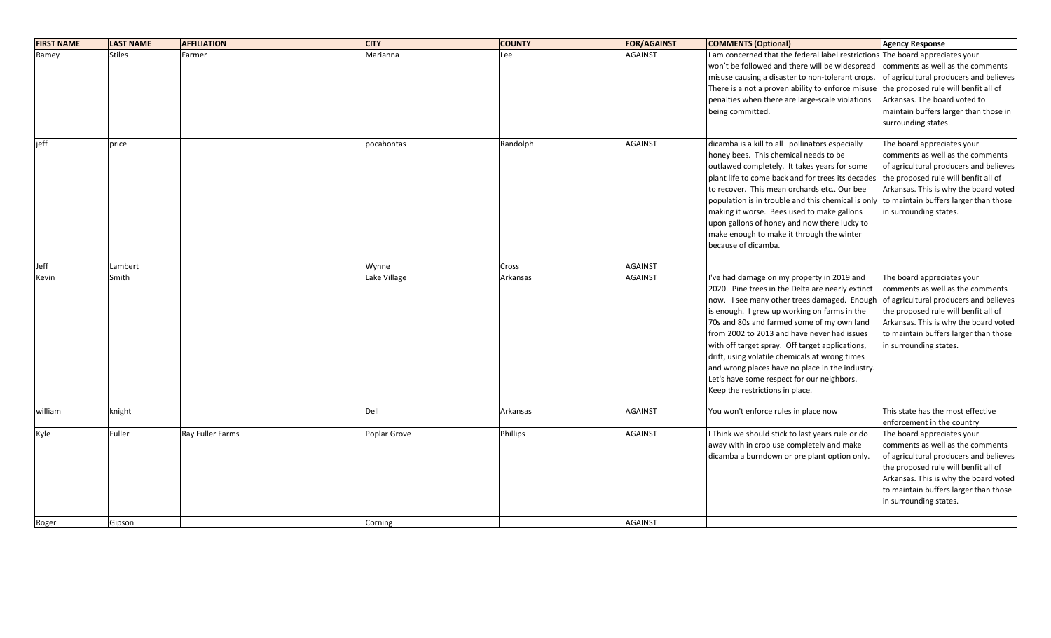| <b>FIRST NAME</b> | <b>LAST NAME</b> | <b>AFFILIATION</b> | <b>CITY</b>  | <b>COUNTY</b> | <b>FOR/AGAINST</b> | <b>COMMENTS (Optional)</b>                                                                                                                                                                                                                                                                                                                                                                                                                                                                                                          | <b>Agency Response</b>                                                                                                                                                                                                                                                                     |
|-------------------|------------------|--------------------|--------------|---------------|--------------------|-------------------------------------------------------------------------------------------------------------------------------------------------------------------------------------------------------------------------------------------------------------------------------------------------------------------------------------------------------------------------------------------------------------------------------------------------------------------------------------------------------------------------------------|--------------------------------------------------------------------------------------------------------------------------------------------------------------------------------------------------------------------------------------------------------------------------------------------|
| Ramey             | <b>Stiles</b>    | Farmer             | Marianna     | Lee           | <b>AGAINST</b>     | I am concerned that the federal label restrictions<br>won't be followed and there will be widespread<br>misuse causing a disaster to non-tolerant crops.<br>There is a not a proven ability to enforce misuse<br>penalties when there are large-scale violations<br>being committed.                                                                                                                                                                                                                                                | The board appreciates your<br>comments as well as the comments<br>of agricultural producers and believes<br>the proposed rule will benfit all of<br>Arkansas. The board voted to<br>maintain buffers larger than those in<br>surrounding states.                                           |
| jeff              | price            |                    | pocahontas   | Randolph      | <b>AGAINST</b>     | dicamba is a kill to all pollinators especially<br>honey bees. This chemical needs to be<br>outlawed completely. It takes years for some<br>plant life to come back and for trees its decades<br>to recover. This mean orchards etc Our bee<br>population is in trouble and this chemical is only<br>making it worse. Bees used to make gallons<br>upon gallons of honey and now there lucky to<br>make enough to make it through the winter<br>because of dicamba.                                                                 | The board appreciates your<br>comments as well as the comments<br>of agricultural producers and believes<br>the proposed rule will benfit all of<br>Arkansas. This is why the board voted<br>to maintain buffers larger than those<br>in surrounding states.                               |
| Jeff              | Lambert          |                    | Wynne        | Cross         | <b>AGAINST</b>     |                                                                                                                                                                                                                                                                                                                                                                                                                                                                                                                                     |                                                                                                                                                                                                                                                                                            |
| Kevin             | Smith            |                    | Lake Village | Arkansas      | <b>AGAINST</b>     | I've had damage on my property in 2019 and<br>2020. Pine trees in the Delta are nearly extinct<br>now. I see many other trees damaged. Enough<br>is enough. I grew up working on farms in the<br>70s and 80s and farmed some of my own land<br>from 2002 to 2013 and have never had issues<br>with off target spray. Off target applications,<br>drift, using volatile chemicals at wrong times<br>and wrong places have no place in the industry.<br>Let's have some respect for our neighbors.<br>Keep the restrictions in place. | The board appreciates your<br>comments as well as the comments<br>of agricultural producers and believes<br>the proposed rule will benfit all of<br>Arkansas. This is why the board voted<br>to maintain buffers larger than those<br>in surrounding states.                               |
| william           | knight           |                    | Dell         | Arkansas      | <b>AGAINST</b>     | You won't enforce rules in place now                                                                                                                                                                                                                                                                                                                                                                                                                                                                                                | This state has the most effective                                                                                                                                                                                                                                                          |
| Kyle              | Fuller           | Ray Fuller Farms   | Poplar Grove | Phillips      | <b>AGAINST</b>     | I Think we should stick to last years rule or do<br>away with in crop use completely and make<br>dicamba a burndown or pre plant option only.                                                                                                                                                                                                                                                                                                                                                                                       | enforcement in the country<br>The board appreciates your<br>comments as well as the comments<br>of agricultural producers and believes<br>the proposed rule will benfit all of<br>Arkansas. This is why the board voted<br>to maintain buffers larger than those<br>in surrounding states. |
| Roger             | Gipson           |                    | Corning      |               | <b>AGAINST</b>     |                                                                                                                                                                                                                                                                                                                                                                                                                                                                                                                                     |                                                                                                                                                                                                                                                                                            |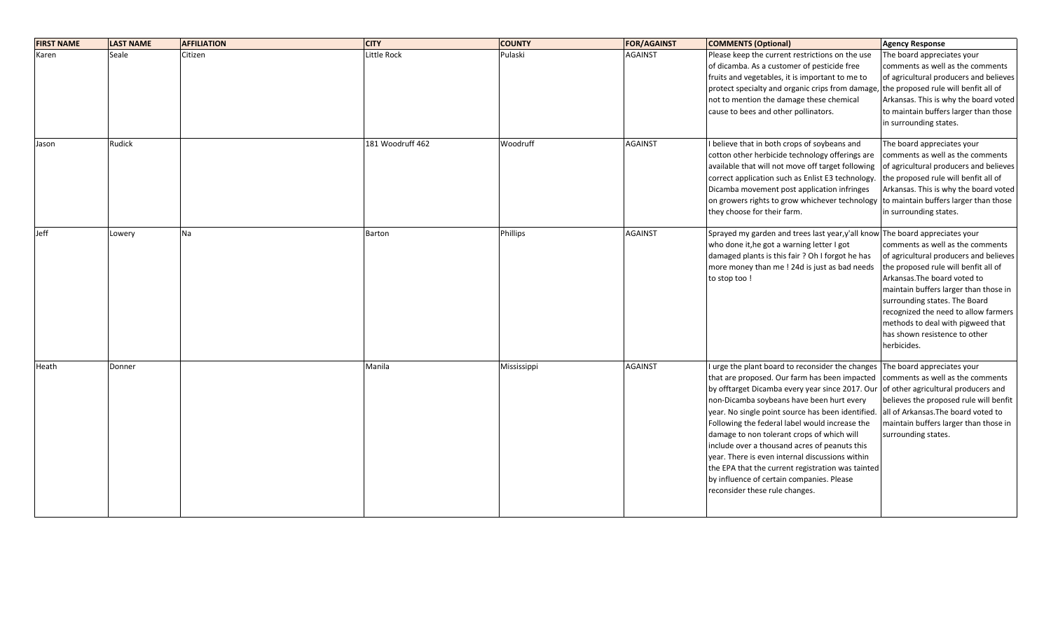| <b>FIRST NAME</b> | <b>LAST NAME</b> | <b>AFFILIATION</b> | <b>CITY</b>      | <b>COUNTY</b>   | <b>FOR/AGAINST</b> | <b>COMMENTS (Optional)</b>                                                   | <b>Agency Response</b>                 |
|-------------------|------------------|--------------------|------------------|-----------------|--------------------|------------------------------------------------------------------------------|----------------------------------------|
| Karen             | Seale            | Citizen            | Little Rock      | Pulaski         | <b>AGAINST</b>     | Please keep the current restrictions on the use                              | The board appreciates your             |
|                   |                  |                    |                  |                 |                    | of dicamba. As a customer of pesticide free                                  | comments as well as the comments       |
|                   |                  |                    |                  |                 |                    | fruits and vegetables, it is important to me to                              | of agricultural producers and believes |
|                   |                  |                    |                  |                 |                    | protect specialty and organic crips from damage,                             | the proposed rule will benfit all of   |
|                   |                  |                    |                  |                 |                    | not to mention the damage these chemical                                     | Arkansas. This is why the board voted  |
|                   |                  |                    |                  |                 |                    | cause to bees and other pollinators.                                         | to maintain buffers larger than those  |
|                   |                  |                    |                  |                 |                    |                                                                              | in surrounding states.                 |
| Jason             | Rudick           |                    | 181 Woodruff 462 | Woodruff        | <b>AGAINST</b>     | I believe that in both crops of soybeans and                                 | The board appreciates your             |
|                   |                  |                    |                  |                 |                    | cotton other herbicide technology offerings are                              | comments as well as the comments       |
|                   |                  |                    |                  |                 |                    | available that will not move off target following                            | of agricultural producers and believes |
|                   |                  |                    |                  |                 |                    | correct application such as Enlist E3 technology.                            | the proposed rule will benfit all of   |
|                   |                  |                    |                  |                 |                    | Dicamba movement post application infringes                                  | Arkansas. This is why the board voted  |
|                   |                  |                    |                  |                 |                    | on growers rights to grow whichever technology                               | to maintain buffers larger than those  |
|                   |                  |                    |                  |                 |                    | they choose for their farm.                                                  | in surrounding states.                 |
| Jeff              | Lowery           | Na                 | Barton           | <b>Phillips</b> | <b>AGAINST</b>     | Sprayed my garden and trees last year, y'all know The board appreciates your |                                        |
|                   |                  |                    |                  |                 |                    | who done it, he got a warning letter I got                                   | comments as well as the comments       |
|                   |                  |                    |                  |                 |                    | damaged plants is this fair ? Oh I forgot he has                             | of agricultural producers and believes |
|                   |                  |                    |                  |                 |                    | more money than me ! 24d is just as bad needs                                | the proposed rule will benfit all of   |
|                   |                  |                    |                  |                 |                    | to stop too!                                                                 | Arkansas. The board voted to           |
|                   |                  |                    |                  |                 |                    |                                                                              | maintain buffers larger than those in  |
|                   |                  |                    |                  |                 |                    |                                                                              | surrounding states. The Board          |
|                   |                  |                    |                  |                 |                    |                                                                              | recognized the need to allow farmers   |
|                   |                  |                    |                  |                 |                    |                                                                              | methods to deal with pigweed that      |
|                   |                  |                    |                  |                 |                    |                                                                              | has shown resistence to other          |
|                   |                  |                    |                  |                 |                    |                                                                              | herbicides.                            |
| Heath             | Donner           |                    | Manila           | Mississippi     | <b>AGAINST</b>     | I urge the plant board to reconsider the changes The board appreciates your  |                                        |
|                   |                  |                    |                  |                 |                    | that are proposed. Our farm has been impacted                                | comments as well as the comments       |
|                   |                  |                    |                  |                 |                    | by offtarget Dicamba every year since 2017. Our                              | of other agricultural producers and    |
|                   |                  |                    |                  |                 |                    | non-Dicamba soybeans have been hurt every                                    | believes the proposed rule will benfit |
|                   |                  |                    |                  |                 |                    | year. No single point source has been identified.                            | all of Arkansas. The board voted to    |
|                   |                  |                    |                  |                 |                    | Following the federal label would increase the                               | maintain buffers larger than those in  |
|                   |                  |                    |                  |                 |                    | damage to non tolerant crops of which will                                   | surrounding states.                    |
|                   |                  |                    |                  |                 |                    | include over a thousand acres of peanuts this                                |                                        |
|                   |                  |                    |                  |                 |                    | year. There is even internal discussions within                              |                                        |
|                   |                  |                    |                  |                 |                    | the EPA that the current registration was tainted                            |                                        |
|                   |                  |                    |                  |                 |                    | by influence of certain companies. Please                                    |                                        |
|                   |                  |                    |                  |                 |                    | reconsider these rule changes.                                               |                                        |
|                   |                  |                    |                  |                 |                    |                                                                              |                                        |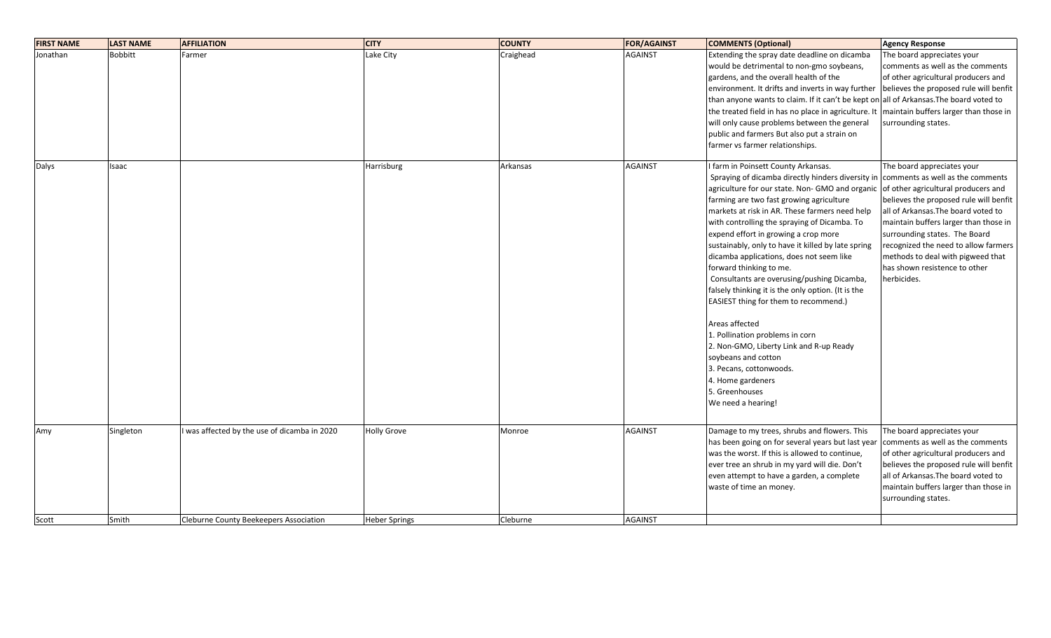| <b>FIRST NAME</b> | <b>LAST NAME</b> | <b>AFFILIATION</b>                         | <b>CITY</b>        | <b>COUNTY</b> | <b>FOR/AGAINST</b> | <b>COMMENTS (Optional)</b>                                                             | <b>Agency Response</b>                 |
|-------------------|------------------|--------------------------------------------|--------------------|---------------|--------------------|----------------------------------------------------------------------------------------|----------------------------------------|
| Jonathan          | <b>Bobbitt</b>   | Farmer                                     | Lake City          | Craighead     | <b>AGAINST</b>     | Extending the spray date deadline on dicamba                                           | The board appreciates your             |
|                   |                  |                                            |                    |               |                    | would be detrimental to non-gmo soybeans,                                              | comments as well as the comments       |
|                   |                  |                                            |                    |               |                    | gardens, and the overall health of the                                                 | of other agricultural producers and    |
|                   |                  |                                            |                    |               |                    | environment. It drifts and inverts in way further                                      | believes the proposed rule will benfit |
|                   |                  |                                            |                    |               |                    | than anyone wants to claim. If it can't be kept on all of Arkansas. The board voted to |                                        |
|                   |                  |                                            |                    |               |                    | the treated field in has no place in agriculture. It                                   | maintain buffers larger than those in  |
|                   |                  |                                            |                    |               |                    | will only cause problems between the general                                           | surrounding states.                    |
|                   |                  |                                            |                    |               |                    | public and farmers But also put a strain on                                            |                                        |
|                   |                  |                                            |                    |               |                    | farmer vs farmer relationships.                                                        |                                        |
| Dalys             | Isaac            |                                            | Harrisburg         | Arkansas      | <b>AGAINST</b>     | I farm in Poinsett County Arkansas.                                                    | The board appreciates your             |
|                   |                  |                                            |                    |               |                    | Spraying of dicamba directly hinders diversity in comments as well as the comments     |                                        |
|                   |                  |                                            |                    |               |                    | agriculture for our state. Non- GMO and organic                                        | of other agricultural producers and    |
|                   |                  |                                            |                    |               |                    | farming are two fast growing agriculture                                               | believes the proposed rule will benfit |
|                   |                  |                                            |                    |               |                    | markets at risk in AR. These farmers need help                                         | all of Arkansas. The board voted to    |
|                   |                  |                                            |                    |               |                    | with controlling the spraying of Dicamba. To                                           | maintain buffers larger than those in  |
|                   |                  |                                            |                    |               |                    | expend effort in growing a crop more                                                   | surrounding states. The Board          |
|                   |                  |                                            |                    |               |                    | sustainably, only to have it killed by late spring                                     | recognized the need to allow farmers   |
|                   |                  |                                            |                    |               |                    | dicamba applications, does not seem like                                               | methods to deal with pigweed that      |
|                   |                  |                                            |                    |               |                    | forward thinking to me.                                                                | has shown resistence to other          |
|                   |                  |                                            |                    |               |                    | Consultants are overusing/pushing Dicamba,                                             | herbicides.                            |
|                   |                  |                                            |                    |               |                    | falsely thinking it is the only option. (It is the                                     |                                        |
|                   |                  |                                            |                    |               |                    | EASIEST thing for them to recommend.)                                                  |                                        |
|                   |                  |                                            |                    |               |                    | Areas affected                                                                         |                                        |
|                   |                  |                                            |                    |               |                    | 1. Pollination problems in corn                                                        |                                        |
|                   |                  |                                            |                    |               |                    | 2. Non-GMO, Liberty Link and R-up Ready                                                |                                        |
|                   |                  |                                            |                    |               |                    | soybeans and cotton                                                                    |                                        |
|                   |                  |                                            |                    |               |                    | 3. Pecans, cottonwoods.                                                                |                                        |
|                   |                  |                                            |                    |               |                    | 4. Home gardeners                                                                      |                                        |
|                   |                  |                                            |                    |               |                    | 5. Greenhouses                                                                         |                                        |
|                   |                  |                                            |                    |               |                    | We need a hearing!                                                                     |                                        |
|                   |                  |                                            |                    |               |                    |                                                                                        |                                        |
| Amy               | Singleton        | was affected by the use of dicamba in 2020 | <b>Holly Grove</b> | Monroe        | <b>AGAINST</b>     | Damage to my trees, shrubs and flowers. This                                           | The board appreciates your             |
|                   |                  |                                            |                    |               |                    | has been going on for several years but last year                                      | comments as well as the comments       |
|                   |                  |                                            |                    |               |                    | was the worst. If this is allowed to continue,                                         | of other agricultural producers and    |
|                   |                  |                                            |                    |               |                    | ever tree an shrub in my yard will die. Don't                                          | believes the proposed rule will benfit |
|                   |                  |                                            |                    |               |                    | even attempt to have a garden, a complete                                              | all of Arkansas. The board voted to    |
|                   |                  |                                            |                    |               |                    | waste of time an money.                                                                | maintain buffers larger than those in  |
|                   |                  |                                            |                    |               |                    |                                                                                        | surrounding states.                    |
| Scott             | Smith            | Cleburne County Beekeepers Association     | Heber Springs      | Cleburne      | <b>AGAINST</b>     |                                                                                        |                                        |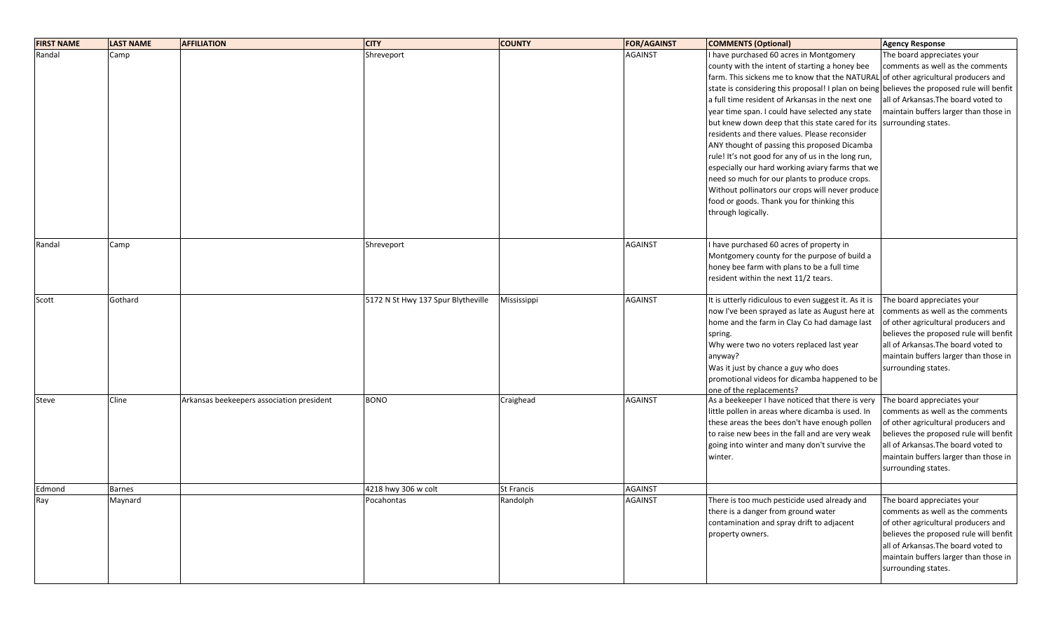| <b>FIRST NAME</b> | <b>LAST NAME</b> | <b>AFFILIATION</b>                        | <b>CITY</b>                        | <b>COUNTY</b>     | <b>FOR/AGAINST</b> | <b>COMMENTS (Optional)</b>                                                         | <b>Agency Response</b>                 |
|-------------------|------------------|-------------------------------------------|------------------------------------|-------------------|--------------------|------------------------------------------------------------------------------------|----------------------------------------|
| Randal            | Camp             |                                           | Shreveport                         |                   | <b>AGAINST</b>     | I have purchased 60 acres in Montgomery                                            | The board appreciates your             |
|                   |                  |                                           |                                    |                   |                    | county with the intent of starting a honey bee                                     | comments as well as the comments       |
|                   |                  |                                           |                                    |                   |                    | farm. This sickens me to know that the NATURAL of other agricultural producers and |                                        |
|                   |                  |                                           |                                    |                   |                    | state is considering this proposal! I plan on being                                | believes the proposed rule will benfit |
|                   |                  |                                           |                                    |                   |                    | a full time resident of Arkansas in the next one                                   | all of Arkansas. The board voted to    |
|                   |                  |                                           |                                    |                   |                    | year time span. I could have selected any state                                    | maintain buffers larger than those in  |
|                   |                  |                                           |                                    |                   |                    | but knew down deep that this state cared for its                                   | surrounding states.                    |
|                   |                  |                                           |                                    |                   |                    | residents and there values. Please reconsider                                      |                                        |
|                   |                  |                                           |                                    |                   |                    | ANY thought of passing this proposed Dicamba                                       |                                        |
|                   |                  |                                           |                                    |                   |                    | rule! It's not good for any of us in the long run,                                 |                                        |
|                   |                  |                                           |                                    |                   |                    | especially our hard working aviary farms that we                                   |                                        |
|                   |                  |                                           |                                    |                   |                    | need so much for our plants to produce crops.                                      |                                        |
|                   |                  |                                           |                                    |                   |                    | Without pollinators our crops will never produce                                   |                                        |
|                   |                  |                                           |                                    |                   |                    | food or goods. Thank you for thinking this                                         |                                        |
|                   |                  |                                           |                                    |                   |                    | through logically.                                                                 |                                        |
|                   |                  |                                           |                                    |                   |                    |                                                                                    |                                        |
| Randal            | Camp             |                                           | Shreveport                         |                   | <b>AGAINST</b>     | I have purchased 60 acres of property in                                           |                                        |
|                   |                  |                                           |                                    |                   |                    | Montgomery county for the purpose of build a                                       |                                        |
|                   |                  |                                           |                                    |                   |                    | honey bee farm with plans to be a full time                                        |                                        |
|                   |                  |                                           |                                    |                   |                    | resident within the next 11/2 tears.                                               |                                        |
|                   |                  |                                           |                                    |                   |                    |                                                                                    |                                        |
| Scott             | Gothard          |                                           | 5172 N St Hwy 137 Spur Blytheville | Mississippi       | <b>AGAINST</b>     | It is utterly ridiculous to even suggest it. As it is                              | The board appreciates your             |
|                   |                  |                                           |                                    |                   |                    | now I've been sprayed as late as August here at                                    | comments as well as the comments       |
|                   |                  |                                           |                                    |                   |                    | home and the farm in Clay Co had damage last                                       | of other agricultural producers and    |
|                   |                  |                                           |                                    |                   |                    | spring.                                                                            | believes the proposed rule will benfit |
|                   |                  |                                           |                                    |                   |                    | Why were two no voters replaced last year                                          | all of Arkansas. The board voted to    |
|                   |                  |                                           |                                    |                   |                    | anyway?                                                                            | maintain buffers larger than those in  |
|                   |                  |                                           |                                    |                   |                    | Was it just by chance a guy who does                                               | surrounding states.                    |
|                   |                  |                                           |                                    |                   |                    | promotional videos for dicamba happened to be                                      |                                        |
|                   |                  |                                           |                                    |                   |                    | one of the replacements?                                                           |                                        |
| Steve             | Cline            | Arkansas beekeepers association president | <b>BONO</b>                        | Craighead         | <b>AGAINST</b>     | As a beekeeper I have noticed that there is very                                   | The board appreciates your             |
|                   |                  |                                           |                                    |                   |                    | little pollen in areas where dicamba is used. In                                   | comments as well as the comments       |
|                   |                  |                                           |                                    |                   |                    | these areas the bees don't have enough pollen                                      | of other agricultural producers and    |
|                   |                  |                                           |                                    |                   |                    | to raise new bees in the fall and are very weak                                    | believes the proposed rule will benfit |
|                   |                  |                                           |                                    |                   |                    | going into winter and many don't survive the                                       | lall of Arkansas.The board voted to    |
|                   |                  |                                           |                                    |                   |                    | winter.                                                                            | maintain buffers larger than those in  |
|                   |                  |                                           |                                    |                   |                    |                                                                                    | surrounding states.                    |
| Edmond            | <b>Barnes</b>    |                                           | 4218 hwy 306 w colt                | <b>St Francis</b> | <b>AGAINST</b>     |                                                                                    |                                        |
| Ray               | Maynard          |                                           | Pocahontas                         | Randolph          | <b>AGAINST</b>     | There is too much pesticide used already and                                       | The board appreciates your             |
|                   |                  |                                           |                                    |                   |                    | there is a danger from ground water                                                | comments as well as the comments       |
|                   |                  |                                           |                                    |                   |                    | contamination and spray drift to adjacent                                          | of other agricultural producers and    |
|                   |                  |                                           |                                    |                   |                    | property owners.                                                                   | believes the proposed rule will benfit |
|                   |                  |                                           |                                    |                   |                    |                                                                                    | all of Arkansas. The board voted to    |
|                   |                  |                                           |                                    |                   |                    |                                                                                    | maintain buffers larger than those in  |
|                   |                  |                                           |                                    |                   |                    |                                                                                    | surrounding states.                    |
|                   |                  |                                           |                                    |                   |                    |                                                                                    |                                        |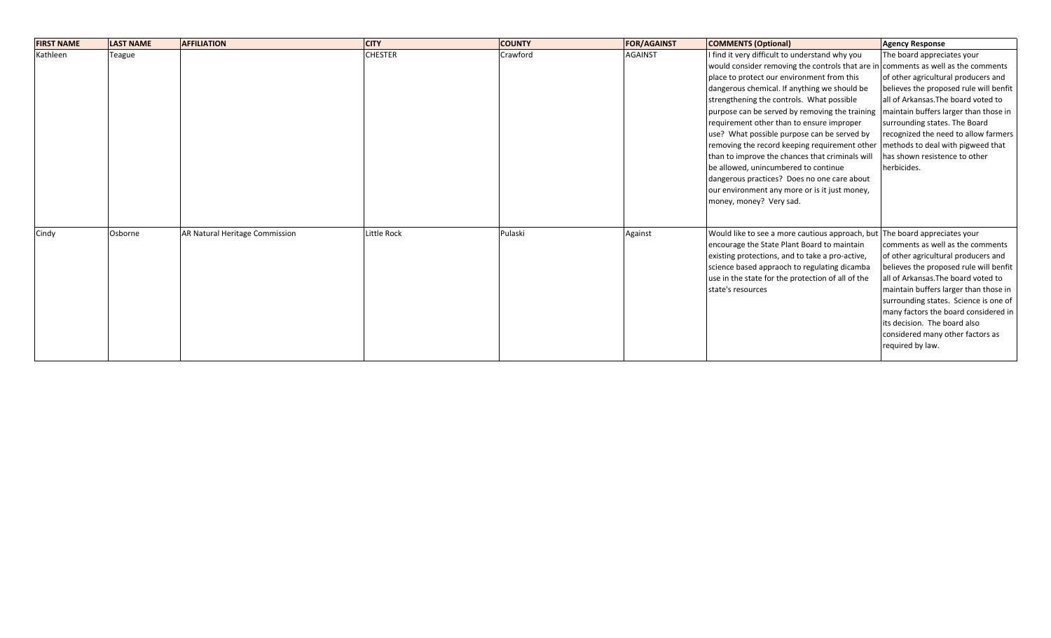| <b>FIRST NAME</b> | <b>LAST NAME</b> | <b>AFFILIATION</b>             | <b>CITY</b>    | <b>COUNTY</b> | <b>FOR/AGAINST</b> | <b>COMMENTS (Optional)</b>                                                        | <b>Agency Response</b>                 |
|-------------------|------------------|--------------------------------|----------------|---------------|--------------------|-----------------------------------------------------------------------------------|----------------------------------------|
| Kathleen          | Teague           |                                | <b>CHESTER</b> | Crawford      | <b>AGAINST</b>     | I find it very difficult to understand why you                                    | The board appreciates your             |
|                   |                  |                                |                |               |                    | would consider removing the controls that are in comments as well as the comments |                                        |
|                   |                  |                                |                |               |                    | place to protect our environment from this                                        | of other agricultural producers and    |
|                   |                  |                                |                |               |                    | dangerous chemical. If anything we should be                                      | believes the proposed rule will benfit |
|                   |                  |                                |                |               |                    | strengthening the controls. What possible                                         | all of Arkansas. The board voted to    |
|                   |                  |                                |                |               |                    | purpose can be served by removing the training                                    | maintain buffers larger than those in  |
|                   |                  |                                |                |               |                    | requirement other than to ensure improper                                         | surrounding states. The Board          |
|                   |                  |                                |                |               |                    | use? What possible purpose can be served by                                       | recognized the need to allow farmers   |
|                   |                  |                                |                |               |                    | removing the record keeping requirement other                                     | methods to deal with pigweed that      |
|                   |                  |                                |                |               |                    | than to improve the chances that criminals will                                   | has shown resistence to other          |
|                   |                  |                                |                |               |                    | be allowed, unincumbered to continue                                              | herbicides.                            |
|                   |                  |                                |                |               |                    | dangerous practices? Does no one care about                                       |                                        |
|                   |                  |                                |                |               |                    | our environment any more or is it just money,                                     |                                        |
|                   |                  |                                |                |               |                    | money, money? Very sad.                                                           |                                        |
|                   |                  |                                |                |               |                    |                                                                                   |                                        |
| Cindy             | Osborne          | AR Natural Heritage Commission | Little Rock    | Pulaski       | Against            | Would like to see a more cautious approach, but                                   | The board appreciates your             |
|                   |                  |                                |                |               |                    | encourage the State Plant Board to maintain                                       | comments as well as the comments       |
|                   |                  |                                |                |               |                    | existing protections, and to take a pro-active,                                   | of other agricultural producers and    |
|                   |                  |                                |                |               |                    | science based appraoch to regulating dicamba                                      | believes the proposed rule will benfit |
|                   |                  |                                |                |               |                    | use in the state for the protection of all of the                                 | all of Arkansas. The board voted to    |
|                   |                  |                                |                |               |                    | state's resources                                                                 | maintain buffers larger than those in  |
|                   |                  |                                |                |               |                    |                                                                                   | surrounding states. Science is one of  |
|                   |                  |                                |                |               |                    |                                                                                   | many factors the board considered in   |
|                   |                  |                                |                |               |                    |                                                                                   | lits decision. The board also          |
|                   |                  |                                |                |               |                    |                                                                                   | considered many other factors as       |
|                   |                  |                                |                |               |                    |                                                                                   | required by law.                       |
|                   |                  |                                |                |               |                    |                                                                                   |                                        |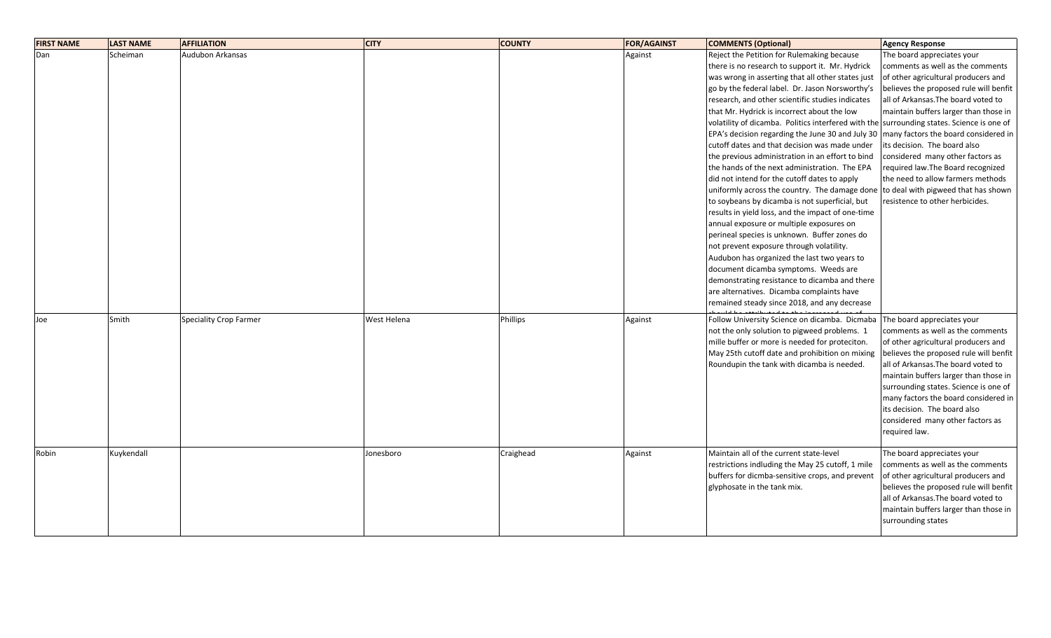| <b>FIRST NAME</b> | <b>LAST NAME</b> | <b>AFFILIATION</b>            | <b>CITY</b> | <b>COUNTY</b>   | <b>FOR/AGAINST</b> | <b>COMMENTS (Optional)</b>                                                                | Agency Response                                                      |
|-------------------|------------------|-------------------------------|-------------|-----------------|--------------------|-------------------------------------------------------------------------------------------|----------------------------------------------------------------------|
| Dan               | Scheiman         | Audubon Arkansas              |             |                 | Against            | Reject the Petition for Rulemaking because                                                | The board appreciates your                                           |
|                   |                  |                               |             |                 |                    | there is no research to support it. Mr. Hydrick                                           | comments as well as the comments                                     |
|                   |                  |                               |             |                 |                    | was wrong in asserting that all other states just                                         | of other agricultural producers and                                  |
|                   |                  |                               |             |                 |                    | go by the federal label. Dr. Jason Norsworthy's                                           | believes the proposed rule will benfit                               |
|                   |                  |                               |             |                 |                    | research, and other scientific studies indicates                                          | all of Arkansas. The board voted to                                  |
|                   |                  |                               |             |                 |                    | that Mr. Hydrick is incorrect about the low                                               | maintain buffers larger than those in                                |
|                   |                  |                               |             |                 |                    | volatility of dicamba. Politics interfered with the surrounding states. Science is one of |                                                                      |
|                   |                  |                               |             |                 |                    | EPA's decision regarding the June 30 and July 30   many factors the board considered in   |                                                                      |
|                   |                  |                               |             |                 |                    | cutoff dates and that decision was made under                                             | its decision. The board also                                         |
|                   |                  |                               |             |                 |                    | the previous administration in an effort to bind                                          | considered many other factors as                                     |
|                   |                  |                               |             |                 |                    | the hands of the next administration. The EPA                                             | required law. The Board recognized                                   |
|                   |                  |                               |             |                 |                    | did not intend for the cutoff dates to apply                                              | the need to allow farmers methods                                    |
|                   |                  |                               |             |                 |                    | uniformly across the country. The damage done to deal with pigweed that has shown         |                                                                      |
|                   |                  |                               |             |                 |                    | to soybeans by dicamba is not superficial, but                                            | resistence to other herbicides.                                      |
|                   |                  |                               |             |                 |                    | results in yield loss, and the impact of one-time                                         |                                                                      |
|                   |                  |                               |             |                 |                    | annual exposure or multiple exposures on                                                  |                                                                      |
|                   |                  |                               |             |                 |                    | perineal species is unknown. Buffer zones do<br>not prevent exposure through volatility.  |                                                                      |
|                   |                  |                               |             |                 |                    | Audubon has organized the last two years to                                               |                                                                      |
|                   |                  |                               |             |                 |                    | document dicamba symptoms. Weeds are                                                      |                                                                      |
|                   |                  |                               |             |                 |                    | demonstrating resistance to dicamba and there                                             |                                                                      |
|                   |                  |                               |             |                 |                    | are alternatives. Dicamba complaints have                                                 |                                                                      |
|                   |                  |                               |             |                 |                    | remained steady since 2018, and any decrease                                              |                                                                      |
|                   |                  |                               |             |                 |                    |                                                                                           |                                                                      |
| Joe               | Smith            | <b>Speciality Crop Farmer</b> | West Helena | <b>Phillips</b> | Against            | Follow University Science on dicamba. Dicmaba                                             | The board appreciates your                                           |
|                   |                  |                               |             |                 |                    | not the only solution to pigweed problems. 1                                              | comments as well as the comments                                     |
|                   |                  |                               |             |                 |                    | mille buffer or more is needed for proteciton.                                            | of other agricultural producers and                                  |
|                   |                  |                               |             |                 |                    | May 25th cutoff date and prohibition on mixing                                            | believes the proposed rule will benfit                               |
|                   |                  |                               |             |                 |                    | Roundupin the tank with dicamba is needed.                                                | all of Arkansas. The board voted to                                  |
|                   |                  |                               |             |                 |                    |                                                                                           | maintain buffers larger than those in                                |
|                   |                  |                               |             |                 |                    |                                                                                           | surrounding states. Science is one of                                |
|                   |                  |                               |             |                 |                    |                                                                                           | many factors the board considered in<br>its decision. The board also |
|                   |                  |                               |             |                 |                    |                                                                                           | considered many other factors as                                     |
|                   |                  |                               |             |                 |                    |                                                                                           | required law.                                                        |
|                   |                  |                               |             |                 |                    |                                                                                           |                                                                      |
| Robin             | Kuykendall       |                               | Jonesboro   | Craighead       | Against            | Maintain all of the current state-level                                                   | The board appreciates your                                           |
|                   |                  |                               |             |                 |                    | restrictions indluding the May 25 cutoff, 1 mile                                          | comments as well as the comments                                     |
|                   |                  |                               |             |                 |                    | buffers for dicmba-sensitive crops, and prevent                                           | of other agricultural producers and                                  |
|                   |                  |                               |             |                 |                    | glyphosate in the tank mix.                                                               | believes the proposed rule will benfit                               |
|                   |                  |                               |             |                 |                    |                                                                                           | all of Arkansas. The board voted to                                  |
|                   |                  |                               |             |                 |                    |                                                                                           | maintain buffers larger than those in                                |
|                   |                  |                               |             |                 |                    |                                                                                           | surrounding states                                                   |
|                   |                  |                               |             |                 |                    |                                                                                           |                                                                      |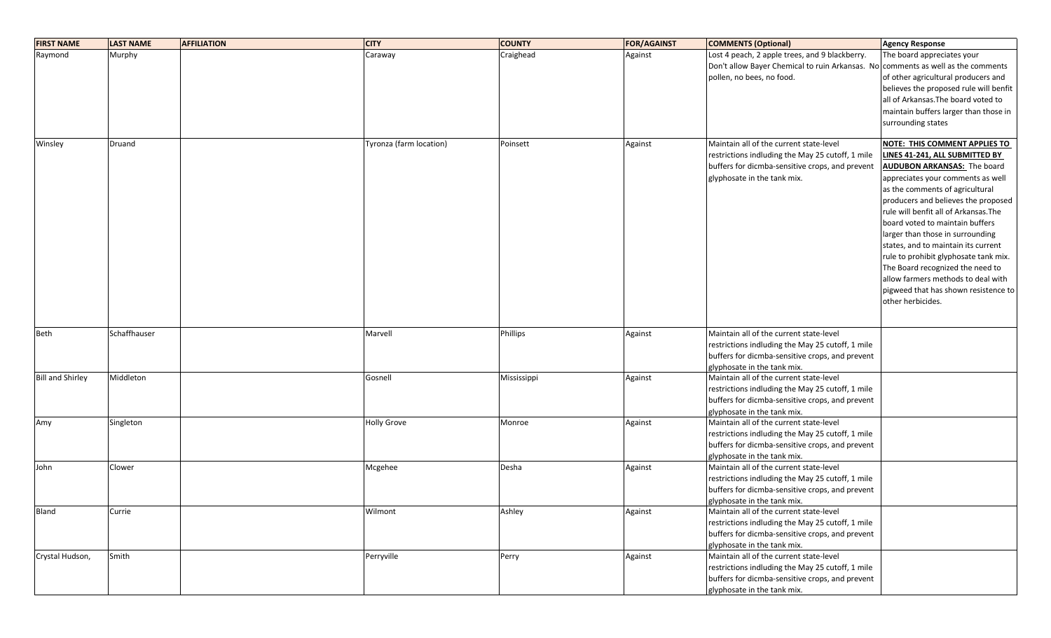| <b>FIRST NAME</b>       | <b>LAST NAME</b> | <b>AFFILIATION</b> | <b>CITY</b>             | <b>COUNTY</b> | <b>FOR/AGAINST</b> | <b>COMMENTS (Optional)</b>                                                                          | Agency Response                        |
|-------------------------|------------------|--------------------|-------------------------|---------------|--------------------|-----------------------------------------------------------------------------------------------------|----------------------------------------|
| Raymond                 | Murphy           |                    | Caraway                 | Craighead     | Against            | Lost 4 peach, 2 apple trees, and 9 blackberry.                                                      | The board appreciates your             |
|                         |                  |                    |                         |               |                    | Don't allow Bayer Chemical to ruin Arkansas. No comments as well as the comments                    |                                        |
|                         |                  |                    |                         |               |                    | pollen, no bees, no food.                                                                           | of other agricultural producers and    |
|                         |                  |                    |                         |               |                    |                                                                                                     | believes the proposed rule will benfit |
|                         |                  |                    |                         |               |                    |                                                                                                     | all of Arkansas. The board voted to    |
|                         |                  |                    |                         |               |                    |                                                                                                     | maintain buffers larger than those in  |
|                         |                  |                    |                         |               |                    |                                                                                                     | surrounding states                     |
|                         |                  |                    |                         |               |                    |                                                                                                     |                                        |
| Winsley                 | Druand           |                    | Tyronza (farm location) | Poinsett      | Against            | Maintain all of the current state-level                                                             | NOTE: THIS COMMENT APPLIES TO          |
|                         |                  |                    |                         |               |                    | restrictions indluding the May 25 cutoff, 1 mile                                                    | LINES 41-241, ALL SUBMITTED BY         |
|                         |                  |                    |                         |               |                    | buffers for dicmba-sensitive crops, and prevent                                                     | <b>AUDUBON ARKANSAS:</b> The board     |
|                         |                  |                    |                         |               |                    | glyphosate in the tank mix.                                                                         | appreciates your comments as well      |
|                         |                  |                    |                         |               |                    |                                                                                                     | as the comments of agricultural        |
|                         |                  |                    |                         |               |                    |                                                                                                     | producers and believes the proposed    |
|                         |                  |                    |                         |               |                    |                                                                                                     | rule will benfit all of Arkansas. The  |
|                         |                  |                    |                         |               |                    |                                                                                                     | board voted to maintain buffers        |
|                         |                  |                    |                         |               |                    |                                                                                                     | larger than those in surrounding       |
|                         |                  |                    |                         |               |                    |                                                                                                     | states, and to maintain its current    |
|                         |                  |                    |                         |               |                    |                                                                                                     | rule to prohibit glyphosate tank mix.  |
|                         |                  |                    |                         |               |                    |                                                                                                     | The Board recognized the need to       |
|                         |                  |                    |                         |               |                    |                                                                                                     | allow farmers methods to deal with     |
|                         |                  |                    |                         |               |                    |                                                                                                     | pigweed that has shown resistence to   |
|                         |                  |                    |                         |               |                    |                                                                                                     | other herbicides.                      |
|                         |                  |                    |                         |               |                    |                                                                                                     |                                        |
| Beth                    | Schaffhauser     |                    | Marvell                 | Phillips      | Against            | Maintain all of the current state-level                                                             |                                        |
|                         |                  |                    |                         |               |                    | restrictions indluding the May 25 cutoff, 1 mile                                                    |                                        |
|                         |                  |                    |                         |               |                    | buffers for dicmba-sensitive crops, and prevent                                                     |                                        |
|                         |                  |                    |                         |               |                    | glyphosate in the tank mix.                                                                         |                                        |
| <b>Bill and Shirley</b> | Middleton        |                    | Gosnell                 | Mississippi   | Against            | Maintain all of the current state-level                                                             |                                        |
|                         |                  |                    |                         |               |                    | restrictions indluding the May 25 cutoff, 1 mile                                                    |                                        |
|                         |                  |                    |                         |               |                    | buffers for dicmba-sensitive crops, and prevent                                                     |                                        |
|                         |                  |                    |                         |               |                    | glyphosate in the tank mix.                                                                         |                                        |
| Amy                     | Singleton        |                    | <b>Holly Grove</b>      | Monroe        | Against            | Maintain all of the current state-level                                                             |                                        |
|                         |                  |                    |                         |               |                    | restrictions indluding the May 25 cutoff, 1 mile                                                    |                                        |
|                         |                  |                    |                         |               |                    | buffers for dicmba-sensitive crops, and prevent                                                     |                                        |
|                         |                  |                    |                         |               |                    | glyphosate in the tank mix.                                                                         |                                        |
| John                    | Clower           |                    | Mcgehee                 | Desha         | Against            | Maintain all of the current state-level                                                             |                                        |
|                         |                  |                    |                         |               |                    | restrictions indluding the May 25 cutoff, 1 mile                                                    |                                        |
|                         |                  |                    |                         |               |                    | buffers for dicmba-sensitive crops, and prevent                                                     |                                        |
|                         |                  |                    | Wilmont                 |               |                    | glyphosate in the tank mix.<br>Maintain all of the current state-level                              |                                        |
| <b>Bland</b>            | Currie           |                    |                         | Ashley        | Against            |                                                                                                     |                                        |
|                         |                  |                    |                         |               |                    | restrictions indluding the May 25 cutoff, 1 mile<br>buffers for dicmba-sensitive crops, and prevent |                                        |
|                         |                  |                    |                         |               |                    |                                                                                                     |                                        |
| Crystal Hudson,         | Smith            |                    | Perryville              | Perry         | Against            | glyphosate in the tank mix.<br>Maintain all of the current state-level                              |                                        |
|                         |                  |                    |                         |               |                    | restrictions indluding the May 25 cutoff, 1 mile                                                    |                                        |
|                         |                  |                    |                         |               |                    | buffers for dicmba-sensitive crops, and prevent                                                     |                                        |
|                         |                  |                    |                         |               |                    | glyphosate in the tank mix.                                                                         |                                        |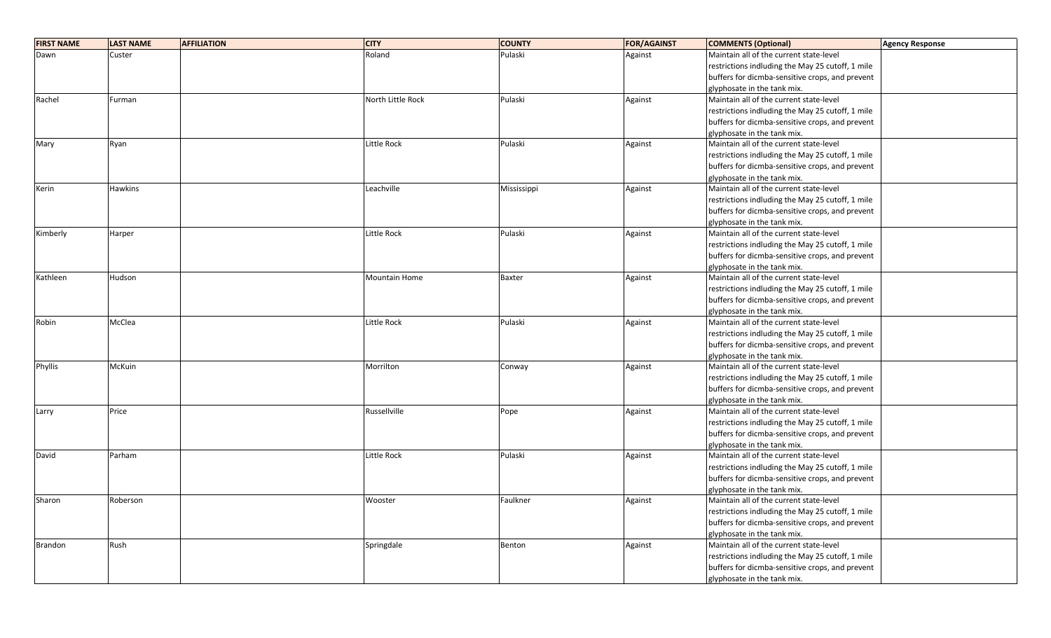| <b>FIRST NAME</b> | <b>LAST NAME</b> | <b>AFFILIATION</b> | <b>CITY</b>        | <b>COUNTY</b> | <b>FOR/AGAINST</b> | <b>COMMENTS (Optional)</b>                       | <b>Agency Response</b> |
|-------------------|------------------|--------------------|--------------------|---------------|--------------------|--------------------------------------------------|------------------------|
| Dawn              | Custer           |                    | Roland             | Pulaski       | Against            | Maintain all of the current state-level          |                        |
|                   |                  |                    |                    |               |                    | restrictions indluding the May 25 cutoff, 1 mile |                        |
|                   |                  |                    |                    |               |                    | buffers for dicmba-sensitive crops, and prevent  |                        |
|                   |                  |                    |                    |               |                    | glyphosate in the tank mix.                      |                        |
| Rachel            | Furman           |                    | North Little Rock  | Pulaski       | Against            | Maintain all of the current state-level          |                        |
|                   |                  |                    |                    |               |                    | restrictions indluding the May 25 cutoff, 1 mile |                        |
|                   |                  |                    |                    |               |                    | buffers for dicmba-sensitive crops, and prevent  |                        |
|                   |                  |                    |                    |               |                    | glyphosate in the tank mix.                      |                        |
| Mary              | Ryan             |                    | Little Rock        | Pulaski       | Against            | Maintain all of the current state-level          |                        |
|                   |                  |                    |                    |               |                    | restrictions indluding the May 25 cutoff, 1 mile |                        |
|                   |                  |                    |                    |               |                    | buffers for dicmba-sensitive crops, and prevent  |                        |
|                   |                  |                    |                    |               |                    | glyphosate in the tank mix.                      |                        |
| Kerin             | <b>Hawkins</b>   |                    | Leachville         | Mississippi   | Against            | Maintain all of the current state-level          |                        |
|                   |                  |                    |                    |               |                    | restrictions indluding the May 25 cutoff, 1 mile |                        |
|                   |                  |                    |                    |               |                    | buffers for dicmba-sensitive crops, and prevent  |                        |
|                   |                  |                    |                    |               |                    | glyphosate in the tank mix.                      |                        |
| Kimberly          | Harper           |                    | <b>Little Rock</b> | Pulaski       | Against            | Maintain all of the current state-level          |                        |
|                   |                  |                    |                    |               |                    | restrictions indluding the May 25 cutoff, 1 mile |                        |
|                   |                  |                    |                    |               |                    | buffers for dicmba-sensitive crops, and prevent  |                        |
|                   |                  |                    |                    |               |                    | glyphosate in the tank mix.                      |                        |
| Kathleen          | Hudson           |                    | Mountain Home      | <b>Baxter</b> | Against            | Maintain all of the current state-level          |                        |
|                   |                  |                    |                    |               |                    | restrictions indluding the May 25 cutoff, 1 mile |                        |
|                   |                  |                    |                    |               |                    | buffers for dicmba-sensitive crops, and prevent  |                        |
|                   |                  |                    |                    |               |                    | glyphosate in the tank mix.                      |                        |
| Robin             | McClea           |                    | Little Rock        | Pulaski       | Against            | Maintain all of the current state-level          |                        |
|                   |                  |                    |                    |               |                    | restrictions indluding the May 25 cutoff, 1 mile |                        |
|                   |                  |                    |                    |               |                    | buffers for dicmba-sensitive crops, and prevent  |                        |
|                   |                  |                    |                    |               |                    | glyphosate in the tank mix.                      |                        |
| Phyllis           | McKuin           |                    | Morrilton          | Conway        | Against            | Maintain all of the current state-level          |                        |
|                   |                  |                    |                    |               |                    | restrictions indluding the May 25 cutoff, 1 mile |                        |
|                   |                  |                    |                    |               |                    | buffers for dicmba-sensitive crops, and prevent  |                        |
|                   |                  |                    |                    |               |                    | glyphosate in the tank mix.                      |                        |
| Larry             | Price            |                    | Russellville       | Pope          | Against            | Maintain all of the current state-level          |                        |
|                   |                  |                    |                    |               |                    | restrictions indluding the May 25 cutoff, 1 mile |                        |
|                   |                  |                    |                    |               |                    | buffers for dicmba-sensitive crops, and prevent  |                        |
|                   |                  |                    |                    |               |                    | glyphosate in the tank mix.                      |                        |
| David             | Parham           |                    | Little Rock        | Pulaski       | Against            | Maintain all of the current state-level          |                        |
|                   |                  |                    |                    |               |                    | restrictions indluding the May 25 cutoff, 1 mile |                        |
|                   |                  |                    |                    |               |                    | buffers for dicmba-sensitive crops, and prevent  |                        |
|                   |                  |                    |                    |               |                    | glyphosate in the tank mix.                      |                        |
| Sharon            | Roberson         |                    | Wooster            | Faulkner      | Against            | Maintain all of the current state-level          |                        |
|                   |                  |                    |                    |               |                    | restrictions indluding the May 25 cutoff, 1 mile |                        |
|                   |                  |                    |                    |               |                    | buffers for dicmba-sensitive crops, and prevent  |                        |
|                   |                  |                    |                    |               |                    | glyphosate in the tank mix.                      |                        |
| Brandon           | Rush             |                    | Springdale         | Benton        | Against            | Maintain all of the current state-level          |                        |
|                   |                  |                    |                    |               |                    | restrictions indluding the May 25 cutoff, 1 mile |                        |
|                   |                  |                    |                    |               |                    | buffers for dicmba-sensitive crops, and prevent  |                        |
|                   |                  |                    |                    |               |                    |                                                  |                        |
|                   |                  |                    |                    |               |                    | glyphosate in the tank mix.                      |                        |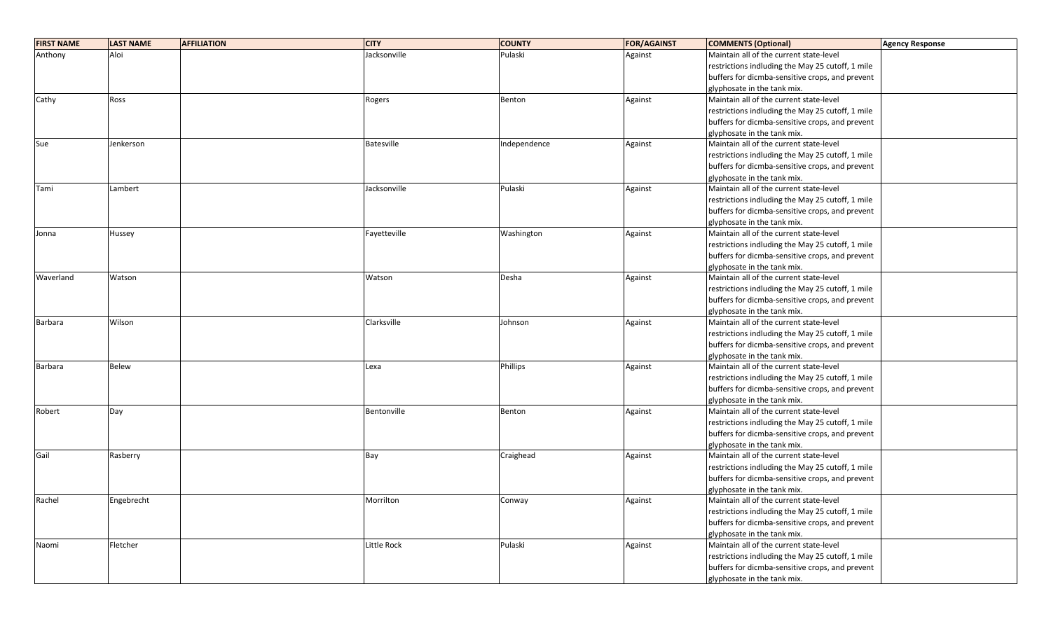| <b>FIRST NAME</b> | <b>LAST NAME</b> | <b>AFFILIATION</b> | <b>CITY</b>       | <b>COUNTY</b> | <b>FOR/AGAINST</b> | <b>COMMENTS (Optional)</b>                       | <b>Agency Response</b> |
|-------------------|------------------|--------------------|-------------------|---------------|--------------------|--------------------------------------------------|------------------------|
| Anthony           | Aloi             |                    | Jacksonville      | Pulaski       | Against            | Maintain all of the current state-level          |                        |
|                   |                  |                    |                   |               |                    | restrictions indluding the May 25 cutoff, 1 mile |                        |
|                   |                  |                    |                   |               |                    | buffers for dicmba-sensitive crops, and prevent  |                        |
|                   |                  |                    |                   |               |                    | glyphosate in the tank mix.                      |                        |
| Cathy             | Ross             |                    | Rogers            | Benton        | Against            | Maintain all of the current state-level          |                        |
|                   |                  |                    |                   |               |                    | restrictions indluding the May 25 cutoff, 1 mile |                        |
|                   |                  |                    |                   |               |                    | buffers for dicmba-sensitive crops, and prevent  |                        |
|                   |                  |                    |                   |               |                    | glyphosate in the tank mix.                      |                        |
| Sue               | Jenkerson        |                    | <b>Batesville</b> | Independence  | Against            | Maintain all of the current state-level          |                        |
|                   |                  |                    |                   |               |                    | restrictions indluding the May 25 cutoff, 1 mile |                        |
|                   |                  |                    |                   |               |                    | buffers for dicmba-sensitive crops, and prevent  |                        |
|                   |                  |                    |                   |               |                    | glyphosate in the tank mix.                      |                        |
| Tami              | Lambert          |                    | Jacksonville      | Pulaski       | Against            | Maintain all of the current state-level          |                        |
|                   |                  |                    |                   |               |                    | restrictions indluding the May 25 cutoff, 1 mile |                        |
|                   |                  |                    |                   |               |                    | buffers for dicmba-sensitive crops, and prevent  |                        |
|                   |                  |                    |                   |               |                    | glyphosate in the tank mix.                      |                        |
| Jonna             | Hussey           |                    | Fayetteville      | Washington    | Against            | Maintain all of the current state-level          |                        |
|                   |                  |                    |                   |               |                    | restrictions indluding the May 25 cutoff, 1 mile |                        |
|                   |                  |                    |                   |               |                    | buffers for dicmba-sensitive crops, and prevent  |                        |
|                   |                  |                    |                   |               |                    | glyphosate in the tank mix.                      |                        |
| Waverland         | Watson           |                    | Watson            | Desha         | Against            | Maintain all of the current state-level          |                        |
|                   |                  |                    |                   |               |                    | restrictions indluding the May 25 cutoff, 1 mile |                        |
|                   |                  |                    |                   |               |                    | buffers for dicmba-sensitive crops, and prevent  |                        |
|                   |                  |                    |                   |               |                    | glyphosate in the tank mix.                      |                        |
| Barbara           | Wilson           |                    | Clarksville       | Johnson       | Against            | Maintain all of the current state-level          |                        |
|                   |                  |                    |                   |               |                    | restrictions indluding the May 25 cutoff, 1 mile |                        |
|                   |                  |                    |                   |               |                    | buffers for dicmba-sensitive crops, and prevent  |                        |
|                   |                  |                    |                   |               |                    | glyphosate in the tank mix.                      |                        |
| Barbara           | <b>Belew</b>     |                    | Lexa              | Phillips      | Against            | Maintain all of the current state-level          |                        |
|                   |                  |                    |                   |               |                    | restrictions indluding the May 25 cutoff, 1 mile |                        |
|                   |                  |                    |                   |               |                    | buffers for dicmba-sensitive crops, and prevent  |                        |
|                   |                  |                    |                   |               |                    | glyphosate in the tank mix.                      |                        |
| Robert            | Day              |                    | Bentonville       | Benton        | Against            | Maintain all of the current state-level          |                        |
|                   |                  |                    |                   |               |                    | restrictions indluding the May 25 cutoff, 1 mile |                        |
|                   |                  |                    |                   |               |                    | buffers for dicmba-sensitive crops, and prevent  |                        |
|                   |                  |                    |                   |               |                    | glyphosate in the tank mix.                      |                        |
| Gail              | Rasberry         |                    | Bay               | Craighead     | Against            | Maintain all of the current state-level          |                        |
|                   |                  |                    |                   |               |                    | restrictions indluding the May 25 cutoff, 1 mile |                        |
|                   |                  |                    |                   |               |                    | buffers for dicmba-sensitive crops, and prevent  |                        |
|                   |                  |                    |                   |               |                    | glyphosate in the tank mix.                      |                        |
| Rachel            | Engebrecht       |                    | Morrilton         | Conway        | Against            | Maintain all of the current state-level          |                        |
|                   |                  |                    |                   |               |                    | restrictions indluding the May 25 cutoff, 1 mile |                        |
|                   |                  |                    |                   |               |                    | buffers for dicmba-sensitive crops, and prevent  |                        |
|                   |                  |                    |                   |               |                    | glyphosate in the tank mix.                      |                        |
| Naomi             | Fletcher         |                    | Little Rock       | Pulaski       | Against            | Maintain all of the current state-level          |                        |
|                   |                  |                    |                   |               |                    | restrictions indluding the May 25 cutoff, 1 mile |                        |
|                   |                  |                    |                   |               |                    | buffers for dicmba-sensitive crops, and prevent  |                        |
|                   |                  |                    |                   |               |                    | glyphosate in the tank mix.                      |                        |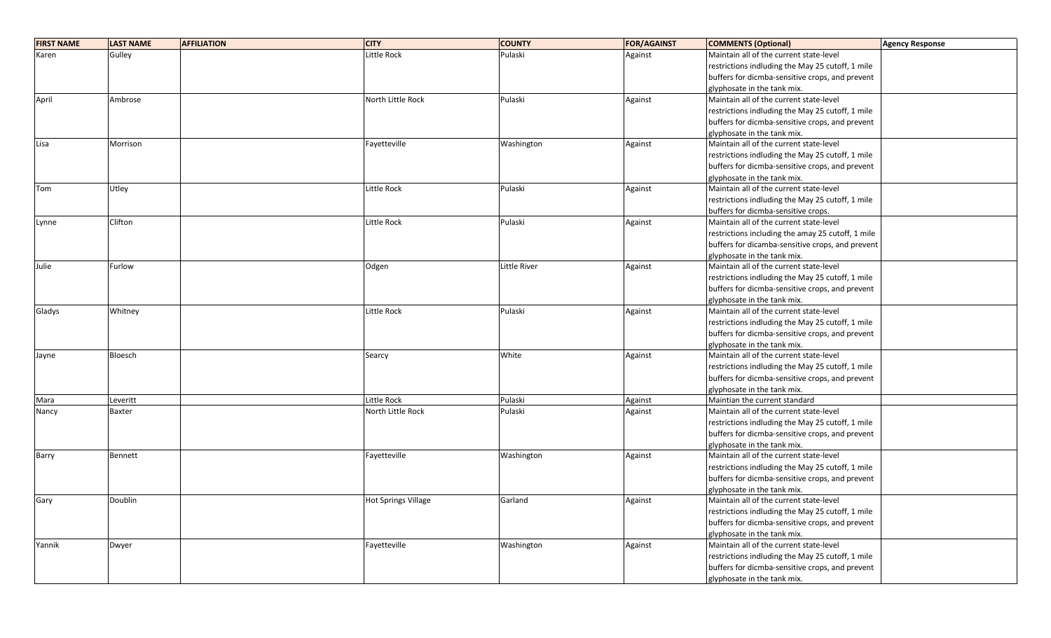| <b>FIRST NAME</b> | <b>LAST NAME</b> | <b>AFFILIATION</b> | <b>CITY</b>                | <b>COUNTY</b>       | <b>FOR/AGAINST</b> | <b>COMMENTS (Optional)</b>                        | <b>Agency Response</b> |
|-------------------|------------------|--------------------|----------------------------|---------------------|--------------------|---------------------------------------------------|------------------------|
| Karen             | Gulley           |                    | Little Rock                | Pulaski             | Against            | Maintain all of the current state-level           |                        |
|                   |                  |                    |                            |                     |                    | restrictions indluding the May 25 cutoff, 1 mile  |                        |
|                   |                  |                    |                            |                     |                    | buffers for dicmba-sensitive crops, and prevent   |                        |
|                   |                  |                    |                            |                     |                    | glyphosate in the tank mix.                       |                        |
| April             | Ambrose          |                    | North Little Rock          | Pulaski             | Against            | Maintain all of the current state-level           |                        |
|                   |                  |                    |                            |                     |                    | restrictions indluding the May 25 cutoff, 1 mile  |                        |
|                   |                  |                    |                            |                     |                    | buffers for dicmba-sensitive crops, and prevent   |                        |
|                   |                  |                    |                            |                     |                    | glyphosate in the tank mix.                       |                        |
| Lisa              | Morrison         |                    | Fayetteville               | Washington          | Against            | Maintain all of the current state-level           |                        |
|                   |                  |                    |                            |                     |                    | restrictions indluding the May 25 cutoff, 1 mile  |                        |
|                   |                  |                    |                            |                     |                    | buffers for dicmba-sensitive crops, and prevent   |                        |
|                   |                  |                    |                            |                     |                    | glyphosate in the tank mix.                       |                        |
| Tom               | Utley            |                    | Little Rock                | Pulaski             | Against            | Maintain all of the current state-level           |                        |
|                   |                  |                    |                            |                     |                    | restrictions indluding the May 25 cutoff, 1 mile  |                        |
|                   |                  |                    |                            |                     |                    | buffers for dicmba-sensitive crops.               |                        |
| Lynne             | Clifton          |                    | Little Rock                | Pulaski             | Against            | Maintain all of the current state-level           |                        |
|                   |                  |                    |                            |                     |                    | restrictions including the amay 25 cutoff, 1 mile |                        |
|                   |                  |                    |                            |                     |                    | buffers for dicamba-sensitive crops, and prevent  |                        |
|                   |                  |                    |                            |                     |                    | glyphosate in the tank mix.                       |                        |
| Julie             | Furlow           |                    | Odgen                      | <b>Little River</b> | Against            | Maintain all of the current state-level           |                        |
|                   |                  |                    |                            |                     |                    | restrictions indluding the May 25 cutoff, 1 mile  |                        |
|                   |                  |                    |                            |                     |                    | buffers for dicmba-sensitive crops, and prevent   |                        |
|                   |                  |                    |                            |                     |                    | glyphosate in the tank mix.                       |                        |
| Gladys            | Whitney          |                    | Little Rock                | Pulaski             | Against            | Maintain all of the current state-level           |                        |
|                   |                  |                    |                            |                     |                    | restrictions indluding the May 25 cutoff, 1 mile  |                        |
|                   |                  |                    |                            |                     |                    | buffers for dicmba-sensitive crops, and prevent   |                        |
|                   |                  |                    |                            |                     |                    | glyphosate in the tank mix.                       |                        |
| Jayne             | Bloesch          |                    | Searcy                     | White               | Against            | Maintain all of the current state-level           |                        |
|                   |                  |                    |                            |                     |                    | restrictions indluding the May 25 cutoff, 1 mile  |                        |
|                   |                  |                    |                            |                     |                    | buffers for dicmba-sensitive crops, and prevent   |                        |
|                   |                  |                    |                            |                     |                    | glyphosate in the tank mix.                       |                        |
| Mara              | Leveritt         |                    | Little Rock                | Pulaski             | Against            | Maintian the current standard                     |                        |
| Nancy             | <b>Baxter</b>    |                    | North Little Rock          | Pulaski             | Against            | Maintain all of the current state-level           |                        |
|                   |                  |                    |                            |                     |                    | restrictions indluding the May 25 cutoff, 1 mile  |                        |
|                   |                  |                    |                            |                     |                    | buffers for dicmba-sensitive crops, and prevent   |                        |
|                   |                  |                    |                            |                     |                    | glyphosate in the tank mix.                       |                        |
| Barry             | Bennett          |                    | Fayetteville               | Washington          | Against            | Maintain all of the current state-level           |                        |
|                   |                  |                    |                            |                     |                    | restrictions indluding the May 25 cutoff, 1 mile  |                        |
|                   |                  |                    |                            |                     |                    | buffers for dicmba-sensitive crops, and prevent   |                        |
|                   |                  |                    |                            |                     |                    | glyphosate in the tank mix.                       |                        |
| Gary              | Doublin          |                    | <b>Hot Springs Village</b> | Garland             | Against            | Maintain all of the current state-level           |                        |
|                   |                  |                    |                            |                     |                    | restrictions indluding the May 25 cutoff, 1 mile  |                        |
|                   |                  |                    |                            |                     |                    | buffers for dicmba-sensitive crops, and prevent   |                        |
|                   |                  |                    |                            |                     |                    | glyphosate in the tank mix.                       |                        |
| Yannik            | Dwyer            |                    | Fayetteville               | Washington          | Against            | Maintain all of the current state-level           |                        |
|                   |                  |                    |                            |                     |                    | restrictions indluding the May 25 cutoff, 1 mile  |                        |
|                   |                  |                    |                            |                     |                    | buffers for dicmba-sensitive crops, and prevent   |                        |
|                   |                  |                    |                            |                     |                    | glyphosate in the tank mix.                       |                        |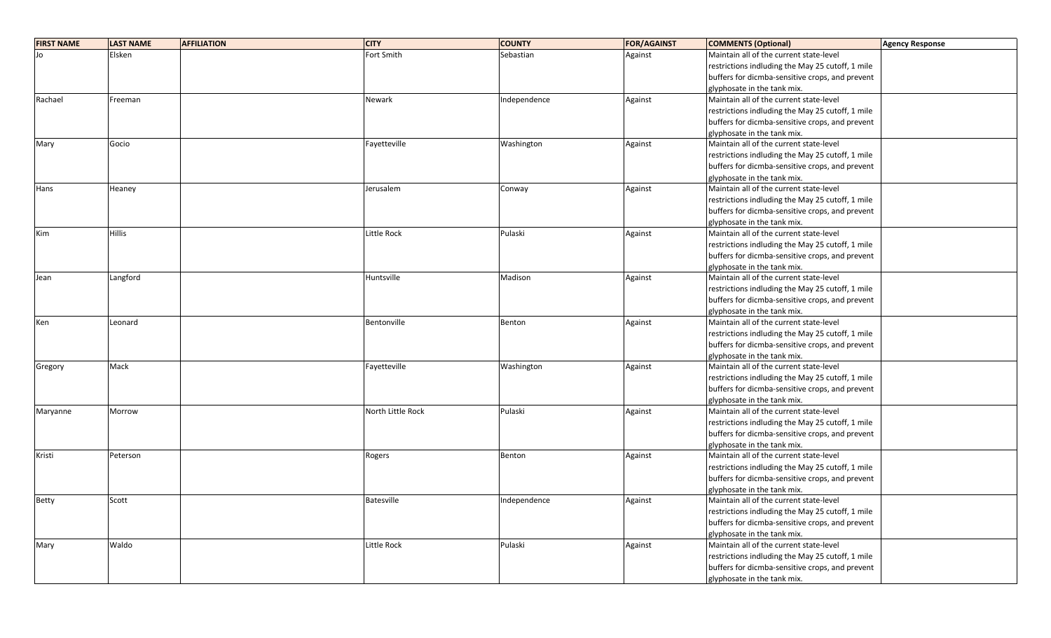| <b>FIRST NAME</b> | <b>LAST NAME</b> | <b>AFFILIATION</b> | <b>CITY</b>        | <b>COUNTY</b> | <b>FOR/AGAINST</b> | <b>COMMENTS (Optional)</b>                       | <b>Agency Response</b> |
|-------------------|------------------|--------------------|--------------------|---------------|--------------------|--------------------------------------------------|------------------------|
|                   | Elsken           |                    | Fort Smith         | Sebastian     | Against            | Maintain all of the current state-level          |                        |
|                   |                  |                    |                    |               |                    | restrictions indluding the May 25 cutoff, 1 mile |                        |
|                   |                  |                    |                    |               |                    | buffers for dicmba-sensitive crops, and prevent  |                        |
|                   |                  |                    |                    |               |                    | glyphosate in the tank mix.                      |                        |
| Rachael           | Freeman          |                    | Newark             | Independence  | Against            | Maintain all of the current state-level          |                        |
|                   |                  |                    |                    |               |                    | restrictions indluding the May 25 cutoff, 1 mile |                        |
|                   |                  |                    |                    |               |                    | buffers for dicmba-sensitive crops, and prevent  |                        |
|                   |                  |                    |                    |               |                    | glyphosate in the tank mix.                      |                        |
| Mary              | Gocio            |                    | Fayetteville       | Washington    | Against            | Maintain all of the current state-level          |                        |
|                   |                  |                    |                    |               |                    | restrictions indluding the May 25 cutoff, 1 mile |                        |
|                   |                  |                    |                    |               |                    | buffers for dicmba-sensitive crops, and prevent  |                        |
|                   |                  |                    |                    |               |                    | glyphosate in the tank mix.                      |                        |
| Hans              | Heaney           |                    | Jerusalem          | Conway        | Against            | Maintain all of the current state-level          |                        |
|                   |                  |                    |                    |               |                    | restrictions indluding the May 25 cutoff, 1 mile |                        |
|                   |                  |                    |                    |               |                    | buffers for dicmba-sensitive crops, and prevent  |                        |
|                   |                  |                    |                    |               |                    | glyphosate in the tank mix.                      |                        |
| Kim               | <b>Hillis</b>    |                    | <b>Little Rock</b> | Pulaski       | Against            | Maintain all of the current state-level          |                        |
|                   |                  |                    |                    |               |                    | restrictions indluding the May 25 cutoff, 1 mile |                        |
|                   |                  |                    |                    |               |                    | buffers for dicmba-sensitive crops, and prevent  |                        |
|                   |                  |                    |                    |               |                    | glyphosate in the tank mix.                      |                        |
| Jean              | Langford         |                    | Huntsville         | Madison       | Against            | Maintain all of the current state-level          |                        |
|                   |                  |                    |                    |               |                    | restrictions indluding the May 25 cutoff, 1 mile |                        |
|                   |                  |                    |                    |               |                    | buffers for dicmba-sensitive crops, and prevent  |                        |
|                   |                  |                    |                    |               |                    | glyphosate in the tank mix.                      |                        |
| Ken               | Leonard          |                    | Bentonville        | Benton        | Against            | Maintain all of the current state-level          |                        |
|                   |                  |                    |                    |               |                    | restrictions indluding the May 25 cutoff, 1 mile |                        |
|                   |                  |                    |                    |               |                    | buffers for dicmba-sensitive crops, and prevent  |                        |
|                   |                  |                    |                    |               |                    | glyphosate in the tank mix.                      |                        |
| Gregory           | Mack             |                    | Fayetteville       | Washington    | Against            | Maintain all of the current state-level          |                        |
|                   |                  |                    |                    |               |                    | restrictions indluding the May 25 cutoff, 1 mile |                        |
|                   |                  |                    |                    |               |                    | buffers for dicmba-sensitive crops, and prevent  |                        |
|                   |                  |                    |                    |               |                    | glyphosate in the tank mix.                      |                        |
| Maryanne          | Morrow           |                    | North Little Rock  | Pulaski       | Against            | Maintain all of the current state-level          |                        |
|                   |                  |                    |                    |               |                    | restrictions indluding the May 25 cutoff, 1 mile |                        |
|                   |                  |                    |                    |               |                    | buffers for dicmba-sensitive crops, and prevent  |                        |
|                   |                  |                    |                    |               |                    | glyphosate in the tank mix.                      |                        |
| Kristi            | Peterson         |                    | Rogers             | Benton        | Against            | Maintain all of the current state-level          |                        |
|                   |                  |                    |                    |               |                    | restrictions indluding the May 25 cutoff, 1 mile |                        |
|                   |                  |                    |                    |               |                    | buffers for dicmba-sensitive crops, and prevent  |                        |
|                   |                  |                    |                    |               |                    | glyphosate in the tank mix.                      |                        |
| Betty             | Scott            |                    | <b>Batesville</b>  | Independence  | Against            | Maintain all of the current state-level          |                        |
|                   |                  |                    |                    |               |                    | restrictions indluding the May 25 cutoff, 1 mile |                        |
|                   |                  |                    |                    |               |                    | buffers for dicmba-sensitive crops, and prevent  |                        |
|                   |                  |                    |                    |               |                    | glyphosate in the tank mix.                      |                        |
| Mary              | Waldo            |                    | Little Rock        | Pulaski       | Against            | Maintain all of the current state-level          |                        |
|                   |                  |                    |                    |               |                    | restrictions indluding the May 25 cutoff, 1 mile |                        |
|                   |                  |                    |                    |               |                    | buffers for dicmba-sensitive crops, and prevent  |                        |
|                   |                  |                    |                    |               |                    | glyphosate in the tank mix.                      |                        |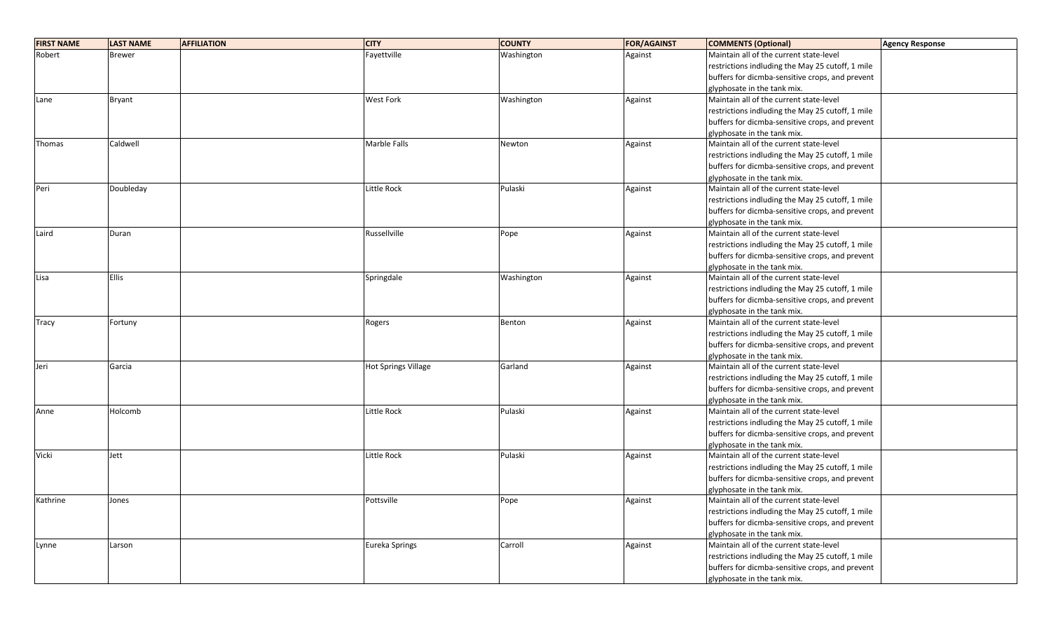| <b>FIRST NAME</b> | <b>LAST NAME</b><br><b>AFFILIATION</b> | <b>CITY</b>                | <b>COUNTY</b> | <b>FOR/AGAINST</b> | <b>COMMENTS (Optional)</b>                       | <b>Agency Response</b> |
|-------------------|----------------------------------------|----------------------------|---------------|--------------------|--------------------------------------------------|------------------------|
| Robert            | <b>Brewer</b>                          | Fayettville                | Washington    | Against            | Maintain all of the current state-level          |                        |
|                   |                                        |                            |               |                    | restrictions indluding the May 25 cutoff, 1 mile |                        |
|                   |                                        |                            |               |                    | buffers for dicmba-sensitive crops, and prevent  |                        |
|                   |                                        |                            |               |                    | glyphosate in the tank mix.                      |                        |
| Lane              | Bryant                                 | <b>West Fork</b>           | Washington    | Against            | Maintain all of the current state-level          |                        |
|                   |                                        |                            |               |                    | restrictions indluding the May 25 cutoff, 1 mile |                        |
|                   |                                        |                            |               |                    | buffers for dicmba-sensitive crops, and prevent  |                        |
|                   |                                        |                            |               |                    | glyphosate in the tank mix.                      |                        |
| Thomas            | Caldwell                               | Marble Falls               | Newton        | Against            | Maintain all of the current state-level          |                        |
|                   |                                        |                            |               |                    | restrictions indluding the May 25 cutoff, 1 mile |                        |
|                   |                                        |                            |               |                    | buffers for dicmba-sensitive crops, and prevent  |                        |
|                   |                                        |                            |               |                    | glyphosate in the tank mix.                      |                        |
| Peri              | Doubleday                              | <b>Little Rock</b>         | Pulaski       | Against            | Maintain all of the current state-level          |                        |
|                   |                                        |                            |               |                    | restrictions indluding the May 25 cutoff, 1 mile |                        |
|                   |                                        |                            |               |                    | buffers for dicmba-sensitive crops, and prevent  |                        |
|                   |                                        |                            |               |                    | glyphosate in the tank mix.                      |                        |
| Laird             | Duran                                  | Russellville               | Pope          | Against            | Maintain all of the current state-level          |                        |
|                   |                                        |                            |               |                    | restrictions indluding the May 25 cutoff, 1 mile |                        |
|                   |                                        |                            |               |                    | buffers for dicmba-sensitive crops, and prevent  |                        |
|                   |                                        |                            |               |                    | glyphosate in the tank mix.                      |                        |
| Lisa              | <b>Ellis</b>                           | Springdale                 | Washington    | Against            | Maintain all of the current state-level          |                        |
|                   |                                        |                            |               |                    | restrictions indluding the May 25 cutoff, 1 mile |                        |
|                   |                                        |                            |               |                    | buffers for dicmba-sensitive crops, and prevent  |                        |
|                   |                                        |                            |               |                    | glyphosate in the tank mix.                      |                        |
| Tracy             | Fortuny                                | Rogers                     | Benton        | Against            | Maintain all of the current state-level          |                        |
|                   |                                        |                            |               |                    | restrictions indluding the May 25 cutoff, 1 mile |                        |
|                   |                                        |                            |               |                    | buffers for dicmba-sensitive crops, and prevent  |                        |
|                   |                                        |                            |               |                    | glyphosate in the tank mix.                      |                        |
| Jeri              | Garcia                                 | <b>Hot Springs Village</b> | Garland       | Against            | Maintain all of the current state-level          |                        |
|                   |                                        |                            |               |                    | restrictions indluding the May 25 cutoff, 1 mile |                        |
|                   |                                        |                            |               |                    | buffers for dicmba-sensitive crops, and prevent  |                        |
|                   |                                        |                            |               |                    | glyphosate in the tank mix.                      |                        |
| Anne              | Holcomb                                | Little Rock                | Pulaski       | Against            | Maintain all of the current state-level          |                        |
|                   |                                        |                            |               |                    | restrictions indluding the May 25 cutoff, 1 mile |                        |
|                   |                                        |                            |               |                    | buffers for dicmba-sensitive crops, and prevent  |                        |
|                   |                                        |                            |               |                    | glyphosate in the tank mix.                      |                        |
| Vicki             | Jett                                   | Little Rock                | Pulaski       | Against            | Maintain all of the current state-level          |                        |
|                   |                                        |                            |               |                    | restrictions indluding the May 25 cutoff, 1 mile |                        |
|                   |                                        |                            |               |                    | buffers for dicmba-sensitive crops, and prevent  |                        |
|                   |                                        |                            |               |                    | glyphosate in the tank mix.                      |                        |
| Kathrine          | Jones                                  | Pottsville                 | Pope          | Against            | Maintain all of the current state-level          |                        |
|                   |                                        |                            |               |                    | restrictions indluding the May 25 cutoff, 1 mile |                        |
|                   |                                        |                            |               |                    | buffers for dicmba-sensitive crops, and prevent  |                        |
|                   |                                        |                            |               |                    | glyphosate in the tank mix.                      |                        |
| Lynne             | Larson                                 | Eureka Springs             | Carroll       | Against            | Maintain all of the current state-level          |                        |
|                   |                                        |                            |               |                    | restrictions indluding the May 25 cutoff, 1 mile |                        |
|                   |                                        |                            |               |                    | buffers for dicmba-sensitive crops, and prevent  |                        |
|                   |                                        |                            |               |                    | glyphosate in the tank mix.                      |                        |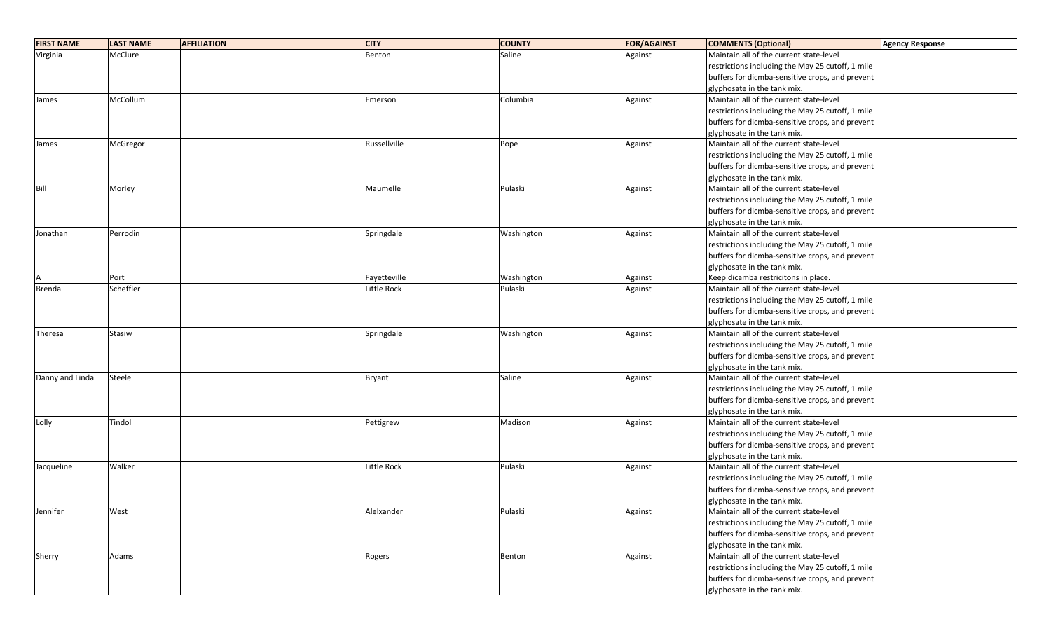| <b>FIRST NAME</b> | <b>LAST NAME</b><br><b>AFFILIATION</b> | <b>CITY</b>        | <b>COUNTY</b> | <b>FOR/AGAINST</b> | <b>COMMENTS (Optional)</b>                       | <b>Agency Response</b> |
|-------------------|----------------------------------------|--------------------|---------------|--------------------|--------------------------------------------------|------------------------|
| Virginia          | McClure                                | Benton             | Saline        | Against            | Maintain all of the current state-level          |                        |
|                   |                                        |                    |               |                    | restrictions indluding the May 25 cutoff, 1 mile |                        |
|                   |                                        |                    |               |                    | buffers for dicmba-sensitive crops, and prevent  |                        |
|                   |                                        |                    |               |                    | glyphosate in the tank mix.                      |                        |
| James             | McCollum                               | Emerson            | Columbia      | Against            | Maintain all of the current state-level          |                        |
|                   |                                        |                    |               |                    | restrictions indluding the May 25 cutoff, 1 mile |                        |
|                   |                                        |                    |               |                    | buffers for dicmba-sensitive crops, and prevent  |                        |
|                   |                                        |                    |               |                    | glyphosate in the tank mix.                      |                        |
| James             | McGregor                               | Russellville       | Pope          | Against            | Maintain all of the current state-level          |                        |
|                   |                                        |                    |               |                    | restrictions indluding the May 25 cutoff, 1 mile |                        |
|                   |                                        |                    |               |                    | buffers for dicmba-sensitive crops, and prevent  |                        |
|                   |                                        |                    |               |                    | glyphosate in the tank mix.                      |                        |
| Bill              | Morley                                 | Maumelle           | Pulaski       | Against            | Maintain all of the current state-level          |                        |
|                   |                                        |                    |               |                    | restrictions indluding the May 25 cutoff, 1 mile |                        |
|                   |                                        |                    |               |                    | buffers for dicmba-sensitive crops, and prevent  |                        |
|                   |                                        |                    |               |                    | glyphosate in the tank mix.                      |                        |
| Jonathan          | Perrodin                               | Springdale         | Washington    | Against            | Maintain all of the current state-level          |                        |
|                   |                                        |                    |               |                    | restrictions indluding the May 25 cutoff, 1 mile |                        |
|                   |                                        |                    |               |                    | buffers for dicmba-sensitive crops, and prevent  |                        |
|                   |                                        |                    |               |                    | glyphosate in the tank mix.                      |                        |
|                   | Port                                   | Fayetteville       | Washington    | Against            | Keep dicamba restricitons in place.              |                        |
| <b>Brenda</b>     | Scheffler                              | Little Rock        | Pulaski       | Against            | Maintain all of the current state-level          |                        |
|                   |                                        |                    |               |                    | restrictions indluding the May 25 cutoff, 1 mile |                        |
|                   |                                        |                    |               |                    | buffers for dicmba-sensitive crops, and prevent  |                        |
|                   |                                        |                    |               |                    | glyphosate in the tank mix.                      |                        |
| Theresa           | Stasiw                                 | Springdale         | Washington    | Against            | Maintain all of the current state-level          |                        |
|                   |                                        |                    |               |                    | restrictions indluding the May 25 cutoff, 1 mile |                        |
|                   |                                        |                    |               |                    | buffers for dicmba-sensitive crops, and prevent  |                        |
|                   |                                        |                    |               |                    | glyphosate in the tank mix.                      |                        |
| Danny and Linda   | Steele                                 | Bryant             | Saline        | Against            | Maintain all of the current state-level          |                        |
|                   |                                        |                    |               |                    | restrictions indluding the May 25 cutoff, 1 mile |                        |
|                   |                                        |                    |               |                    | buffers for dicmba-sensitive crops, and prevent  |                        |
|                   |                                        |                    |               |                    | glyphosate in the tank mix.                      |                        |
| Lolly             | Tindol                                 | Pettigrew          | Madison       | Against            | Maintain all of the current state-level          |                        |
|                   |                                        |                    |               |                    | restrictions indluding the May 25 cutoff, 1 mile |                        |
|                   |                                        |                    |               |                    | buffers for dicmba-sensitive crops, and prevent  |                        |
|                   |                                        |                    |               |                    | glyphosate in the tank mix.                      |                        |
| Jacqueline        | Walker                                 | <b>Little Rock</b> | Pulaski       | Against            | Maintain all of the current state-level          |                        |
|                   |                                        |                    |               |                    | restrictions indluding the May 25 cutoff, 1 mile |                        |
|                   |                                        |                    |               |                    | buffers for dicmba-sensitive crops, and prevent  |                        |
|                   |                                        |                    |               |                    | glyphosate in the tank mix.                      |                        |
| Jennifer          | West                                   | Alelxander         | Pulaski       | Against            | Maintain all of the current state-level          |                        |
|                   |                                        |                    |               |                    | restrictions indluding the May 25 cutoff, 1 mile |                        |
|                   |                                        |                    |               |                    | buffers for dicmba-sensitive crops, and prevent  |                        |
|                   |                                        |                    |               |                    | glyphosate in the tank mix.                      |                        |
| Sherry            | Adams                                  | Rogers             | Benton        | Against            | Maintain all of the current state-level          |                        |
|                   |                                        |                    |               |                    | restrictions indluding the May 25 cutoff, 1 mile |                        |
|                   |                                        |                    |               |                    | buffers for dicmba-sensitive crops, and prevent  |                        |
|                   |                                        |                    |               |                    | glyphosate in the tank mix.                      |                        |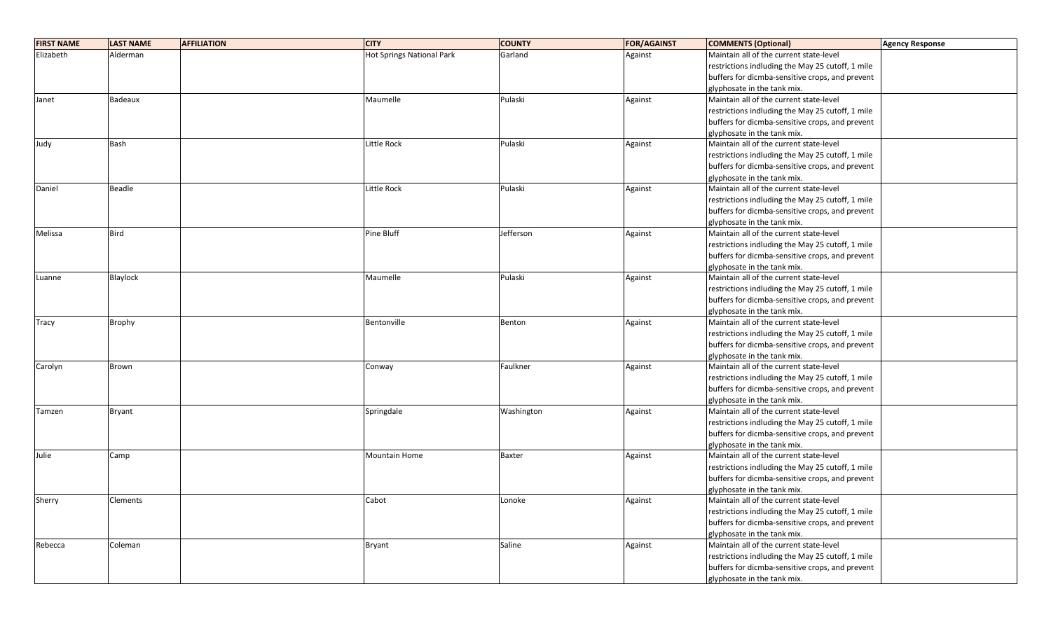| <b>FIRST NAME</b> | <b>LAST NAME</b> | <b>AFFILIATION</b> | <b>CITY</b>               | <b>COUNTY</b> | <b>FOR/AGAINST</b> | <b>COMMENTS (Optional)</b>                       | <b>Agency Response</b> |
|-------------------|------------------|--------------------|---------------------------|---------------|--------------------|--------------------------------------------------|------------------------|
| Elizabeth         | Alderman         |                    | Hot Springs National Park | Garland       | Against            | Maintain all of the current state-level          |                        |
|                   |                  |                    |                           |               |                    | restrictions indluding the May 25 cutoff, 1 mile |                        |
|                   |                  |                    |                           |               |                    | buffers for dicmba-sensitive crops, and prevent  |                        |
|                   |                  |                    |                           |               |                    | glyphosate in the tank mix.                      |                        |
| Janet             | Badeaux          |                    | Maumelle                  | Pulaski       | Against            | Maintain all of the current state-level          |                        |
|                   |                  |                    |                           |               |                    | restrictions indluding the May 25 cutoff, 1 mile |                        |
|                   |                  |                    |                           |               |                    | buffers for dicmba-sensitive crops, and prevent  |                        |
|                   |                  |                    |                           |               |                    | glyphosate in the tank mix.                      |                        |
| Judy              | Bash             |                    | Little Rock               | Pulaski       | Against            | Maintain all of the current state-level          |                        |
|                   |                  |                    |                           |               |                    | restrictions indluding the May 25 cutoff, 1 mile |                        |
|                   |                  |                    |                           |               |                    | buffers for dicmba-sensitive crops, and prevent  |                        |
|                   |                  |                    |                           |               |                    | glyphosate in the tank mix.                      |                        |
| Daniel            | Beadle           |                    | Little Rock               | Pulaski       | Against            | Maintain all of the current state-level          |                        |
|                   |                  |                    |                           |               |                    | restrictions indluding the May 25 cutoff, 1 mile |                        |
|                   |                  |                    |                           |               |                    | buffers for dicmba-sensitive crops, and prevent  |                        |
|                   |                  |                    |                           |               |                    | glyphosate in the tank mix.                      |                        |
| Melissa           | <b>Bird</b>      |                    | Pine Bluff                | Jefferson     | Against            | Maintain all of the current state-level          |                        |
|                   |                  |                    |                           |               |                    | restrictions indluding the May 25 cutoff, 1 mile |                        |
|                   |                  |                    |                           |               |                    | buffers for dicmba-sensitive crops, and prevent  |                        |
|                   |                  |                    |                           |               |                    | glyphosate in the tank mix.                      |                        |
| Luanne            | Blaylock         |                    | Maumelle                  | Pulaski       | Against            | Maintain all of the current state-level          |                        |
|                   |                  |                    |                           |               |                    | restrictions indluding the May 25 cutoff, 1 mile |                        |
|                   |                  |                    |                           |               |                    | buffers for dicmba-sensitive crops, and prevent  |                        |
|                   |                  |                    |                           |               |                    | glyphosate in the tank mix.                      |                        |
| Tracy             | <b>Brophy</b>    |                    | Bentonville               | Benton        | Against            | Maintain all of the current state-level          |                        |
|                   |                  |                    |                           |               |                    | restrictions indluding the May 25 cutoff, 1 mile |                        |
|                   |                  |                    |                           |               |                    | buffers for dicmba-sensitive crops, and prevent  |                        |
|                   |                  |                    |                           |               |                    | glyphosate in the tank mix.                      |                        |
| Carolyn           | Brown            |                    | Conway                    | Faulkner      | Against            | Maintain all of the current state-level          |                        |
|                   |                  |                    |                           |               |                    | restrictions indluding the May 25 cutoff, 1 mile |                        |
|                   |                  |                    |                           |               |                    | buffers for dicmba-sensitive crops, and prevent  |                        |
|                   |                  |                    |                           |               |                    | glyphosate in the tank mix.                      |                        |
| Tamzen            | <b>Bryant</b>    |                    | Springdale                | Washington    | Against            | Maintain all of the current state-level          |                        |
|                   |                  |                    |                           |               |                    | restrictions indluding the May 25 cutoff, 1 mile |                        |
|                   |                  |                    |                           |               |                    | buffers for dicmba-sensitive crops, and prevent  |                        |
|                   |                  |                    |                           |               |                    | glyphosate in the tank mix.                      |                        |
| Julie             | Camp             |                    | Mountain Home             | <b>Baxter</b> | Against            | Maintain all of the current state-level          |                        |
|                   |                  |                    |                           |               |                    | restrictions indluding the May 25 cutoff, 1 mile |                        |
|                   |                  |                    |                           |               |                    | buffers for dicmba-sensitive crops, and prevent  |                        |
|                   |                  |                    |                           |               |                    | glyphosate in the tank mix.                      |                        |
| Sherry            | Clements         |                    | Cabot                     | Lonoke        | Against            | Maintain all of the current state-level          |                        |
|                   |                  |                    |                           |               |                    | restrictions indluding the May 25 cutoff, 1 mile |                        |
|                   |                  |                    |                           |               |                    | buffers for dicmba-sensitive crops, and prevent  |                        |
|                   |                  |                    |                           |               |                    | glyphosate in the tank mix.                      |                        |
| Rebecca           | Coleman          |                    | Bryant                    | Saline        | Against            | Maintain all of the current state-level          |                        |
|                   |                  |                    |                           |               |                    | restrictions indluding the May 25 cutoff, 1 mile |                        |
|                   |                  |                    |                           |               |                    | buffers for dicmba-sensitive crops, and prevent  |                        |
|                   |                  |                    |                           |               |                    | glyphosate in the tank mix.                      |                        |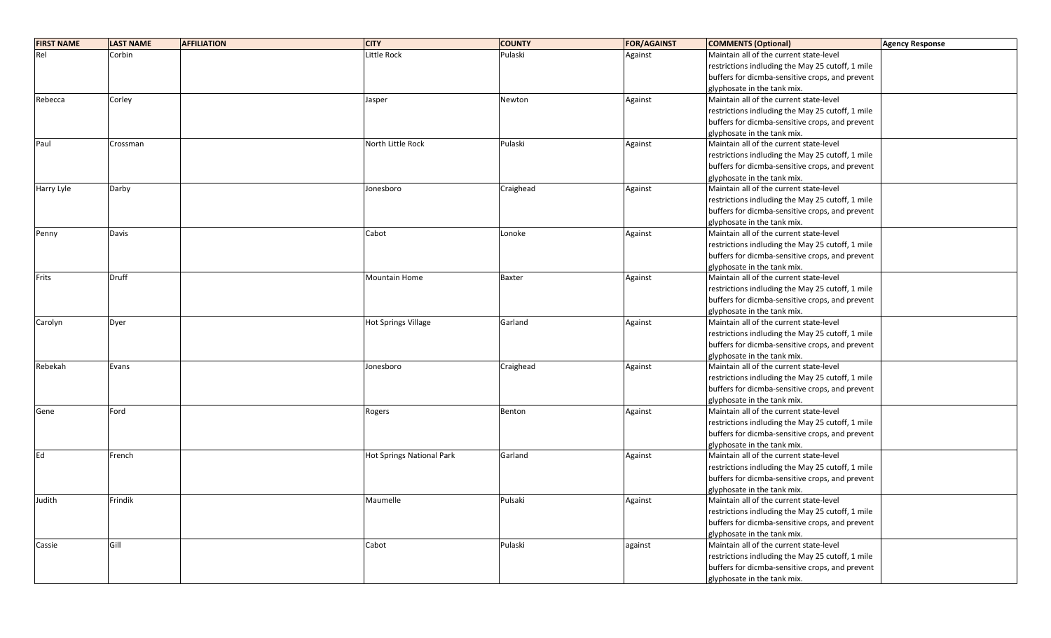| <b>FIRST NAME</b> | <b>LAST NAME</b> | <b>AFFILIATION</b> | <b>CITY</b>                | <b>COUNTY</b> | <b>FOR/AGAINST</b> | <b>COMMENTS (Optional)</b>                       | <b>Agency Response</b> |
|-------------------|------------------|--------------------|----------------------------|---------------|--------------------|--------------------------------------------------|------------------------|
| Rel               | Corbin           |                    | Little Rock                | Pulaski       | Against            | Maintain all of the current state-level          |                        |
|                   |                  |                    |                            |               |                    | restrictions indluding the May 25 cutoff, 1 mile |                        |
|                   |                  |                    |                            |               |                    | buffers for dicmba-sensitive crops, and prevent  |                        |
|                   |                  |                    |                            |               |                    | glyphosate in the tank mix.                      |                        |
| Rebecca           | Corley           |                    | Jasper                     | Newton        | Against            | Maintain all of the current state-level          |                        |
|                   |                  |                    |                            |               |                    | restrictions indluding the May 25 cutoff, 1 mile |                        |
|                   |                  |                    |                            |               |                    | buffers for dicmba-sensitive crops, and prevent  |                        |
|                   |                  |                    |                            |               |                    | glyphosate in the tank mix.                      |                        |
| Paul              | Crossman         |                    | North Little Rock          | Pulaski       | Against            | Maintain all of the current state-level          |                        |
|                   |                  |                    |                            |               |                    | restrictions indluding the May 25 cutoff, 1 mile |                        |
|                   |                  |                    |                            |               |                    | buffers for dicmba-sensitive crops, and prevent  |                        |
|                   |                  |                    |                            |               |                    | glyphosate in the tank mix.                      |                        |
| Harry Lyle        | Darby            |                    | Jonesboro                  | Craighead     | Against            | Maintain all of the current state-level          |                        |
|                   |                  |                    |                            |               |                    | restrictions indluding the May 25 cutoff, 1 mile |                        |
|                   |                  |                    |                            |               |                    | buffers for dicmba-sensitive crops, and prevent  |                        |
|                   |                  |                    |                            |               |                    | glyphosate in the tank mix.                      |                        |
| Penny             | Davis            |                    | Cabot                      | Lonoke        | Against            | Maintain all of the current state-level          |                        |
|                   |                  |                    |                            |               |                    | restrictions indluding the May 25 cutoff, 1 mile |                        |
|                   |                  |                    |                            |               |                    | buffers for dicmba-sensitive crops, and prevent  |                        |
|                   |                  |                    |                            |               |                    | glyphosate in the tank mix.                      |                        |
| Frits             | <b>Druff</b>     |                    | Mountain Home              | <b>Baxter</b> | Against            | Maintain all of the current state-level          |                        |
|                   |                  |                    |                            |               |                    | restrictions indluding the May 25 cutoff, 1 mile |                        |
|                   |                  |                    |                            |               |                    | buffers for dicmba-sensitive crops, and prevent  |                        |
|                   |                  |                    |                            |               |                    | glyphosate in the tank mix.                      |                        |
| Carolyn           | Dyer             |                    | <b>Hot Springs Village</b> | Garland       | Against            | Maintain all of the current state-level          |                        |
|                   |                  |                    |                            |               |                    | restrictions indluding the May 25 cutoff, 1 mile |                        |
|                   |                  |                    |                            |               |                    | buffers for dicmba-sensitive crops, and prevent  |                        |
|                   |                  |                    |                            |               |                    | glyphosate in the tank mix.                      |                        |
| Rebekah           | Evans            |                    | Jonesboro                  | Craighead     | Against            | Maintain all of the current state-level          |                        |
|                   |                  |                    |                            |               |                    | restrictions indluding the May 25 cutoff, 1 mile |                        |
|                   |                  |                    |                            |               |                    | buffers for dicmba-sensitive crops, and prevent  |                        |
|                   |                  |                    |                            |               |                    | glyphosate in the tank mix.                      |                        |
| Gene              | Ford             |                    | Rogers                     | Benton        | Against            | Maintain all of the current state-level          |                        |
|                   |                  |                    |                            |               |                    | restrictions indluding the May 25 cutoff, 1 mile |                        |
|                   |                  |                    |                            |               |                    | buffers for dicmba-sensitive crops, and prevent  |                        |
|                   |                  |                    |                            |               |                    | glyphosate in the tank mix.                      |                        |
| Ed                | French           |                    | Hot Springs National Park  | Garland       | Against            | Maintain all of the current state-level          |                        |
|                   |                  |                    |                            |               |                    | restrictions indluding the May 25 cutoff, 1 mile |                        |
|                   |                  |                    |                            |               |                    | buffers for dicmba-sensitive crops, and prevent  |                        |
|                   |                  |                    |                            |               |                    | glyphosate in the tank mix.                      |                        |
| Judith            | Frindik          |                    | Maumelle                   | Pulsaki       | Against            | Maintain all of the current state-level          |                        |
|                   |                  |                    |                            |               |                    | restrictions indluding the May 25 cutoff, 1 mile |                        |
|                   |                  |                    |                            |               |                    | buffers for dicmba-sensitive crops, and prevent  |                        |
|                   |                  |                    |                            |               |                    | glyphosate in the tank mix.                      |                        |
| Cassie            | Gill             |                    | Cabot                      | Pulaski       | against            | Maintain all of the current state-level          |                        |
|                   |                  |                    |                            |               |                    | restrictions indluding the May 25 cutoff, 1 mile |                        |
|                   |                  |                    |                            |               |                    | buffers for dicmba-sensitive crops, and prevent  |                        |
|                   |                  |                    |                            |               |                    | glyphosate in the tank mix.                      |                        |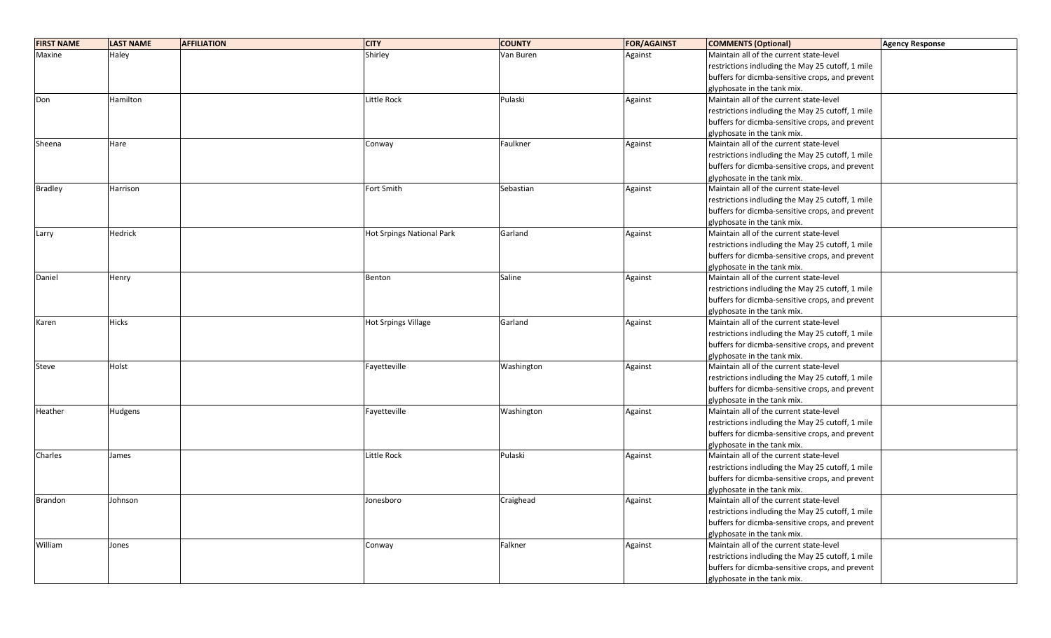| <b>FIRST NAME</b> | <b>LAST NAME</b> | <b>AFFILIATION</b> | <b>CITY</b>                | <b>COUNTY</b> | <b>FOR/AGAINST</b> | <b>COMMENTS (Optional)</b>                       | <b>Agency Response</b> |
|-------------------|------------------|--------------------|----------------------------|---------------|--------------------|--------------------------------------------------|------------------------|
| Maxine            | Haley            |                    | Shirley                    | Van Buren     | Against            | Maintain all of the current state-level          |                        |
|                   |                  |                    |                            |               |                    | restrictions indluding the May 25 cutoff, 1 mile |                        |
|                   |                  |                    |                            |               |                    | buffers for dicmba-sensitive crops, and prevent  |                        |
|                   |                  |                    |                            |               |                    | glyphosate in the tank mix.                      |                        |
| Don               | Hamilton         |                    | Little Rock                | Pulaski       | Against            | Maintain all of the current state-level          |                        |
|                   |                  |                    |                            |               |                    | restrictions indluding the May 25 cutoff, 1 mile |                        |
|                   |                  |                    |                            |               |                    | buffers for dicmba-sensitive crops, and prevent  |                        |
|                   |                  |                    |                            |               |                    | glyphosate in the tank mix.                      |                        |
| Sheena            | Hare             |                    | Conway                     | Faulkner      | Against            | Maintain all of the current state-level          |                        |
|                   |                  |                    |                            |               |                    | restrictions indluding the May 25 cutoff, 1 mile |                        |
|                   |                  |                    |                            |               |                    | buffers for dicmba-sensitive crops, and prevent  |                        |
|                   |                  |                    |                            |               |                    | glyphosate in the tank mix.                      |                        |
| <b>Bradley</b>    | Harrison         |                    | Fort Smith                 | Sebastian     | Against            | Maintain all of the current state-level          |                        |
|                   |                  |                    |                            |               |                    | restrictions indluding the May 25 cutoff, 1 mile |                        |
|                   |                  |                    |                            |               |                    | buffers for dicmba-sensitive crops, and prevent  |                        |
|                   |                  |                    |                            |               |                    | glyphosate in the tank mix.                      |                        |
| Larry             | Hedrick          |                    | Hot Srpings National Park  | Garland       | Against            | Maintain all of the current state-level          |                        |
|                   |                  |                    |                            |               |                    | restrictions indluding the May 25 cutoff, 1 mile |                        |
|                   |                  |                    |                            |               |                    | buffers for dicmba-sensitive crops, and prevent  |                        |
|                   |                  |                    |                            |               |                    | glyphosate in the tank mix.                      |                        |
| Daniel            | Henry            |                    | Benton                     | Saline        | Against            | Maintain all of the current state-level          |                        |
|                   |                  |                    |                            |               |                    | restrictions indluding the May 25 cutoff, 1 mile |                        |
|                   |                  |                    |                            |               |                    | buffers for dicmba-sensitive crops, and prevent  |                        |
|                   |                  |                    |                            |               |                    | glyphosate in the tank mix.                      |                        |
| Karen             | <b>Hicks</b>     |                    | <b>Hot Srpings Village</b> | Garland       | Against            | Maintain all of the current state-level          |                        |
|                   |                  |                    |                            |               |                    | restrictions indluding the May 25 cutoff, 1 mile |                        |
|                   |                  |                    |                            |               |                    | buffers for dicmba-sensitive crops, and prevent  |                        |
|                   |                  |                    |                            |               |                    | glyphosate in the tank mix.                      |                        |
| Steve             | Holst            |                    | Fayetteville               | Washington    | Against            | Maintain all of the current state-level          |                        |
|                   |                  |                    |                            |               |                    | restrictions indluding the May 25 cutoff, 1 mile |                        |
|                   |                  |                    |                            |               |                    | buffers for dicmba-sensitive crops, and prevent  |                        |
|                   |                  |                    |                            |               |                    | glyphosate in the tank mix.                      |                        |
| Heather           | Hudgens          |                    | Fayetteville               | Washington    | Against            | Maintain all of the current state-level          |                        |
|                   |                  |                    |                            |               |                    | restrictions indluding the May 25 cutoff, 1 mile |                        |
|                   |                  |                    |                            |               |                    | buffers for dicmba-sensitive crops, and prevent  |                        |
|                   |                  |                    |                            |               |                    | glyphosate in the tank mix.                      |                        |
| Charles           | James            |                    | Little Rock                | Pulaski       | Against            | Maintain all of the current state-level          |                        |
|                   |                  |                    |                            |               |                    | restrictions indluding the May 25 cutoff, 1 mile |                        |
|                   |                  |                    |                            |               |                    | buffers for dicmba-sensitive crops, and prevent  |                        |
|                   |                  |                    |                            |               |                    | glyphosate in the tank mix.                      |                        |
| Brandon           | Johnson          |                    | Jonesboro                  | Craighead     | Against            | Maintain all of the current state-level          |                        |
|                   |                  |                    |                            |               |                    | restrictions indluding the May 25 cutoff, 1 mile |                        |
|                   |                  |                    |                            |               |                    | buffers for dicmba-sensitive crops, and prevent  |                        |
|                   |                  |                    |                            |               |                    | glyphosate in the tank mix.                      |                        |
| William           | Jones            |                    | Conway                     | Falkner       | Against            | Maintain all of the current state-level          |                        |
|                   |                  |                    |                            |               |                    | restrictions indluding the May 25 cutoff, 1 mile |                        |
|                   |                  |                    |                            |               |                    | buffers for dicmba-sensitive crops, and prevent  |                        |
|                   |                  |                    |                            |               |                    | glyphosate in the tank mix.                      |                        |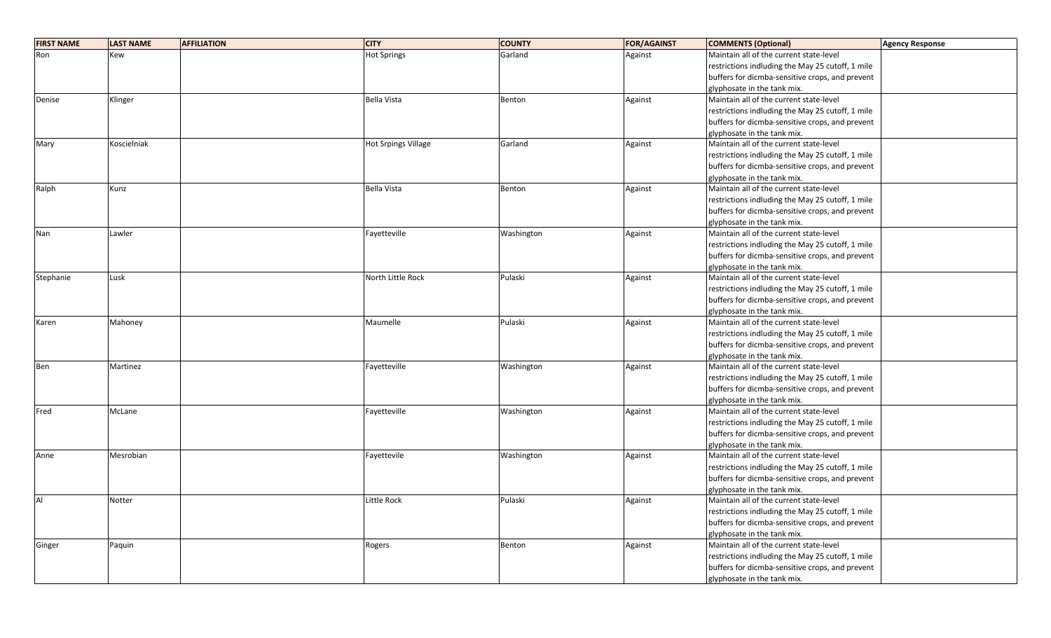| <b>FIRST NAME</b> | <b>LAST NAME</b> | <b>AFFILIATION</b> | <b>CITY</b>         | <b>COUNTY</b> | <b>FOR/AGAINST</b> | <b>COMMENTS (Optional)</b>                       | <b>Agency Response</b> |
|-------------------|------------------|--------------------|---------------------|---------------|--------------------|--------------------------------------------------|------------------------|
| Ron               | Kew              |                    | <b>Hot Springs</b>  | Garland       | Against            | Maintain all of the current state-level          |                        |
|                   |                  |                    |                     |               |                    | restrictions indluding the May 25 cutoff, 1 mile |                        |
|                   |                  |                    |                     |               |                    | buffers for dicmba-sensitive crops, and prevent  |                        |
|                   |                  |                    |                     |               |                    | glyphosate in the tank mix.                      |                        |
| Denise            | Klinger          |                    | <b>Bella Vista</b>  | Benton        | Against            | Maintain all of the current state-level          |                        |
|                   |                  |                    |                     |               |                    | restrictions indluding the May 25 cutoff, 1 mile |                        |
|                   |                  |                    |                     |               |                    | buffers for dicmba-sensitive crops, and prevent  |                        |
|                   |                  |                    |                     |               |                    | glyphosate in the tank mix.                      |                        |
| Mary              | Koscielniak      |                    | Hot Srpings Village | Garland       | Against            | Maintain all of the current state-level          |                        |
|                   |                  |                    |                     |               |                    | restrictions indluding the May 25 cutoff, 1 mile |                        |
|                   |                  |                    |                     |               |                    | buffers for dicmba-sensitive crops, and prevent  |                        |
|                   |                  |                    |                     |               |                    | glyphosate in the tank mix.                      |                        |
| Ralph             | Kunz             |                    | Bella Vista         | Benton        | Against            | Maintain all of the current state-level          |                        |
|                   |                  |                    |                     |               |                    | restrictions indluding the May 25 cutoff, 1 mile |                        |
|                   |                  |                    |                     |               |                    | buffers for dicmba-sensitive crops, and prevent  |                        |
|                   |                  |                    |                     |               |                    | glyphosate in the tank mix.                      |                        |
| Nan               | Lawler           |                    | Fayetteville        | Washington    | Against            | Maintain all of the current state-level          |                        |
|                   |                  |                    |                     |               |                    | restrictions indluding the May 25 cutoff, 1 mile |                        |
|                   |                  |                    |                     |               |                    | buffers for dicmba-sensitive crops, and prevent  |                        |
|                   |                  |                    |                     |               |                    | glyphosate in the tank mix.                      |                        |
| Stephanie         | Lusk             |                    | North Little Rock   | Pulaski       | Against            | Maintain all of the current state-level          |                        |
|                   |                  |                    |                     |               |                    | restrictions indluding the May 25 cutoff, 1 mile |                        |
|                   |                  |                    |                     |               |                    | buffers for dicmba-sensitive crops, and prevent  |                        |
|                   |                  |                    |                     |               |                    | glyphosate in the tank mix.                      |                        |
| Karen             | Mahoney          |                    | Maumelle            | Pulaski       | Against            | Maintain all of the current state-level          |                        |
|                   |                  |                    |                     |               |                    | restrictions indluding the May 25 cutoff, 1 mile |                        |
|                   |                  |                    |                     |               |                    | buffers for dicmba-sensitive crops, and prevent  |                        |
|                   |                  |                    |                     |               |                    | glyphosate in the tank mix.                      |                        |
| Ben               | Martinez         |                    | Fayetteville        | Washington    | Against            | Maintain all of the current state-level          |                        |
|                   |                  |                    |                     |               |                    | restrictions indluding the May 25 cutoff, 1 mile |                        |
|                   |                  |                    |                     |               |                    | buffers for dicmba-sensitive crops, and prevent  |                        |
|                   |                  |                    |                     |               |                    | glyphosate in the tank mix.                      |                        |
| Fred              | McLane           |                    | Fayetteville        | Washington    | Against            | Maintain all of the current state-level          |                        |
|                   |                  |                    |                     |               |                    | restrictions indluding the May 25 cutoff, 1 mile |                        |
|                   |                  |                    |                     |               |                    | buffers for dicmba-sensitive crops, and prevent  |                        |
|                   |                  |                    |                     |               |                    | glyphosate in the tank mix.                      |                        |
| Anne              | Mesrobian        |                    | Fayettevile         | Washington    | Against            | Maintain all of the current state-level          |                        |
|                   |                  |                    |                     |               |                    | restrictions indluding the May 25 cutoff, 1 mile |                        |
|                   |                  |                    |                     |               |                    | buffers for dicmba-sensitive crops, and prevent  |                        |
|                   |                  |                    |                     |               |                    | glyphosate in the tank mix.                      |                        |
| Al                | Notter           |                    | Little Rock         | Pulaski       | Against            | Maintain all of the current state-level          |                        |
|                   |                  |                    |                     |               |                    | restrictions indluding the May 25 cutoff, 1 mile |                        |
|                   |                  |                    |                     |               |                    | buffers for dicmba-sensitive crops, and prevent  |                        |
|                   |                  |                    |                     |               |                    | glyphosate in the tank mix.                      |                        |
| Ginger            | Paquin           |                    | Rogers              | Benton        | Against            | Maintain all of the current state-level          |                        |
|                   |                  |                    |                     |               |                    | restrictions indluding the May 25 cutoff, 1 mile |                        |
|                   |                  |                    |                     |               |                    | buffers for dicmba-sensitive crops, and prevent  |                        |
|                   |                  |                    |                     |               |                    | glyphosate in the tank mix.                      |                        |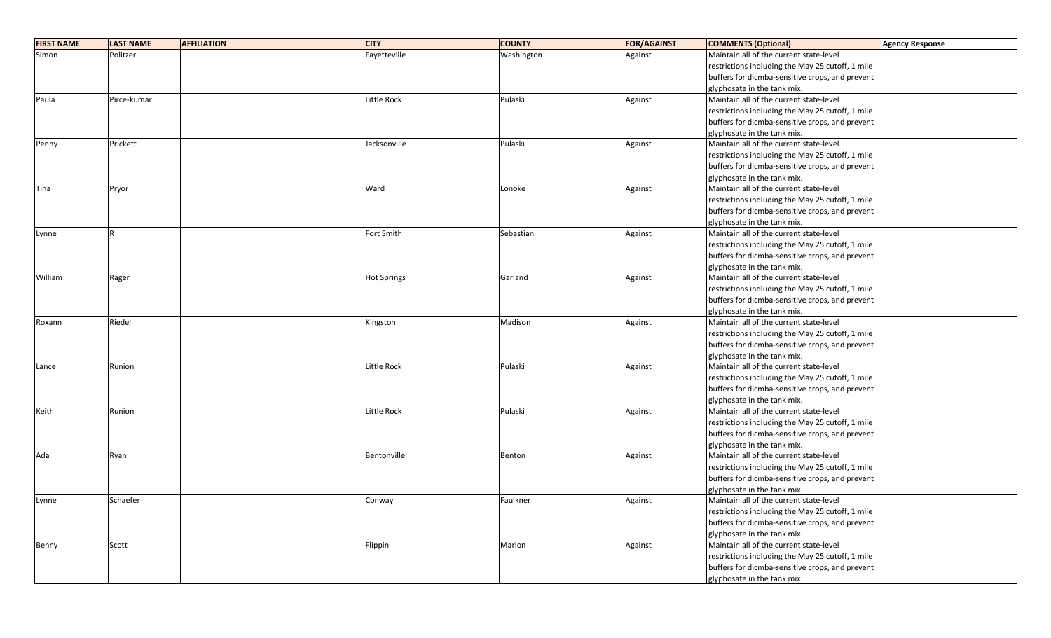| <b>FIRST NAME</b> | <b>LAST NAME</b> | <b>AFFILIATION</b> | <b>CITY</b>        | <b>COUNTY</b> | <b>FOR/AGAINST</b> | <b>COMMENTS (Optional)</b>                       | <b>Agency Response</b> |
|-------------------|------------------|--------------------|--------------------|---------------|--------------------|--------------------------------------------------|------------------------|
| Simon             | Politzer         |                    | Fayetteville       | Washington    | Against            | Maintain all of the current state-level          |                        |
|                   |                  |                    |                    |               |                    | restrictions indluding the May 25 cutoff, 1 mile |                        |
|                   |                  |                    |                    |               |                    | buffers for dicmba-sensitive crops, and prevent  |                        |
|                   |                  |                    |                    |               |                    | glyphosate in the tank mix.                      |                        |
| Paula             | Pirce-kumar      |                    | Little Rock        | Pulaski       | Against            | Maintain all of the current state-level          |                        |
|                   |                  |                    |                    |               |                    | restrictions indluding the May 25 cutoff, 1 mile |                        |
|                   |                  |                    |                    |               |                    | buffers for dicmba-sensitive crops, and prevent  |                        |
|                   |                  |                    |                    |               |                    | glyphosate in the tank mix.                      |                        |
| Penny             | Prickett         |                    | Jacksonville       | Pulaski       | Against            | Maintain all of the current state-level          |                        |
|                   |                  |                    |                    |               |                    | restrictions indluding the May 25 cutoff, 1 mile |                        |
|                   |                  |                    |                    |               |                    | buffers for dicmba-sensitive crops, and prevent  |                        |
|                   |                  |                    |                    |               |                    | glyphosate in the tank mix.                      |                        |
| Tina              | Pryor            |                    | Ward               | Lonoke        | Against            | Maintain all of the current state-level          |                        |
|                   |                  |                    |                    |               |                    | restrictions indluding the May 25 cutoff, 1 mile |                        |
|                   |                  |                    |                    |               |                    | buffers for dicmba-sensitive crops, and prevent  |                        |
|                   |                  |                    |                    |               |                    | glyphosate in the tank mix.                      |                        |
| Lynne             | R                |                    | Fort Smith         | Sebastian     | Against            | Maintain all of the current state-level          |                        |
|                   |                  |                    |                    |               |                    | restrictions indluding the May 25 cutoff, 1 mile |                        |
|                   |                  |                    |                    |               |                    | buffers for dicmba-sensitive crops, and prevent  |                        |
|                   |                  |                    |                    |               |                    | glyphosate in the tank mix.                      |                        |
| William           | Rager            |                    | <b>Hot Springs</b> | Garland       | Against            | Maintain all of the current state-level          |                        |
|                   |                  |                    |                    |               |                    | restrictions indluding the May 25 cutoff, 1 mile |                        |
|                   |                  |                    |                    |               |                    | buffers for dicmba-sensitive crops, and prevent  |                        |
|                   |                  |                    |                    |               |                    | glyphosate in the tank mix.                      |                        |
| Roxann            | Riedel           |                    | Kingston           | Madison       | Against            | Maintain all of the current state-level          |                        |
|                   |                  |                    |                    |               |                    | restrictions indluding the May 25 cutoff, 1 mile |                        |
|                   |                  |                    |                    |               |                    | buffers for dicmba-sensitive crops, and prevent  |                        |
|                   |                  |                    |                    |               |                    | glyphosate in the tank mix.                      |                        |
| Lance             | Runion           |                    | Little Rock        | Pulaski       | Against            | Maintain all of the current state-level          |                        |
|                   |                  |                    |                    |               |                    | restrictions indluding the May 25 cutoff, 1 mile |                        |
|                   |                  |                    |                    |               |                    | buffers for dicmba-sensitive crops, and prevent  |                        |
|                   |                  |                    |                    |               |                    | glyphosate in the tank mix.                      |                        |
| Keith             | Runion           |                    | Little Rock        | Pulaski       | Against            | Maintain all of the current state-level          |                        |
|                   |                  |                    |                    |               |                    | restrictions indluding the May 25 cutoff, 1 mile |                        |
|                   |                  |                    |                    |               |                    | buffers for dicmba-sensitive crops, and prevent  |                        |
|                   |                  |                    |                    |               |                    | glyphosate in the tank mix.                      |                        |
| Ada               | Ryan             |                    | Bentonville        | Benton        | Against            | Maintain all of the current state-level          |                        |
|                   |                  |                    |                    |               |                    | restrictions indluding the May 25 cutoff, 1 mile |                        |
|                   |                  |                    |                    |               |                    | buffers for dicmba-sensitive crops, and prevent  |                        |
|                   |                  |                    |                    |               |                    | glyphosate in the tank mix.                      |                        |
| Lynne             | Schaefer         |                    | Conway             | Faulkner      | Against            | Maintain all of the current state-level          |                        |
|                   |                  |                    |                    |               |                    | restrictions indluding the May 25 cutoff, 1 mile |                        |
|                   |                  |                    |                    |               |                    | buffers for dicmba-sensitive crops, and prevent  |                        |
|                   |                  |                    |                    |               |                    | glyphosate in the tank mix.                      |                        |
| Benny             | Scott            |                    | Flippin            | Marion        | Against            | Maintain all of the current state-level          |                        |
|                   |                  |                    |                    |               |                    | restrictions indluding the May 25 cutoff, 1 mile |                        |
|                   |                  |                    |                    |               |                    | buffers for dicmba-sensitive crops, and prevent  |                        |
|                   |                  |                    |                    |               |                    | glyphosate in the tank mix.                      |                        |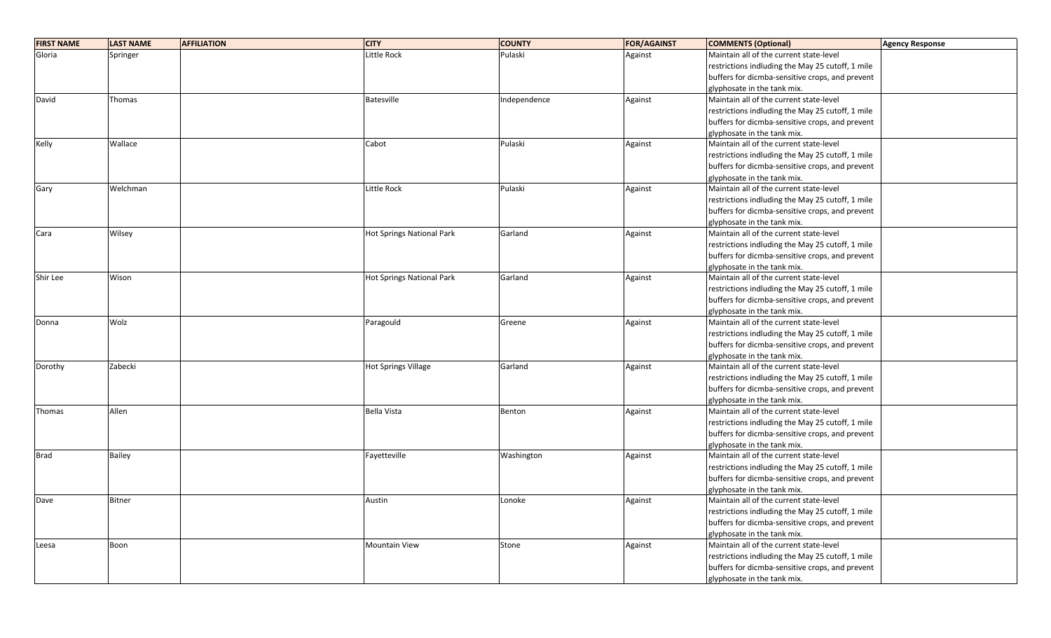| <b>FIRST NAME</b> | <b>LAST NAME</b> | <b>AFFILIATION</b> | <b>CITY</b>                      | <b>COUNTY</b> | <b>FOR/AGAINST</b> | <b>COMMENTS (Optional)</b>                       | <b>Agency Response</b> |
|-------------------|------------------|--------------------|----------------------------------|---------------|--------------------|--------------------------------------------------|------------------------|
| Gloria            | Springer         |                    | Little Rock                      | Pulaski       | Against            | Maintain all of the current state-level          |                        |
|                   |                  |                    |                                  |               |                    | restrictions indluding the May 25 cutoff, 1 mile |                        |
|                   |                  |                    |                                  |               |                    | buffers for dicmba-sensitive crops, and prevent  |                        |
|                   |                  |                    |                                  |               |                    | glyphosate in the tank mix.                      |                        |
| David             | Thomas           |                    | <b>Batesville</b>                | Independence  | Against            | Maintain all of the current state-level          |                        |
|                   |                  |                    |                                  |               |                    | restrictions indluding the May 25 cutoff, 1 mile |                        |
|                   |                  |                    |                                  |               |                    | buffers for dicmba-sensitive crops, and prevent  |                        |
|                   |                  |                    |                                  |               |                    | glyphosate in the tank mix.                      |                        |
| Kelly             | Wallace          |                    | Cabot                            | Pulaski       | Against            | Maintain all of the current state-level          |                        |
|                   |                  |                    |                                  |               |                    | restrictions indluding the May 25 cutoff, 1 mile |                        |
|                   |                  |                    |                                  |               |                    | buffers for dicmba-sensitive crops, and prevent  |                        |
|                   |                  |                    |                                  |               |                    | glyphosate in the tank mix.                      |                        |
| Gary              | Welchman         |                    | <b>Little Rock</b>               | Pulaski       | Against            | Maintain all of the current state-level          |                        |
|                   |                  |                    |                                  |               |                    | restrictions indluding the May 25 cutoff, 1 mile |                        |
|                   |                  |                    |                                  |               |                    | buffers for dicmba-sensitive crops, and prevent  |                        |
|                   |                  |                    |                                  |               |                    | glyphosate in the tank mix.                      |                        |
| Cara              | Wilsey           |                    | Hot Springs National Park        | Garland       | Against            | Maintain all of the current state-level          |                        |
|                   |                  |                    |                                  |               |                    | restrictions indluding the May 25 cutoff, 1 mile |                        |
|                   |                  |                    |                                  |               |                    | buffers for dicmba-sensitive crops, and prevent  |                        |
|                   |                  |                    |                                  |               |                    | glyphosate in the tank mix.                      |                        |
| Shir Lee          | Wison            |                    | <b>Hot Springs National Park</b> | Garland       | Against            | Maintain all of the current state-level          |                        |
|                   |                  |                    |                                  |               |                    | restrictions indluding the May 25 cutoff, 1 mile |                        |
|                   |                  |                    |                                  |               |                    | buffers for dicmba-sensitive crops, and prevent  |                        |
|                   |                  |                    |                                  |               |                    | glyphosate in the tank mix.                      |                        |
| Donna             | Wolz             |                    | Paragould                        | Greene        | Against            | Maintain all of the current state-level          |                        |
|                   |                  |                    |                                  |               |                    | restrictions indluding the May 25 cutoff, 1 mile |                        |
|                   |                  |                    |                                  |               |                    | buffers for dicmba-sensitive crops, and prevent  |                        |
|                   |                  |                    |                                  |               |                    | glyphosate in the tank mix.                      |                        |
| Dorothy           | Zabecki          |                    | <b>Hot Springs Village</b>       | Garland       | Against            | Maintain all of the current state-level          |                        |
|                   |                  |                    |                                  |               |                    | restrictions indluding the May 25 cutoff, 1 mile |                        |
|                   |                  |                    |                                  |               |                    | buffers for dicmba-sensitive crops, and prevent  |                        |
|                   |                  |                    |                                  |               |                    | glyphosate in the tank mix.                      |                        |
| Thomas            | Allen            |                    | <b>Bella Vista</b>               | Benton        | Against            | Maintain all of the current state-level          |                        |
|                   |                  |                    |                                  |               |                    | restrictions indluding the May 25 cutoff, 1 mile |                        |
|                   |                  |                    |                                  |               |                    | buffers for dicmba-sensitive crops, and prevent  |                        |
|                   |                  |                    |                                  |               |                    | glyphosate in the tank mix.                      |                        |
| <b>Brad</b>       | <b>Bailey</b>    |                    | Fayetteville                     | Washington    | Against            | Maintain all of the current state-level          |                        |
|                   |                  |                    |                                  |               |                    | restrictions indluding the May 25 cutoff, 1 mile |                        |
|                   |                  |                    |                                  |               |                    | buffers for dicmba-sensitive crops, and prevent  |                        |
|                   |                  |                    |                                  |               |                    | glyphosate in the tank mix.                      |                        |
| Dave              | <b>Bitner</b>    |                    | Austin                           | Lonoke        | Against            | Maintain all of the current state-level          |                        |
|                   |                  |                    |                                  |               |                    | restrictions indluding the May 25 cutoff, 1 mile |                        |
|                   |                  |                    |                                  |               |                    | buffers for dicmba-sensitive crops, and prevent  |                        |
|                   |                  |                    |                                  |               |                    | glyphosate in the tank mix.                      |                        |
| Leesa             | Boon             |                    | <b>Mountain View</b>             | Stone         | Against            | Maintain all of the current state-level          |                        |
|                   |                  |                    |                                  |               |                    | restrictions indluding the May 25 cutoff, 1 mile |                        |
|                   |                  |                    |                                  |               |                    | buffers for dicmba-sensitive crops, and prevent  |                        |
|                   |                  |                    |                                  |               |                    | glyphosate in the tank mix.                      |                        |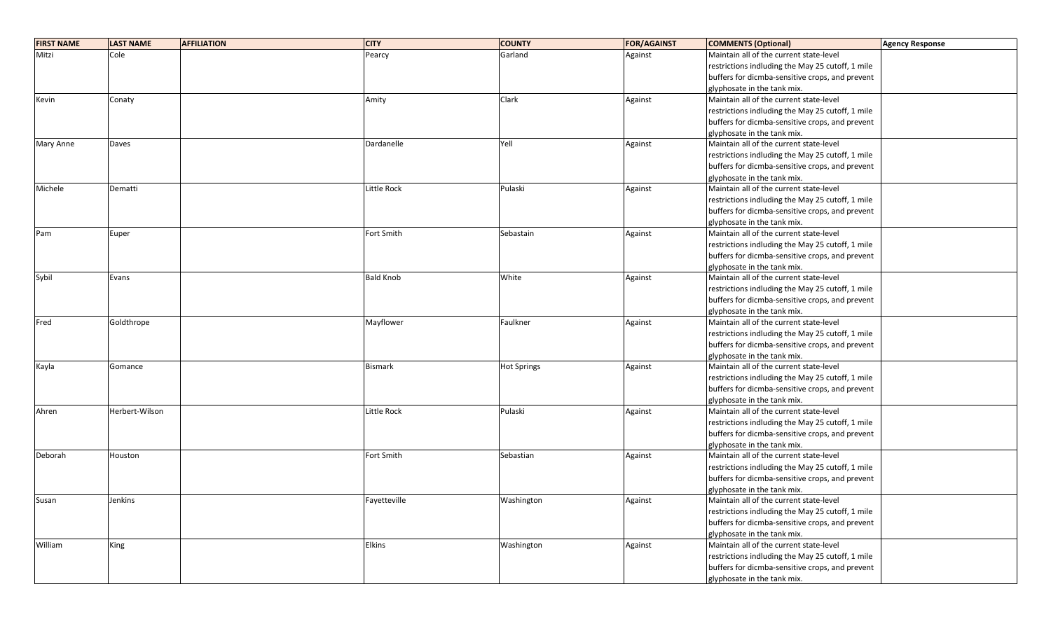| <b>FIRST NAME</b> | <b>LAST NAME</b><br><b>AFFILIATION</b> | <b>CITY</b>        | <b>COUNTY</b>      | <b>FOR/AGAINST</b> | <b>COMMENTS (Optional)</b>                       | <b>Agency Response</b> |
|-------------------|----------------------------------------|--------------------|--------------------|--------------------|--------------------------------------------------|------------------------|
| Mitzi             | Cole                                   | Pearcy             | Garland            | Against            | Maintain all of the current state-level          |                        |
|                   |                                        |                    |                    |                    | restrictions indluding the May 25 cutoff, 1 mile |                        |
|                   |                                        |                    |                    |                    | buffers for dicmba-sensitive crops, and prevent  |                        |
|                   |                                        |                    |                    |                    | glyphosate in the tank mix.                      |                        |
| Kevin             | Conaty                                 | Amity              | Clark              | Against            | Maintain all of the current state-level          |                        |
|                   |                                        |                    |                    |                    | restrictions indluding the May 25 cutoff, 1 mile |                        |
|                   |                                        |                    |                    |                    | buffers for dicmba-sensitive crops, and prevent  |                        |
|                   |                                        |                    |                    |                    | glyphosate in the tank mix.                      |                        |
| Mary Anne         | Daves                                  | Dardanelle         | Yell               | Against            | Maintain all of the current state-level          |                        |
|                   |                                        |                    |                    |                    | restrictions indluding the May 25 cutoff, 1 mile |                        |
|                   |                                        |                    |                    |                    | buffers for dicmba-sensitive crops, and prevent  |                        |
|                   |                                        |                    |                    |                    | glyphosate in the tank mix.                      |                        |
| Michele           | Dematti                                | <b>Little Rock</b> | Pulaski            | Against            | Maintain all of the current state-level          |                        |
|                   |                                        |                    |                    |                    | restrictions indluding the May 25 cutoff, 1 mile |                        |
|                   |                                        |                    |                    |                    | buffers for dicmba-sensitive crops, and prevent  |                        |
|                   |                                        |                    |                    |                    | glyphosate in the tank mix.                      |                        |
| Pam               | Euper                                  | Fort Smith         | Sebastain          | Against            | Maintain all of the current state-level          |                        |
|                   |                                        |                    |                    |                    | restrictions indluding the May 25 cutoff, 1 mile |                        |
|                   |                                        |                    |                    |                    | buffers for dicmba-sensitive crops, and prevent  |                        |
|                   |                                        |                    |                    |                    | glyphosate in the tank mix.                      |                        |
| Sybil             | Evans                                  | <b>Bald Knob</b>   | White              | Against            | Maintain all of the current state-level          |                        |
|                   |                                        |                    |                    |                    | restrictions indluding the May 25 cutoff, 1 mile |                        |
|                   |                                        |                    |                    |                    | buffers for dicmba-sensitive crops, and prevent  |                        |
|                   |                                        |                    |                    |                    | glyphosate in the tank mix.                      |                        |
| Fred              | Goldthrope                             | Mayflower          | Faulkner           | Against            | Maintain all of the current state-level          |                        |
|                   |                                        |                    |                    |                    | restrictions indluding the May 25 cutoff, 1 mile |                        |
|                   |                                        |                    |                    |                    | buffers for dicmba-sensitive crops, and prevent  |                        |
|                   |                                        |                    |                    |                    | glyphosate in the tank mix.                      |                        |
| Kayla             | Gomance                                | <b>Bismark</b>     | <b>Hot Springs</b> | Against            | Maintain all of the current state-level          |                        |
|                   |                                        |                    |                    |                    | restrictions indluding the May 25 cutoff, 1 mile |                        |
|                   |                                        |                    |                    |                    | buffers for dicmba-sensitive crops, and prevent  |                        |
|                   |                                        |                    |                    |                    | glyphosate in the tank mix.                      |                        |
| Ahren             | Herbert-Wilson                         | Little Rock        | Pulaski            | Against            | Maintain all of the current state-level          |                        |
|                   |                                        |                    |                    |                    | restrictions indluding the May 25 cutoff, 1 mile |                        |
|                   |                                        |                    |                    |                    | buffers for dicmba-sensitive crops, and prevent  |                        |
|                   |                                        |                    |                    |                    | glyphosate in the tank mix.                      |                        |
| Deborah           | Houston                                | Fort Smith         | Sebastian          | Against            | Maintain all of the current state-level          |                        |
|                   |                                        |                    |                    |                    | restrictions indluding the May 25 cutoff, 1 mile |                        |
|                   |                                        |                    |                    |                    | buffers for dicmba-sensitive crops, and prevent  |                        |
|                   |                                        |                    |                    |                    | glyphosate in the tank mix.                      |                        |
| Susan             | Jenkins                                | Fayetteville       | Washington         | Against            | Maintain all of the current state-level          |                        |
|                   |                                        |                    |                    |                    | restrictions indluding the May 25 cutoff, 1 mile |                        |
|                   |                                        |                    |                    |                    | buffers for dicmba-sensitive crops, and prevent  |                        |
|                   |                                        |                    |                    |                    | glyphosate in the tank mix.                      |                        |
| William           | King                                   | Elkins             | Washington         | Against            | Maintain all of the current state-level          |                        |
|                   |                                        |                    |                    |                    | restrictions indluding the May 25 cutoff, 1 mile |                        |
|                   |                                        |                    |                    |                    | buffers for dicmba-sensitive crops, and prevent  |                        |
|                   |                                        |                    |                    |                    | glyphosate in the tank mix.                      |                        |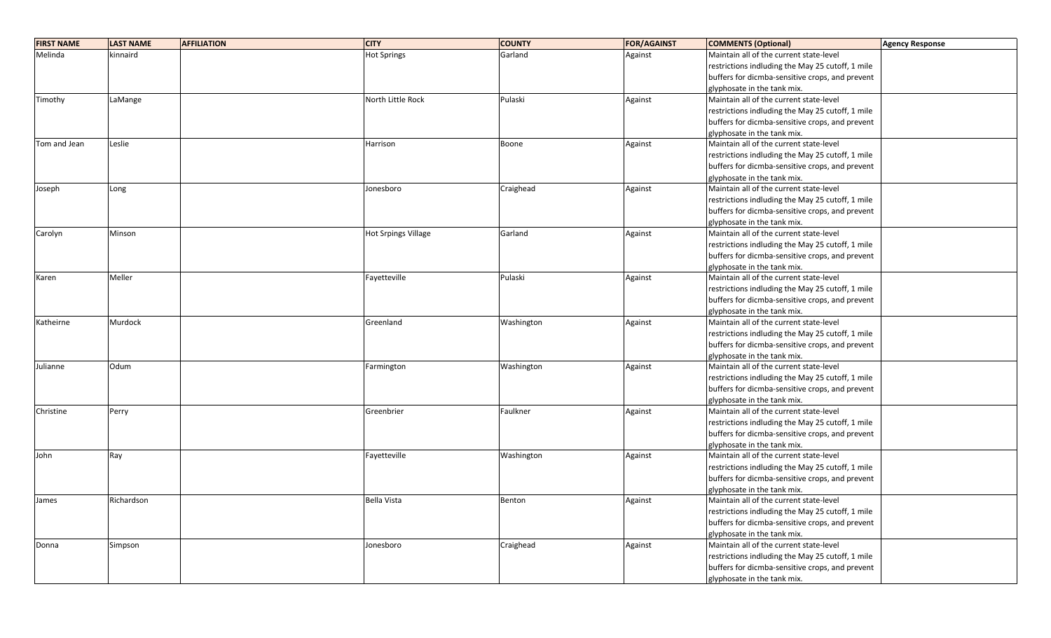| <b>FIRST NAME</b> | <b>LAST NAME</b><br><b>AFFILIATION</b> | <b>CITY</b>                | <b>COUNTY</b> | <b>FOR/AGAINST</b> | <b>COMMENTS (Optional)</b>                       | <b>Agency Response</b> |
|-------------------|----------------------------------------|----------------------------|---------------|--------------------|--------------------------------------------------|------------------------|
| Melinda           | kinnaird                               | <b>Hot Springs</b>         | Garland       | Against            | Maintain all of the current state-level          |                        |
|                   |                                        |                            |               |                    | restrictions indluding the May 25 cutoff, 1 mile |                        |
|                   |                                        |                            |               |                    | buffers for dicmba-sensitive crops, and prevent  |                        |
|                   |                                        |                            |               |                    | glyphosate in the tank mix.                      |                        |
| Timothy           | LaMange                                | North Little Rock          | Pulaski       | Against            | Maintain all of the current state-level          |                        |
|                   |                                        |                            |               |                    | restrictions indluding the May 25 cutoff, 1 mile |                        |
|                   |                                        |                            |               |                    | buffers for dicmba-sensitive crops, and prevent  |                        |
|                   |                                        |                            |               |                    | glyphosate in the tank mix.                      |                        |
| Tom and Jean      | Leslie                                 | Harrison                   | Boone         | Against            | Maintain all of the current state-level          |                        |
|                   |                                        |                            |               |                    | restrictions indluding the May 25 cutoff, 1 mile |                        |
|                   |                                        |                            |               |                    | buffers for dicmba-sensitive crops, and prevent  |                        |
|                   |                                        |                            |               |                    | glyphosate in the tank mix.                      |                        |
| Joseph            | Long                                   | Jonesboro                  | Craighead     | Against            | Maintain all of the current state-level          |                        |
|                   |                                        |                            |               |                    | restrictions indluding the May 25 cutoff, 1 mile |                        |
|                   |                                        |                            |               |                    | buffers for dicmba-sensitive crops, and prevent  |                        |
|                   |                                        |                            |               |                    | glyphosate in the tank mix.                      |                        |
| Carolyn           | Minson                                 | <b>Hot Srpings Village</b> | Garland       | Against            | Maintain all of the current state-level          |                        |
|                   |                                        |                            |               |                    | restrictions indluding the May 25 cutoff, 1 mile |                        |
|                   |                                        |                            |               |                    | buffers for dicmba-sensitive crops, and prevent  |                        |
|                   |                                        |                            |               |                    | glyphosate in the tank mix.                      |                        |
| Karen             | Meller                                 | Fayetteville               | Pulaski       | Against            | Maintain all of the current state-level          |                        |
|                   |                                        |                            |               |                    | restrictions indluding the May 25 cutoff, 1 mile |                        |
|                   |                                        |                            |               |                    | buffers for dicmba-sensitive crops, and prevent  |                        |
|                   |                                        |                            |               |                    | glyphosate in the tank mix.                      |                        |
| Katheirne         | Murdock                                | Greenland                  | Washington    | Against            | Maintain all of the current state-level          |                        |
|                   |                                        |                            |               |                    | restrictions indluding the May 25 cutoff, 1 mile |                        |
|                   |                                        |                            |               |                    | buffers for dicmba-sensitive crops, and prevent  |                        |
|                   |                                        |                            |               |                    | glyphosate in the tank mix.                      |                        |
| Julianne          | Odum                                   | Farmington                 | Washington    | Against            | Maintain all of the current state-level          |                        |
|                   |                                        |                            |               |                    | restrictions indluding the May 25 cutoff, 1 mile |                        |
|                   |                                        |                            |               |                    | buffers for dicmba-sensitive crops, and prevent  |                        |
|                   |                                        |                            |               |                    | glyphosate in the tank mix.                      |                        |
| Christine         | Perry                                  | Greenbrier                 | Faulkner      | Against            | Maintain all of the current state-level          |                        |
|                   |                                        |                            |               |                    | restrictions indluding the May 25 cutoff, 1 mile |                        |
|                   |                                        |                            |               |                    | buffers for dicmba-sensitive crops, and prevent  |                        |
|                   |                                        |                            |               |                    | glyphosate in the tank mix.                      |                        |
| John              | Ray                                    | Fayetteville               | Washington    | Against            | Maintain all of the current state-level          |                        |
|                   |                                        |                            |               |                    | restrictions indluding the May 25 cutoff, 1 mile |                        |
|                   |                                        |                            |               |                    | buffers for dicmba-sensitive crops, and prevent  |                        |
|                   |                                        |                            |               |                    | glyphosate in the tank mix.                      |                        |
| James             | Richardson                             | <b>Bella Vista</b>         | Benton        | Against            | Maintain all of the current state-level          |                        |
|                   |                                        |                            |               |                    | restrictions indluding the May 25 cutoff, 1 mile |                        |
|                   |                                        |                            |               |                    | buffers for dicmba-sensitive crops, and prevent  |                        |
|                   |                                        |                            |               |                    | glyphosate in the tank mix.                      |                        |
| Donna             | Simpson                                | Jonesboro                  | Craighead     | Against            | Maintain all of the current state-level          |                        |
|                   |                                        |                            |               |                    | restrictions indluding the May 25 cutoff, 1 mile |                        |
|                   |                                        |                            |               |                    | buffers for dicmba-sensitive crops, and prevent  |                        |
|                   |                                        |                            |               |                    | glyphosate in the tank mix.                      |                        |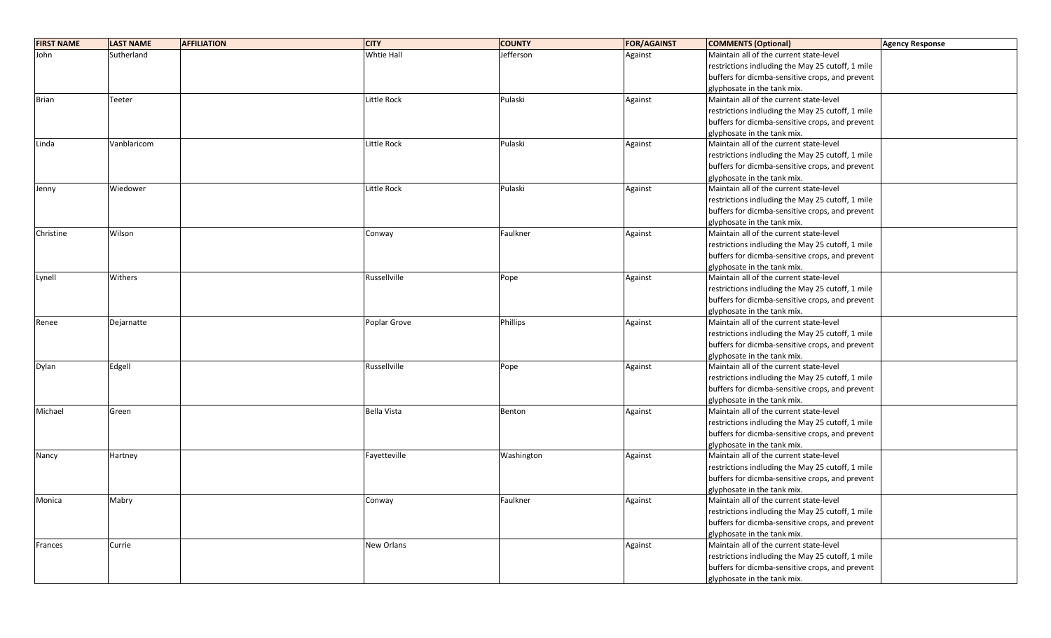| <b>FIRST NAME</b> | <b>LAST NAME</b> | <b>AFFILIATION</b> | <b>CITY</b>        | <b>COUNTY</b> | <b>FOR/AGAINST</b> | <b>COMMENTS (Optional)</b>                       | <b>Agency Response</b> |
|-------------------|------------------|--------------------|--------------------|---------------|--------------------|--------------------------------------------------|------------------------|
| John              | Sutherland       |                    | Whtie Hall         | Jefferson     | Against            | Maintain all of the current state-level          |                        |
|                   |                  |                    |                    |               |                    | restrictions indluding the May 25 cutoff, 1 mile |                        |
|                   |                  |                    |                    |               |                    | buffers for dicmba-sensitive crops, and prevent  |                        |
|                   |                  |                    |                    |               |                    | glyphosate in the tank mix.                      |                        |
| <b>Brian</b>      | Teeter           |                    | Little Rock        | Pulaski       | Against            | Maintain all of the current state-level          |                        |
|                   |                  |                    |                    |               |                    | restrictions indluding the May 25 cutoff, 1 mile |                        |
|                   |                  |                    |                    |               |                    | buffers for dicmba-sensitive crops, and prevent  |                        |
|                   |                  |                    |                    |               |                    | glyphosate in the tank mix.                      |                        |
| Linda             | Vanblaricom      |                    | Little Rock        | Pulaski       | Against            | Maintain all of the current state-level          |                        |
|                   |                  |                    |                    |               |                    | restrictions indluding the May 25 cutoff, 1 mile |                        |
|                   |                  |                    |                    |               |                    | buffers for dicmba-sensitive crops, and prevent  |                        |
|                   |                  |                    |                    |               |                    | glyphosate in the tank mix.                      |                        |
| Jenny             | Wiedower         |                    | Little Rock        | Pulaski       | Against            | Maintain all of the current state-level          |                        |
|                   |                  |                    |                    |               |                    | restrictions indluding the May 25 cutoff, 1 mile |                        |
|                   |                  |                    |                    |               |                    | buffers for dicmba-sensitive crops, and prevent  |                        |
|                   |                  |                    |                    |               |                    | glyphosate in the tank mix.                      |                        |
| Christine         | Wilson           |                    | Conway             | Faulkner      | Against            | Maintain all of the current state-level          |                        |
|                   |                  |                    |                    |               |                    | restrictions indluding the May 25 cutoff, 1 mile |                        |
|                   |                  |                    |                    |               |                    | buffers for dicmba-sensitive crops, and prevent  |                        |
|                   |                  |                    |                    |               |                    | glyphosate in the tank mix.                      |                        |
| Lynell            | Withers          |                    | Russellville       | Pope          | Against            | Maintain all of the current state-level          |                        |
|                   |                  |                    |                    |               |                    | restrictions indluding the May 25 cutoff, 1 mile |                        |
|                   |                  |                    |                    |               |                    | buffers for dicmba-sensitive crops, and prevent  |                        |
|                   |                  |                    |                    |               |                    | glyphosate in the tank mix.                      |                        |
| Renee             | Dejarnatte       |                    | Poplar Grove       | Phillips      | Against            | Maintain all of the current state-level          |                        |
|                   |                  |                    |                    |               |                    | restrictions indluding the May 25 cutoff, 1 mile |                        |
|                   |                  |                    |                    |               |                    | buffers for dicmba-sensitive crops, and prevent  |                        |
|                   |                  |                    |                    |               |                    | glyphosate in the tank mix.                      |                        |
| Dylan             | Edgell           |                    | Russellville       | Pope          | Against            | Maintain all of the current state-level          |                        |
|                   |                  |                    |                    |               |                    | restrictions indluding the May 25 cutoff, 1 mile |                        |
|                   |                  |                    |                    |               |                    | buffers for dicmba-sensitive crops, and prevent  |                        |
|                   |                  |                    |                    |               |                    | glyphosate in the tank mix.                      |                        |
| Michael           | Green            |                    | <b>Bella Vista</b> | Benton        | Against            | Maintain all of the current state-level          |                        |
|                   |                  |                    |                    |               |                    | restrictions indluding the May 25 cutoff, 1 mile |                        |
|                   |                  |                    |                    |               |                    | buffers for dicmba-sensitive crops, and prevent  |                        |
|                   |                  |                    |                    |               |                    | glyphosate in the tank mix.                      |                        |
| Nancy             | Hartney          |                    | Fayetteville       | Washington    | Against            | Maintain all of the current state-level          |                        |
|                   |                  |                    |                    |               |                    | restrictions indluding the May 25 cutoff, 1 mile |                        |
|                   |                  |                    |                    |               |                    | buffers for dicmba-sensitive crops, and prevent  |                        |
|                   |                  |                    |                    |               |                    | glyphosate in the tank mix.                      |                        |
| Monica            | Mabry            |                    | Conway             | Faulkner      | Against            | Maintain all of the current state-level          |                        |
|                   |                  |                    |                    |               |                    | restrictions indluding the May 25 cutoff, 1 mile |                        |
|                   |                  |                    |                    |               |                    | buffers for dicmba-sensitive crops, and prevent  |                        |
|                   |                  |                    |                    |               |                    | glyphosate in the tank mix.                      |                        |
| Frances           | Currie           |                    | New Orlans         |               | Against            | Maintain all of the current state-level          |                        |
|                   |                  |                    |                    |               |                    | restrictions indluding the May 25 cutoff, 1 mile |                        |
|                   |                  |                    |                    |               |                    | buffers for dicmba-sensitive crops, and prevent  |                        |
|                   |                  |                    |                    |               |                    | glyphosate in the tank mix.                      |                        |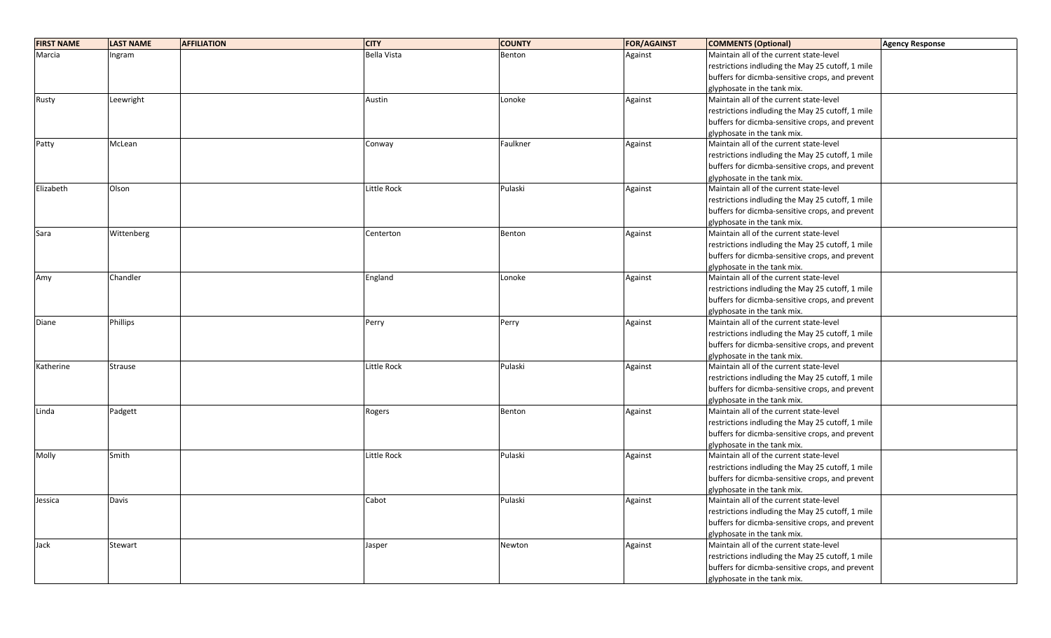| <b>FIRST NAME</b> | <b>LAST NAME</b> | <b>AFFILIATION</b> | <b>CITY</b>        | <b>COUNTY</b> | <b>FOR/AGAINST</b> | <b>COMMENTS (Optional)</b>                       | <b>Agency Response</b> |
|-------------------|------------------|--------------------|--------------------|---------------|--------------------|--------------------------------------------------|------------------------|
| Marcia            | Ingram           |                    | <b>Bella Vista</b> | Benton        | Against            | Maintain all of the current state-level          |                        |
|                   |                  |                    |                    |               |                    | restrictions indluding the May 25 cutoff, 1 mile |                        |
|                   |                  |                    |                    |               |                    | buffers for dicmba-sensitive crops, and prevent  |                        |
|                   |                  |                    |                    |               |                    | glyphosate in the tank mix.                      |                        |
| Rusty             | Leewright        |                    | Austin             | Lonoke        | Against            | Maintain all of the current state-level          |                        |
|                   |                  |                    |                    |               |                    | restrictions indluding the May 25 cutoff, 1 mile |                        |
|                   |                  |                    |                    |               |                    | buffers for dicmba-sensitive crops, and prevent  |                        |
|                   |                  |                    |                    |               |                    | glyphosate in the tank mix.                      |                        |
| Patty             | McLean           |                    | Conway             | Faulkner      | Against            | Maintain all of the current state-level          |                        |
|                   |                  |                    |                    |               |                    | restrictions indluding the May 25 cutoff, 1 mile |                        |
|                   |                  |                    |                    |               |                    | buffers for dicmba-sensitive crops, and prevent  |                        |
|                   |                  |                    |                    |               |                    | glyphosate in the tank mix.                      |                        |
| Elizabeth         | Olson            |                    | <b>Little Rock</b> | Pulaski       | Against            | Maintain all of the current state-level          |                        |
|                   |                  |                    |                    |               |                    | restrictions indluding the May 25 cutoff, 1 mile |                        |
|                   |                  |                    |                    |               |                    | buffers for dicmba-sensitive crops, and prevent  |                        |
|                   |                  |                    |                    |               |                    | glyphosate in the tank mix.                      |                        |
| Sara              | Wittenberg       |                    | Centerton          | Benton        | Against            | Maintain all of the current state-level          |                        |
|                   |                  |                    |                    |               |                    | restrictions indluding the May 25 cutoff, 1 mile |                        |
|                   |                  |                    |                    |               |                    | buffers for dicmba-sensitive crops, and prevent  |                        |
|                   |                  |                    |                    |               |                    | glyphosate in the tank mix.                      |                        |
| Amy               | Chandler         |                    | England            | Lonoke        | Against            | Maintain all of the current state-level          |                        |
|                   |                  |                    |                    |               |                    | restrictions indluding the May 25 cutoff, 1 mile |                        |
|                   |                  |                    |                    |               |                    | buffers for dicmba-sensitive crops, and prevent  |                        |
|                   |                  |                    |                    |               |                    | glyphosate in the tank mix.                      |                        |
| Diane             | Phillips         |                    | Perry              | Perry         | Against            | Maintain all of the current state-level          |                        |
|                   |                  |                    |                    |               |                    | restrictions indluding the May 25 cutoff, 1 mile |                        |
|                   |                  |                    |                    |               |                    | buffers for dicmba-sensitive crops, and prevent  |                        |
|                   |                  |                    |                    |               |                    | glyphosate in the tank mix.                      |                        |
| Katherine         | Strause          |                    | Little Rock        | Pulaski       | Against            | Maintain all of the current state-level          |                        |
|                   |                  |                    |                    |               |                    | restrictions indluding the May 25 cutoff, 1 mile |                        |
|                   |                  |                    |                    |               |                    | buffers for dicmba-sensitive crops, and prevent  |                        |
|                   |                  |                    |                    |               |                    | glyphosate in the tank mix.                      |                        |
| Linda             | Padgett          |                    | Rogers             | Benton        | Against            | Maintain all of the current state-level          |                        |
|                   |                  |                    |                    |               |                    | restrictions indluding the May 25 cutoff, 1 mile |                        |
|                   |                  |                    |                    |               |                    | buffers for dicmba-sensitive crops, and prevent  |                        |
|                   |                  |                    |                    |               |                    | glyphosate in the tank mix.                      |                        |
| Molly             | Smith            |                    | Little Rock        | Pulaski       | Against            | Maintain all of the current state-level          |                        |
|                   |                  |                    |                    |               |                    | restrictions indluding the May 25 cutoff, 1 mile |                        |
|                   |                  |                    |                    |               |                    | buffers for dicmba-sensitive crops, and prevent  |                        |
|                   |                  |                    |                    |               |                    | glyphosate in the tank mix.                      |                        |
| Jessica           | Davis            |                    | Cabot              | Pulaski       | Against            | Maintain all of the current state-level          |                        |
|                   |                  |                    |                    |               |                    | restrictions indluding the May 25 cutoff, 1 mile |                        |
|                   |                  |                    |                    |               |                    | buffers for dicmba-sensitive crops, and prevent  |                        |
|                   |                  |                    |                    |               |                    | glyphosate in the tank mix.                      |                        |
| Jack              | Stewart          |                    | Jasper             | Newton        | Against            | Maintain all of the current state-level          |                        |
|                   |                  |                    |                    |               |                    | restrictions indluding the May 25 cutoff, 1 mile |                        |
|                   |                  |                    |                    |               |                    | buffers for dicmba-sensitive crops, and prevent  |                        |
|                   |                  |                    |                    |               |                    | glyphosate in the tank mix.                      |                        |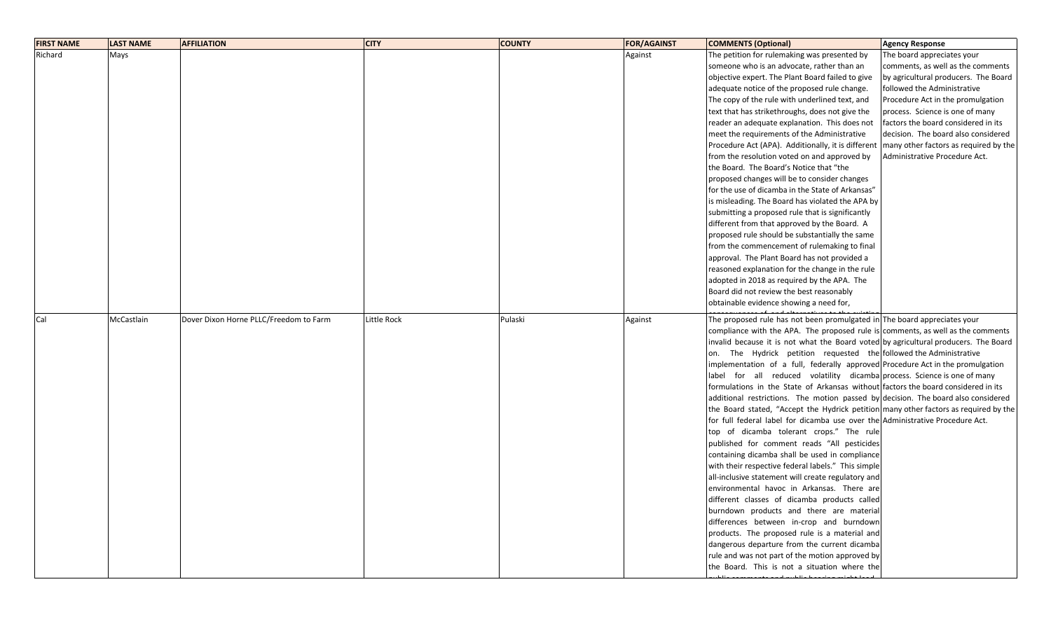| <b>FIRST NAME</b> | <b>LAST NAME</b> | <b>AFFILIATION</b>                     | <b>CITY</b> | <b>COUNTY</b> | <b>FOR/AGAINST</b> | <b>COMMENTS (Optional)</b>                                                           | <b>Agency Response</b>                |
|-------------------|------------------|----------------------------------------|-------------|---------------|--------------------|--------------------------------------------------------------------------------------|---------------------------------------|
| Richard           | Mays             |                                        |             |               | Against            | The petition for rulemaking was presented by                                         | The board appreciates your            |
|                   |                  |                                        |             |               |                    | someone who is an advocate, rather than an                                           | comments, as well as the comments     |
|                   |                  |                                        |             |               |                    | objective expert. The Plant Board failed to give                                     | by agricultural producers. The Board  |
|                   |                  |                                        |             |               |                    | adequate notice of the proposed rule change.                                         | followed the Administrative           |
|                   |                  |                                        |             |               |                    | The copy of the rule with underlined text, and                                       | Procedure Act in the promulgation     |
|                   |                  |                                        |             |               |                    | text that has strikethroughs, does not give the                                      | process. Science is one of many       |
|                   |                  |                                        |             |               |                    | reader an adequate explanation. This does not                                        | factors the board considered in its   |
|                   |                  |                                        |             |               |                    | meet the requirements of the Administrative                                          | decision. The board also considered   |
|                   |                  |                                        |             |               |                    | Procedure Act (APA). Additionally, it is different                                   | many other factors as required by the |
|                   |                  |                                        |             |               |                    | from the resolution voted on and approved by                                         | Administrative Procedure Act.         |
|                   |                  |                                        |             |               |                    | the Board. The Board's Notice that "the                                              |                                       |
|                   |                  |                                        |             |               |                    | proposed changes will be to consider changes                                         |                                       |
|                   |                  |                                        |             |               |                    | for the use of dicamba in the State of Arkansas"                                     |                                       |
|                   |                  |                                        |             |               |                    | is misleading. The Board has violated the APA by                                     |                                       |
|                   |                  |                                        |             |               |                    | submitting a proposed rule that is significantly                                     |                                       |
|                   |                  |                                        |             |               |                    | different from that approved by the Board. A                                         |                                       |
|                   |                  |                                        |             |               |                    | proposed rule should be substantially the same                                       |                                       |
|                   |                  |                                        |             |               |                    | from the commencement of rulemaking to final                                         |                                       |
|                   |                  |                                        |             |               |                    | approval. The Plant Board has not provided a                                         |                                       |
|                   |                  |                                        |             |               |                    | reasoned explanation for the change in the rule                                      |                                       |
|                   |                  |                                        |             |               |                    | adopted in 2018 as required by the APA. The                                          |                                       |
|                   |                  |                                        |             |               |                    | Board did not review the best reasonably                                             |                                       |
|                   |                  |                                        |             |               |                    | obtainable evidence showing a need for,                                              |                                       |
|                   |                  |                                        |             |               |                    |                                                                                      |                                       |
| Cal               | McCastlain       | Dover Dixon Horne PLLC/Freedom to Farm | Little Rock | Pulaski       | Against            | The proposed rule has not been promulgated in The board appreciates your             |                                       |
|                   |                  |                                        |             |               |                    | compliance with the APA. The proposed rule is comments, as well as the comments      |                                       |
|                   |                  |                                        |             |               |                    | invalid because it is not what the Board voted by agricultural producers. The Board  |                                       |
|                   |                  |                                        |             |               |                    | on. The Hydrick petition requested the followed the Administrative                   |                                       |
|                   |                  |                                        |             |               |                    | implementation of a full, federally approved Procedure Act in the promulgation       |                                       |
|                   |                  |                                        |             |               |                    | label for all reduced volatility dicamba process. Science is one of many             |                                       |
|                   |                  |                                        |             |               |                    | formulations in the State of Arkansas without factors the board considered in its    |                                       |
|                   |                  |                                        |             |               |                    | additional restrictions. The motion passed by decision. The board also considered    |                                       |
|                   |                  |                                        |             |               |                    | the Board stated, "Accept the Hydrick petition many other factors as required by the |                                       |
|                   |                  |                                        |             |               |                    | for full federal label for dicamba use over the Administrative Procedure Act.        |                                       |
|                   |                  |                                        |             |               |                    | top of dicamba tolerant crops." The rule                                             |                                       |
|                   |                  |                                        |             |               |                    | published for comment reads "All pesticides                                          |                                       |
|                   |                  |                                        |             |               |                    | containing dicamba shall be used in compliance                                       |                                       |
|                   |                  |                                        |             |               |                    | with their respective federal labels." This simple                                   |                                       |
|                   |                  |                                        |             |               |                    | all-inclusive statement will create regulatory and                                   |                                       |
|                   |                  |                                        |             |               |                    | environmental havoc in Arkansas. There are                                           |                                       |
|                   |                  |                                        |             |               |                    | different classes of dicamba products called                                         |                                       |
|                   |                  |                                        |             |               |                    | burndown products and there are material                                             |                                       |
|                   |                  |                                        |             |               |                    | differences between in-crop and burndown                                             |                                       |
|                   |                  |                                        |             |               |                    | products. The proposed rule is a material and                                        |                                       |
|                   |                  |                                        |             |               |                    | dangerous departure from the current dicamba                                         |                                       |
|                   |                  |                                        |             |               |                    | rule and was not part of the motion approved by                                      |                                       |
|                   |                  |                                        |             |               |                    | the Board. This is not a situation where the                                         |                                       |
|                   |                  |                                        |             |               |                    |                                                                                      |                                       |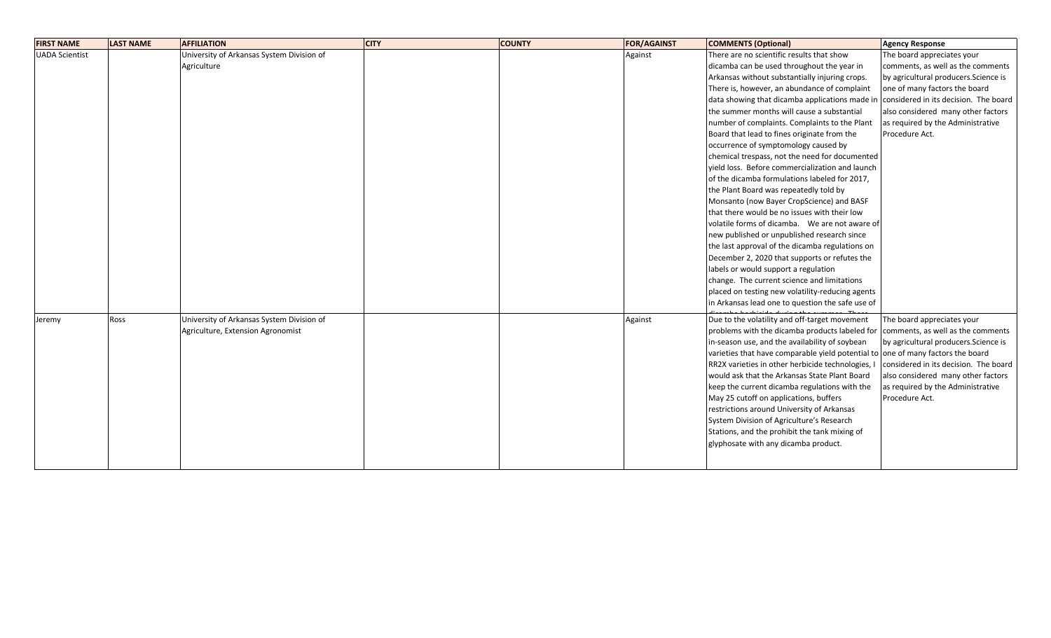| <b>FIRST NAME</b>     | <b>LAST NAME</b> | <b>AFFILIATION</b>                        | <b>CITY</b> | <b>COUNTY</b> | <b>FOR/AGAINST</b> | <b>COMMENTS (Optional)</b>                                                      | <b>Agency Response</b>                |
|-----------------------|------------------|-------------------------------------------|-------------|---------------|--------------------|---------------------------------------------------------------------------------|---------------------------------------|
| <b>UADA Scientist</b> |                  | University of Arkansas System Division of |             |               | Against            | There are no scientific results that show                                       | The board appreciates your            |
|                       |                  | Agriculture                               |             |               |                    | dicamba can be used throughout the year in                                      | comments, as well as the comments     |
|                       |                  |                                           |             |               |                    | Arkansas without substantially injuring crops.                                  | by agricultural producers. Science is |
|                       |                  |                                           |             |               |                    | There is, however, an abundance of complaint                                    | one of many factors the board         |
|                       |                  |                                           |             |               |                    | data showing that dicamba applications made in                                  | considered in its decision. The board |
|                       |                  |                                           |             |               |                    | the summer months will cause a substantial                                      | also considered many other factors    |
|                       |                  |                                           |             |               |                    | number of complaints. Complaints to the Plant                                   | as required by the Administrative     |
|                       |                  |                                           |             |               |                    | Board that lead to fines originate from the                                     | Procedure Act.                        |
|                       |                  |                                           |             |               |                    | occurrence of symptomology caused by                                            |                                       |
|                       |                  |                                           |             |               |                    | chemical trespass, not the need for documented                                  |                                       |
|                       |                  |                                           |             |               |                    | vield loss. Before commercialization and launch                                 |                                       |
|                       |                  |                                           |             |               |                    | of the dicamba formulations labeled for 2017,                                   |                                       |
|                       |                  |                                           |             |               |                    | the Plant Board was repeatedly told by                                          |                                       |
|                       |                  |                                           |             |               |                    | Monsanto (now Bayer CropScience) and BASF                                       |                                       |
|                       |                  |                                           |             |               |                    | that there would be no issues with their low                                    |                                       |
|                       |                  |                                           |             |               |                    | volatile forms of dicamba. We are not aware of                                  |                                       |
|                       |                  |                                           |             |               |                    | new published or unpublished research since                                     |                                       |
|                       |                  |                                           |             |               |                    | the last approval of the dicamba regulations on                                 |                                       |
|                       |                  |                                           |             |               |                    | December 2, 2020 that supports or refutes the                                   |                                       |
|                       |                  |                                           |             |               |                    | labels or would support a regulation                                            |                                       |
|                       |                  |                                           |             |               |                    | change. The current science and limitations                                     |                                       |
|                       |                  |                                           |             |               |                    | placed on testing new volatility-reducing agents                                |                                       |
|                       |                  |                                           |             |               |                    | in Arkansas lead one to question the safe use of                                |                                       |
| Jeremy                | Ross             | University of Arkansas System Division of |             |               | Against            | Due to the volatility and off-target movement                                   | The board appreciates your            |
|                       |                  | Agriculture, Extension Agronomist         |             |               |                    | problems with the dicamba products labeled for                                  | comments, as well as the comments     |
|                       |                  |                                           |             |               |                    | in-season use, and the availability of soybean                                  | by agricultural producers. Science is |
|                       |                  |                                           |             |               |                    | varieties that have comparable yield potential to one of many factors the board |                                       |
|                       |                  |                                           |             |               |                    | RR2X varieties in other herbicide technologies, I                               | considered in its decision. The board |
|                       |                  |                                           |             |               |                    | would ask that the Arkansas State Plant Board                                   | also considered many other factors    |
|                       |                  |                                           |             |               |                    | keep the current dicamba regulations with the                                   | as required by the Administrative     |
|                       |                  |                                           |             |               |                    | May 25 cutoff on applications, buffers                                          | Procedure Act.                        |
|                       |                  |                                           |             |               |                    | restrictions around University of Arkansas                                      |                                       |
|                       |                  |                                           |             |               |                    | System Division of Agriculture's Research                                       |                                       |
|                       |                  |                                           |             |               |                    | Stations, and the prohibit the tank mixing of                                   |                                       |
|                       |                  |                                           |             |               |                    | glyphosate with any dicamba product.                                            |                                       |
|                       |                  |                                           |             |               |                    |                                                                                 |                                       |
|                       |                  |                                           |             |               |                    |                                                                                 |                                       |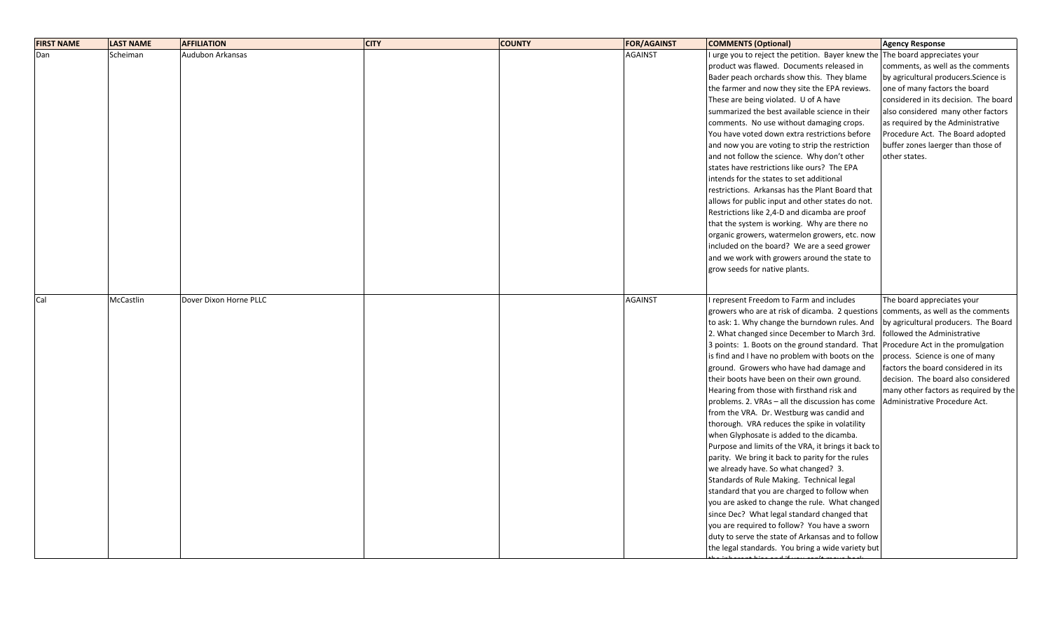| <b>FIRST NAME</b> | <b>LAST NAME</b> | <b>AFFILIATION</b>     | <b>CITY</b> | <b>COUNTY</b> | <b>FOR/AGAINST</b> | <b>COMMENTS (Optional)</b>                                                   | <b>Agency Response</b>                |
|-------------------|------------------|------------------------|-------------|---------------|--------------------|------------------------------------------------------------------------------|---------------------------------------|
| Dan               | Scheiman         | Audubon Arkansas       |             |               | <b>AGAINST</b>     | I urge you to reject the petition. Bayer knew the The board appreciates your |                                       |
|                   |                  |                        |             |               |                    | product was flawed. Documents released in                                    | comments, as well as the comments     |
|                   |                  |                        |             |               |                    | Bader peach orchards show this. They blame                                   | by agricultural producers. Science is |
|                   |                  |                        |             |               |                    | the farmer and now they site the EPA reviews.                                | one of many factors the board         |
|                   |                  |                        |             |               |                    | These are being violated. U of A have                                        | considered in its decision. The board |
|                   |                  |                        |             |               |                    | summarized the best available science in their                               | also considered many other factors    |
|                   |                  |                        |             |               |                    | comments. No use without damaging crops.                                     | as required by the Administrative     |
|                   |                  |                        |             |               |                    | You have voted down extra restrictions before                                | Procedure Act. The Board adopted      |
|                   |                  |                        |             |               |                    | and now you are voting to strip the restriction                              | buffer zones laerger than those of    |
|                   |                  |                        |             |               |                    | and not follow the science. Why don't other                                  | other states.                         |
|                   |                  |                        |             |               |                    | states have restrictions like ours? The EPA                                  |                                       |
|                   |                  |                        |             |               |                    | intends for the states to set additional                                     |                                       |
|                   |                  |                        |             |               |                    | restrictions. Arkansas has the Plant Board that                              |                                       |
|                   |                  |                        |             |               |                    | allows for public input and other states do not.                             |                                       |
|                   |                  |                        |             |               |                    | Restrictions like 2,4-D and dicamba are proof                                |                                       |
|                   |                  |                        |             |               |                    | that the system is working. Why are there no                                 |                                       |
|                   |                  |                        |             |               |                    | organic growers, watermelon growers, etc. now                                |                                       |
|                   |                  |                        |             |               |                    | included on the board? We are a seed grower                                  |                                       |
|                   |                  |                        |             |               |                    | and we work with growers around the state to                                 |                                       |
|                   |                  |                        |             |               |                    | grow seeds for native plants.                                                |                                       |
|                   |                  |                        |             |               |                    |                                                                              |                                       |
|                   |                  |                        |             |               |                    |                                                                              |                                       |
| Cal               | McCastlin        | Dover Dixon Horne PLLC |             |               | <b>AGAINST</b>     | I represent Freedom to Farm and includes                                     | The board appreciates your            |
|                   |                  |                        |             |               |                    | growers who are at risk of dicamba. 2 questions                              | comments, as well as the comments     |
|                   |                  |                        |             |               |                    | to ask: 1. Why change the burndown rules. And                                | by agricultural producers. The Board  |
|                   |                  |                        |             |               |                    | 2. What changed since December to March 3rd.                                 | followed the Administrative           |
|                   |                  |                        |             |               |                    | 3 points: 1. Boots on the ground standard. That                              | Procedure Act in the promulgation     |
|                   |                  |                        |             |               |                    | is find and I have no problem with boots on the                              | process. Science is one of many       |
|                   |                  |                        |             |               |                    | ground. Growers who have had damage and                                      | factors the board considered in its   |
|                   |                  |                        |             |               |                    | their boots have been on their own ground.                                   | decision. The board also considered   |
|                   |                  |                        |             |               |                    | Hearing from those with firsthand risk and                                   | many other factors as required by the |
|                   |                  |                        |             |               |                    | problems. 2. VRAs - all the discussion has come                              | Administrative Procedure Act.         |
|                   |                  |                        |             |               |                    | from the VRA. Dr. Westburg was candid and                                    |                                       |
|                   |                  |                        |             |               |                    | thorough. VRA reduces the spike in volatility                                |                                       |
|                   |                  |                        |             |               |                    | when Glyphosate is added to the dicamba.                                     |                                       |
|                   |                  |                        |             |               |                    | Purpose and limits of the VRA, it brings it back to                          |                                       |
|                   |                  |                        |             |               |                    | parity. We bring it back to parity for the rules                             |                                       |
|                   |                  |                        |             |               |                    | we already have. So what changed? 3.                                         |                                       |
|                   |                  |                        |             |               |                    | Standards of Rule Making. Technical legal                                    |                                       |
|                   |                  |                        |             |               |                    | standard that you are charged to follow when                                 |                                       |
|                   |                  |                        |             |               |                    | you are asked to change the rule. What changed                               |                                       |
|                   |                  |                        |             |               |                    | since Dec? What legal standard changed that                                  |                                       |
|                   |                  |                        |             |               |                    | you are required to follow? You have a sworn                                 |                                       |
|                   |                  |                        |             |               |                    | duty to serve the state of Arkansas and to follow                            |                                       |
|                   |                  |                        |             |               |                    | the legal standards. You bring a wide variety but                            |                                       |
|                   |                  |                        |             |               |                    |                                                                              |                                       |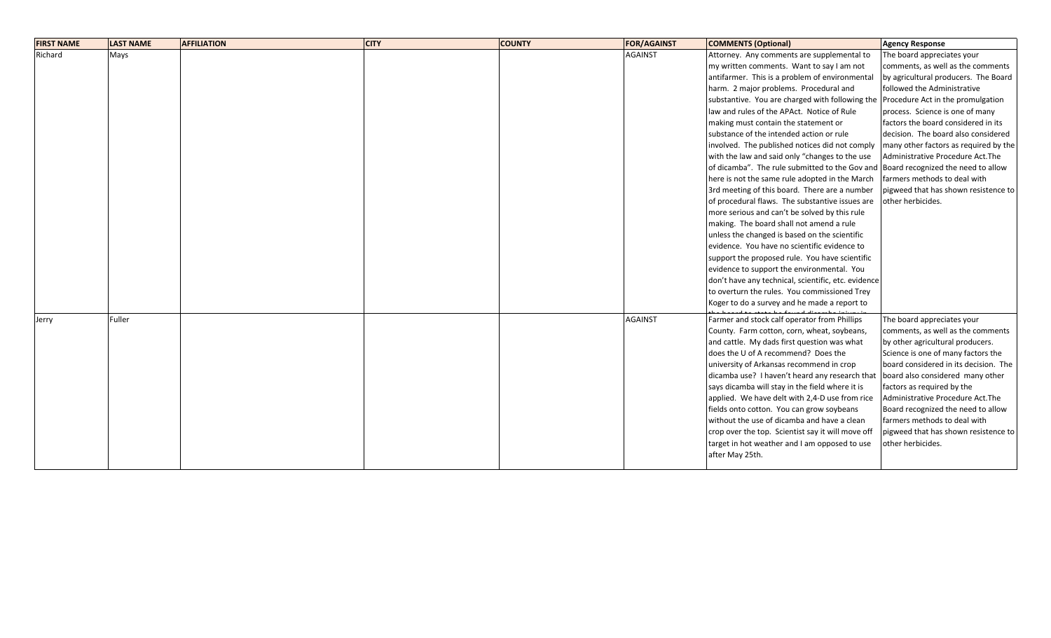| <b>FIRST NAME</b> | <b>LAST NAME</b> | <b>AFFILIATION</b> | <b>CITY</b> | <b>COUNTY</b> | <b>FOR/AGAINST</b> | <b>COMMENTS (Optional)</b>                                                        | <b>Agency Response</b>                |
|-------------------|------------------|--------------------|-------------|---------------|--------------------|-----------------------------------------------------------------------------------|---------------------------------------|
| Richard           | Mays             |                    |             |               | <b>AGAINST</b>     | Attorney. Any comments are supplemental to                                        | The board appreciates your            |
|                   |                  |                    |             |               |                    | my written comments. Want to say I am not                                         | comments, as well as the comments     |
|                   |                  |                    |             |               |                    | antifarmer. This is a problem of environmental                                    | by agricultural producers. The Board  |
|                   |                  |                    |             |               |                    | harm. 2 major problems. Procedural and                                            | followed the Administrative           |
|                   |                  |                    |             |               |                    | substantive. You are charged with following the Procedure Act in the promulgation |                                       |
|                   |                  |                    |             |               |                    | law and rules of the APAct. Notice of Rule                                        | process. Science is one of many       |
|                   |                  |                    |             |               |                    | making must contain the statement or                                              | factors the board considered in its   |
|                   |                  |                    |             |               |                    | substance of the intended action or rule                                          | decision. The board also considered   |
|                   |                  |                    |             |               |                    | involved. The published notices did not comply                                    | many other factors as required by the |
|                   |                  |                    |             |               |                    | with the law and said only "changes to the use                                    | Administrative Procedure Act. The     |
|                   |                  |                    |             |               |                    | of dicamba". The rule submitted to the Gov and Board recognized the need to allow |                                       |
|                   |                  |                    |             |               |                    | here is not the same rule adopted in the March                                    | farmers methods to deal with          |
|                   |                  |                    |             |               |                    | 3rd meeting of this board. There are a number                                     | pigweed that has shown resistence to  |
|                   |                  |                    |             |               |                    | of procedural flaws. The substantive issues are                                   | other herbicides.                     |
|                   |                  |                    |             |               |                    | more serious and can't be solved by this rule                                     |                                       |
|                   |                  |                    |             |               |                    | making. The board shall not amend a rule                                          |                                       |
|                   |                  |                    |             |               |                    | unless the changed is based on the scientific                                     |                                       |
|                   |                  |                    |             |               |                    | evidence. You have no scientific evidence to                                      |                                       |
|                   |                  |                    |             |               |                    | support the proposed rule. You have scientific                                    |                                       |
|                   |                  |                    |             |               |                    | evidence to support the environmental. You                                        |                                       |
|                   |                  |                    |             |               |                    | don't have any technical, scientific, etc. evidence                               |                                       |
|                   |                  |                    |             |               |                    | to overturn the rules. You commissioned Trey                                      |                                       |
|                   |                  |                    |             |               |                    | Koger to do a survey and he made a report to                                      |                                       |
| Jerry             | Fuller           |                    |             |               | <b>AGAINST</b>     | Farmer and stock calf operator from Phillips                                      | The board appreciates your            |
|                   |                  |                    |             |               |                    | County. Farm cotton, corn, wheat, soybeans,                                       | comments, as well as the comments     |
|                   |                  |                    |             |               |                    | and cattle. My dads first question was what                                       | by other agricultural producers.      |
|                   |                  |                    |             |               |                    | does the U of A recommend? Does the                                               | Science is one of many factors the    |
|                   |                  |                    |             |               |                    | university of Arkansas recommend in crop                                          | board considered in its decision. The |
|                   |                  |                    |             |               |                    | dicamba use? I haven't heard any research that                                    | board also considered many other      |
|                   |                  |                    |             |               |                    | says dicamba will stay in the field where it is                                   | factors as required by the            |
|                   |                  |                    |             |               |                    | applied. We have delt with 2,4-D use from rice                                    | Administrative Procedure Act. The     |
|                   |                  |                    |             |               |                    | fields onto cotton. You can grow soybeans                                         | Board recognized the need to allow    |
|                   |                  |                    |             |               |                    | without the use of dicamba and have a clean                                       | farmers methods to deal with          |
|                   |                  |                    |             |               |                    | crop over the top. Scientist say it will move off                                 | pigweed that has shown resistence to  |
|                   |                  |                    |             |               |                    | target in hot weather and I am opposed to use                                     | other herbicides.                     |
|                   |                  |                    |             |               |                    | after May 25th.                                                                   |                                       |
|                   |                  |                    |             |               |                    |                                                                                   |                                       |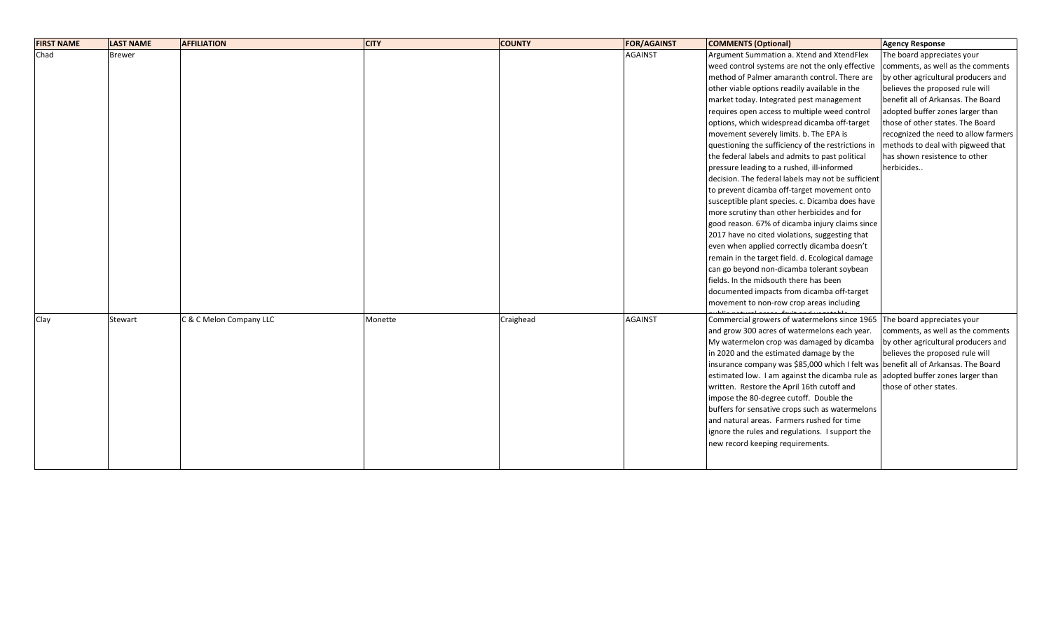| <b>FIRST NAME</b> | <b>LAST NAME</b> | <b>AFFILIATION</b>      | <b>CITY</b> | <b>COUNTY</b> | <b>FOR/AGAINST</b> | <b>COMMENTS (Optional)</b>                                                         | <b>Agency Response</b>               |
|-------------------|------------------|-------------------------|-------------|---------------|--------------------|------------------------------------------------------------------------------------|--------------------------------------|
| Chad              | <b>Brewer</b>    |                         |             |               | <b>AGAINST</b>     | Argument Summation a. Xtend and XtendFlex                                          | The board appreciates your           |
|                   |                  |                         |             |               |                    | weed control systems are not the only effective                                    | comments, as well as the comments    |
|                   |                  |                         |             |               |                    | method of Palmer amaranth control. There are                                       | by other agricultural producers and  |
|                   |                  |                         |             |               |                    | other viable options readily available in the                                      | believes the proposed rule will      |
|                   |                  |                         |             |               |                    | market today. Integrated pest management                                           | benefit all of Arkansas. The Board   |
|                   |                  |                         |             |               |                    | requires open access to multiple weed control                                      | adopted buffer zones larger than     |
|                   |                  |                         |             |               |                    | options, which widespread dicamba off-target                                       | those of other states. The Board     |
|                   |                  |                         |             |               |                    | movement severely limits. b. The EPA is                                            | recognized the need to allow farmers |
|                   |                  |                         |             |               |                    | questioning the sufficiency of the restrictions in                                 | methods to deal with pigweed that    |
|                   |                  |                         |             |               |                    | the federal labels and admits to past political                                    | has shown resistence to other        |
|                   |                  |                         |             |               |                    | pressure leading to a rushed, ill-informed                                         | herbicides                           |
|                   |                  |                         |             |               |                    | decision. The federal labels may not be sufficient                                 |                                      |
|                   |                  |                         |             |               |                    | to prevent dicamba off-target movement onto                                        |                                      |
|                   |                  |                         |             |               |                    | susceptible plant species. c. Dicamba does have                                    |                                      |
|                   |                  |                         |             |               |                    | more scrutiny than other herbicides and for                                        |                                      |
|                   |                  |                         |             |               |                    | good reason. 67% of dicamba injury claims since                                    |                                      |
|                   |                  |                         |             |               |                    | 2017 have no cited violations, suggesting that                                     |                                      |
|                   |                  |                         |             |               |                    | even when applied correctly dicamba doesn't                                        |                                      |
|                   |                  |                         |             |               |                    | remain in the target field. d. Ecological damage                                   |                                      |
|                   |                  |                         |             |               |                    | can go beyond non-dicamba tolerant soybean                                         |                                      |
|                   |                  |                         |             |               |                    | fields. In the midsouth there has been                                             |                                      |
|                   |                  |                         |             |               |                    | documented impacts from dicamba off-target                                         |                                      |
|                   |                  |                         |             |               |                    | movement to non-row crop areas including                                           |                                      |
| Clay              | Stewart          | C & C Melon Company LLC | Monette     | Craighead     | <b>AGAINST</b>     | Commercial growers of watermelons since 1965                                       | The board appreciates your           |
|                   |                  |                         |             |               |                    | and grow 300 acres of watermelons each year.                                       | comments, as well as the comments    |
|                   |                  |                         |             |               |                    | My watermelon crop was damaged by dicamba                                          | by other agricultural producers and  |
|                   |                  |                         |             |               |                    | in 2020 and the estimated damage by the                                            | believes the proposed rule will      |
|                   |                  |                         |             |               |                    | insurance company was \$85,000 which I felt was benefit all of Arkansas. The Board |                                      |
|                   |                  |                         |             |               |                    | estimated low. I am against the dicamba rule as adopted buffer zones larger than   |                                      |
|                   |                  |                         |             |               |                    | written. Restore the April 16th cutoff and                                         | those of other states.               |
|                   |                  |                         |             |               |                    | impose the 80-degree cutoff. Double the                                            |                                      |
|                   |                  |                         |             |               |                    | buffers for sensative crops such as watermelons                                    |                                      |
|                   |                  |                         |             |               |                    | and natural areas. Farmers rushed for time                                         |                                      |
|                   |                  |                         |             |               |                    | ignore the rules and regulations. I support the                                    |                                      |
|                   |                  |                         |             |               |                    | new record keeping requirements.                                                   |                                      |
|                   |                  |                         |             |               |                    |                                                                                    |                                      |
|                   |                  |                         |             |               |                    |                                                                                    |                                      |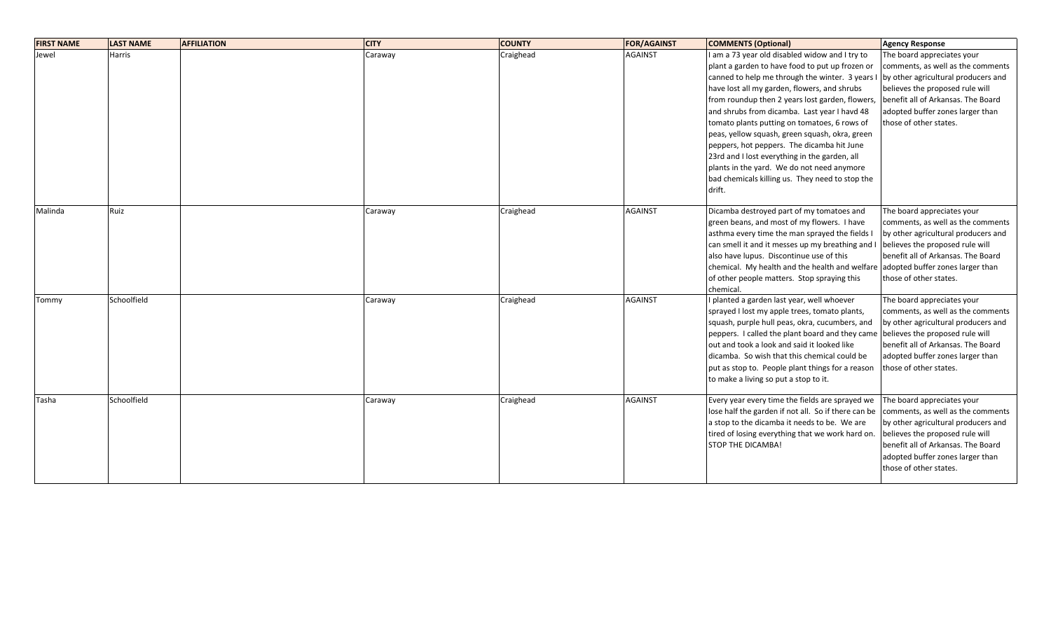| <b>FIRST NAME</b> | <b>LAST NAME</b> | <b>AFFILIATION</b> | <b>CITY</b> | <b>COUNTY</b> | <b>FOR/AGAINST</b> | <b>COMMENTS (Optional)</b>                                                                                                                                                                                                                                                                                                                                                                                                                                                                                                                                                                                      | <b>Agency Response</b>                                                                                                                                                                                                                        |
|-------------------|------------------|--------------------|-------------|---------------|--------------------|-----------------------------------------------------------------------------------------------------------------------------------------------------------------------------------------------------------------------------------------------------------------------------------------------------------------------------------------------------------------------------------------------------------------------------------------------------------------------------------------------------------------------------------------------------------------------------------------------------------------|-----------------------------------------------------------------------------------------------------------------------------------------------------------------------------------------------------------------------------------------------|
| Jewel             | Harris           |                    | Caraway     | Craighead     | <b>AGAINST</b>     | am a 73 year old disabled widow and I try to<br>plant a garden to have food to put up frozen or<br>canned to help me through the winter. 3 years<br>have lost all my garden, flowers, and shrubs<br>from roundup then 2 years lost garden, flowers,<br>and shrubs from dicamba. Last year I havd 48<br>tomato plants putting on tomatoes, 6 rows of<br>peas, yellow squash, green squash, okra, green<br>peppers, hot peppers. The dicamba hit June<br>23rd and I lost everything in the garden, all<br>plants in the yard. We do not need anymore<br>bad chemicals killing us. They need to stop the<br>drift. | The board appreciates your<br>comments, as well as the comments<br>by other agricultural producers and<br>believes the proposed rule will<br>benefit all of Arkansas. The Board<br>adopted buffer zones larger than<br>those of other states. |
| Malinda           | Ruiz             |                    | Caraway     | Craighead     | <b>AGAINST</b>     | Dicamba destroyed part of my tomatoes and<br>green beans, and most of my flowers. I have<br>asthma every time the man sprayed the fields I<br>can smell it and it messes up my breathing and I<br>also have lupus. Discontinue use of this<br>chemical. My health and the health and welfare adopted buffer zones larger than<br>of other people matters. Stop spraying this<br>chemical                                                                                                                                                                                                                        | The board appreciates your<br>comments, as well as the comments<br>by other agricultural producers and<br>believes the proposed rule will<br>benefit all of Arkansas. The Board<br>those of other states.                                     |
| Tommy             | Schoolfield      |                    | Caraway     | Craighead     | <b>AGAINST</b>     | I planted a garden last year, well whoever<br>sprayed I lost my apple trees, tomato plants,<br>squash, purple hull peas, okra, cucumbers, and<br>peppers. I called the plant board and they came<br>out and took a look and said it looked like<br>dicamba. So wish that this chemical could be<br>put as stop to. People plant things for a reason<br>to make a living so put a stop to it.                                                                                                                                                                                                                    | The board appreciates your<br>comments, as well as the comments<br>by other agricultural producers and<br>believes the proposed rule will<br>benefit all of Arkansas. The Board<br>adopted buffer zones larger than<br>those of other states. |
| Tasha             | Schoolfield      |                    | Caraway     | Craighead     | <b>AGAINST</b>     | Every year every time the fields are sprayed we<br>lose half the garden if not all. So if there can be<br>a stop to the dicamba it needs to be. We are<br>tired of losing everything that we work hard on.<br><b>STOP THE DICAMBA!</b>                                                                                                                                                                                                                                                                                                                                                                          | The board appreciates your<br>comments, as well as the comments<br>by other agricultural producers and<br>believes the proposed rule will<br>benefit all of Arkansas. The Board<br>adopted buffer zones larger than<br>those of other states. |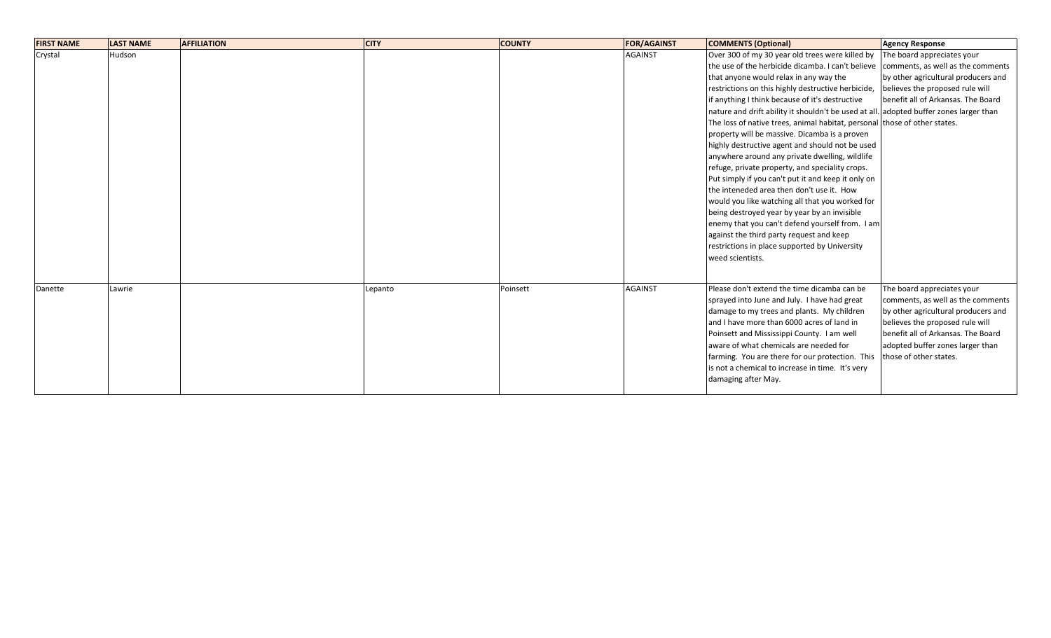| <b>FIRST NAME</b> | <b>LAST NAME</b> | <b>AFFILIATION</b> | <b>CITY</b> | <b>COUNTY</b> | <b>FOR/AGAINST</b> | <b>COMMENTS (Optional)</b>                                                                                                                                                                                                                                                                                                                                                                                                                                                                                                                                                                                                                                                                                                                                                                                                                                                                                                                                                                                        | <b>Agency Response</b>                                                                                                                                                                                                                        |
|-------------------|------------------|--------------------|-------------|---------------|--------------------|-------------------------------------------------------------------------------------------------------------------------------------------------------------------------------------------------------------------------------------------------------------------------------------------------------------------------------------------------------------------------------------------------------------------------------------------------------------------------------------------------------------------------------------------------------------------------------------------------------------------------------------------------------------------------------------------------------------------------------------------------------------------------------------------------------------------------------------------------------------------------------------------------------------------------------------------------------------------------------------------------------------------|-----------------------------------------------------------------------------------------------------------------------------------------------------------------------------------------------------------------------------------------------|
| Crystal           | Hudson           |                    |             |               | <b>AGAINST</b>     | Over 300 of my 30 year old trees were killed by<br>the use of the herbicide dicamba. I can't believe<br>that anyone would relax in any way the<br>restrictions on this highly destructive herbicide,<br>if anything I think because of it's destructive<br>nature and drift ability it shouldn't be used at all. adopted buffer zones larger than<br>The loss of native trees, animal habitat, personal those of other states.<br>property will be massive. Dicamba is a proven<br>highly destructive agent and should not be used<br>anywhere around any private dwelling, wildlife<br>refuge, private property, and speciality crops.<br>Put simply if you can't put it and keep it only on<br>the inteneded area then don't use it. How<br>would you like watching all that you worked for<br>being destroyed year by year by an invisible<br>enemy that you can't defend yourself from. I am<br>against the third party request and keep<br>restrictions in place supported by University<br>weed scientists. | The board appreciates your<br>comments, as well as the comments<br>by other agricultural producers and<br>believes the proposed rule will<br>benefit all of Arkansas. The Board                                                               |
| Danette           | Lawrie           |                    | Lepanto     | Poinsett      | <b>AGAINST</b>     | Please don't extend the time dicamba can be<br>sprayed into June and July. I have had great<br>damage to my trees and plants. My children<br>and I have more than 6000 acres of land in<br>Poinsett and Mississippi County. I am well<br>aware of what chemicals are needed for<br>farming. You are there for our protection. This<br>is not a chemical to increase in time. It's very<br>damaging after May.                                                                                                                                                                                                                                                                                                                                                                                                                                                                                                                                                                                                     | The board appreciates your<br>comments, as well as the comments<br>by other agricultural producers and<br>believes the proposed rule will<br>benefit all of Arkansas. The Board<br>adopted buffer zones larger than<br>those of other states. |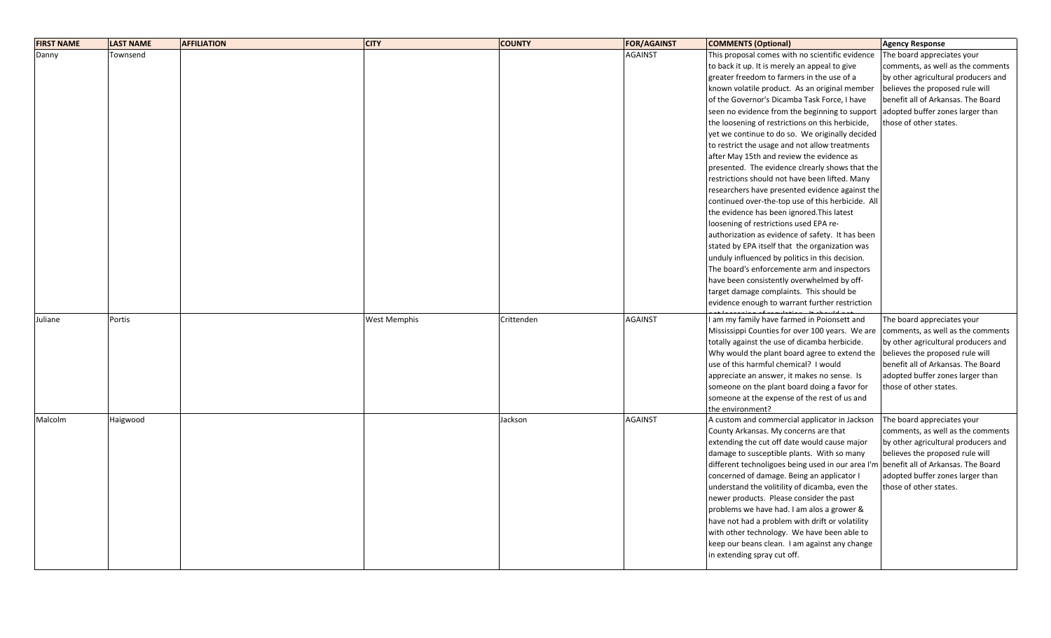| <b>FIRST NAME</b> | <b>LAST NAME</b> | <b>AFFILIATION</b> | <b>CITY</b>         | <b>COUNTY</b> | <b>FOR/AGAINST</b> | <b>COMMENTS (Optional)</b>                        | <b>Agency Response</b>              |
|-------------------|------------------|--------------------|---------------------|---------------|--------------------|---------------------------------------------------|-------------------------------------|
| Danny             | Townsend         |                    |                     |               | <b>AGAINST</b>     | This proposal comes with no scientific evidence   | The board appreciates your          |
|                   |                  |                    |                     |               |                    | to back it up. It is merely an appeal to give     | comments, as well as the comments   |
|                   |                  |                    |                     |               |                    | greater freedom to farmers in the use of a        | by other agricultural producers and |
|                   |                  |                    |                     |               |                    | known volatile product. As an original member     | believes the proposed rule will     |
|                   |                  |                    |                     |               |                    | of the Governor's Dicamba Task Force, I have      | benefit all of Arkansas. The Board  |
|                   |                  |                    |                     |               |                    | seen no evidence from the beginning to support    | adopted buffer zones larger than    |
|                   |                  |                    |                     |               |                    | the loosening of restrictions on this herbicide,  | those of other states.              |
|                   |                  |                    |                     |               |                    | yet we continue to do so. We originally decided   |                                     |
|                   |                  |                    |                     |               |                    | to restrict the usage and not allow treatments    |                                     |
|                   |                  |                    |                     |               |                    | after May 15th and review the evidence as         |                                     |
|                   |                  |                    |                     |               |                    | presented. The evidence clrearly shows that the   |                                     |
|                   |                  |                    |                     |               |                    | restrictions should not have been lifted. Many    |                                     |
|                   |                  |                    |                     |               |                    | researchers have presented evidence against the   |                                     |
|                   |                  |                    |                     |               |                    | continued over-the-top use of this herbicide. All |                                     |
|                   |                  |                    |                     |               |                    | the evidence has been ignored. This latest        |                                     |
|                   |                  |                    |                     |               |                    | loosening of restrictions used EPA re-            |                                     |
|                   |                  |                    |                     |               |                    | authorization as evidence of safety. It has been  |                                     |
|                   |                  |                    |                     |               |                    | stated by EPA itself that the organization was    |                                     |
|                   |                  |                    |                     |               |                    | unduly influenced by politics in this decision.   |                                     |
|                   |                  |                    |                     |               |                    | The board's enforcemente arm and inspectors       |                                     |
|                   |                  |                    |                     |               |                    | have been consistently overwhelmed by off-        |                                     |
|                   |                  |                    |                     |               |                    | target damage complaints. This should be          |                                     |
|                   |                  |                    |                     |               |                    | evidence enough to warrant further restriction    |                                     |
| Juliane           | Portis           |                    | <b>West Memphis</b> | Crittenden    | <b>AGAINST</b>     | I am my family have farmed in Poionsett and       | The board appreciates your          |
|                   |                  |                    |                     |               |                    | Mississippi Counties for over 100 years. We are   | comments, as well as the comments   |
|                   |                  |                    |                     |               |                    | totally against the use of dicamba herbicide.     | by other agricultural producers and |
|                   |                  |                    |                     |               |                    | Why would the plant board agree to extend the     | believes the proposed rule will     |
|                   |                  |                    |                     |               |                    | use of this harmful chemical? I would             | benefit all of Arkansas. The Board  |
|                   |                  |                    |                     |               |                    | appreciate an answer, it makes no sense. Is       | adopted buffer zones larger than    |
|                   |                  |                    |                     |               |                    | someone on the plant board doing a favor for      | those of other states.              |
|                   |                  |                    |                     |               |                    | someone at the expense of the rest of us and      |                                     |
|                   |                  |                    |                     |               |                    | the environment?                                  |                                     |
| Malcolm           | Haigwood         |                    |                     | Jackson       | <b>AGAINST</b>     | A custom and commercial applicator in Jackson     | The board appreciates your          |
|                   |                  |                    |                     |               |                    | County Arkansas. My concerns are that             | comments, as well as the comments   |
|                   |                  |                    |                     |               |                    | extending the cut off date would cause major      | by other agricultural producers and |
|                   |                  |                    |                     |               |                    | damage to susceptible plants. With so many        | believes the proposed rule will     |
|                   |                  |                    |                     |               |                    | different technoligoes being used in our area I'm | benefit all of Arkansas. The Board  |
|                   |                  |                    |                     |               |                    | concerned of damage. Being an applicator I        | adopted buffer zones larger than    |
|                   |                  |                    |                     |               |                    | understand the volitility of dicamba, even the    | those of other states.              |
|                   |                  |                    |                     |               |                    | newer products. Please consider the past          |                                     |
|                   |                  |                    |                     |               |                    | problems we have had. I am alos a grower &        |                                     |
|                   |                  |                    |                     |               |                    | have not had a problem with drift or volatility   |                                     |
|                   |                  |                    |                     |               |                    | with other technology. We have been able to       |                                     |
|                   |                  |                    |                     |               |                    | keep our beans clean. I am against any change     |                                     |
|                   |                  |                    |                     |               |                    | in extending spray cut off.                       |                                     |
|                   |                  |                    |                     |               |                    |                                                   |                                     |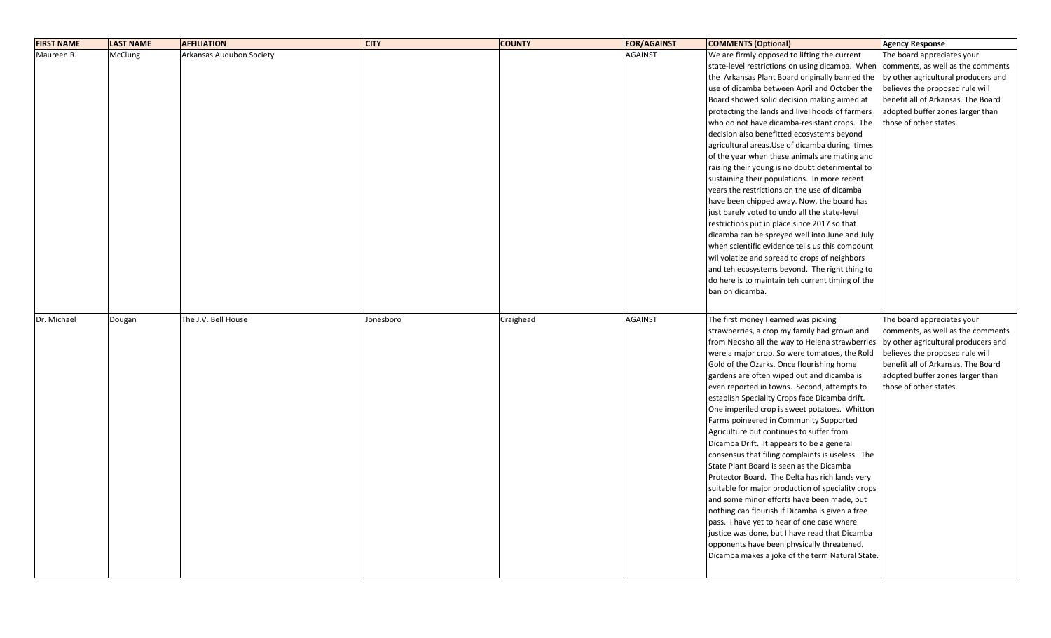| <b>FIRST NAME</b> | <b>LAST NAME</b> | <b>AFFILIATION</b>       | <b>CITY</b> | <b>COUNTY</b> | <b>FOR/AGAINST</b> | <b>COMMENTS (Optional)</b>                        | <b>Agency Response</b>              |
|-------------------|------------------|--------------------------|-------------|---------------|--------------------|---------------------------------------------------|-------------------------------------|
| Maureen R.        | McClung          | Arkansas Audubon Society |             |               | <b>AGAINST</b>     | We are firmly opposed to lifting the current      | The board appreciates your          |
|                   |                  |                          |             |               |                    | state-level restrictions on using dicamba. When   | comments, as well as the comments   |
|                   |                  |                          |             |               |                    | the Arkansas Plant Board originally banned the    | by other agricultural producers and |
|                   |                  |                          |             |               |                    | use of dicamba between April and October the      | believes the proposed rule will     |
|                   |                  |                          |             |               |                    | Board showed solid decision making aimed at       | benefit all of Arkansas. The Board  |
|                   |                  |                          |             |               |                    | protecting the lands and livelihoods of farmers   | adopted buffer zones larger than    |
|                   |                  |                          |             |               |                    | who do not have dicamba-resistant crops. The      | those of other states.              |
|                   |                  |                          |             |               |                    | decision also benefitted ecosystems beyond        |                                     |
|                   |                  |                          |             |               |                    | agricultural areas. Use of dicamba during times   |                                     |
|                   |                  |                          |             |               |                    | of the year when these animals are mating and     |                                     |
|                   |                  |                          |             |               |                    | raising their young is no doubt deterimental to   |                                     |
|                   |                  |                          |             |               |                    | sustaining their populations. In more recent      |                                     |
|                   |                  |                          |             |               |                    | years the restrictions on the use of dicamba      |                                     |
|                   |                  |                          |             |               |                    | have been chipped away. Now, the board has        |                                     |
|                   |                  |                          |             |               |                    | just barely voted to undo all the state-level     |                                     |
|                   |                  |                          |             |               |                    | restrictions put in place since 2017 so that      |                                     |
|                   |                  |                          |             |               |                    | dicamba can be spreyed well into June and July    |                                     |
|                   |                  |                          |             |               |                    | when scientific evidence tells us this compount   |                                     |
|                   |                  |                          |             |               |                    | wil volatize and spread to crops of neighbors     |                                     |
|                   |                  |                          |             |               |                    | and teh ecosystems beyond. The right thing to     |                                     |
|                   |                  |                          |             |               |                    | do here is to maintain teh current timing of the  |                                     |
|                   |                  |                          |             |               |                    | ban on dicamba.                                   |                                     |
|                   |                  |                          |             |               |                    |                                                   |                                     |
|                   |                  |                          |             |               |                    |                                                   |                                     |
| Dr. Michael       | Dougan           | The J.V. Bell House      | Jonesboro   | Craighead     | <b>AGAINST</b>     | The first money I earned was picking              | The board appreciates your          |
|                   |                  |                          |             |               |                    | strawberries, a crop my family had grown and      | comments, as well as the comments   |
|                   |                  |                          |             |               |                    | from Neosho all the way to Helena strawberries    | by other agricultural producers and |
|                   |                  |                          |             |               |                    | were a major crop. So were tomatoes, the Rold     | believes the proposed rule will     |
|                   |                  |                          |             |               |                    | Gold of the Ozarks. Once flourishing home         | benefit all of Arkansas. The Board  |
|                   |                  |                          |             |               |                    | gardens are often wiped out and dicamba is        | adopted buffer zones larger than    |
|                   |                  |                          |             |               |                    | even reported in towns. Second, attempts to       | those of other states.              |
|                   |                  |                          |             |               |                    | establish Speciality Crops face Dicamba drift.    |                                     |
|                   |                  |                          |             |               |                    | One imperiled crop is sweet potatoes. Whitton     |                                     |
|                   |                  |                          |             |               |                    | Farms poineered in Community Supported            |                                     |
|                   |                  |                          |             |               |                    | Agriculture but continues to suffer from          |                                     |
|                   |                  |                          |             |               |                    | Dicamba Drift. It appears to be a general         |                                     |
|                   |                  |                          |             |               |                    | consensus that filing complaints is useless. The  |                                     |
|                   |                  |                          |             |               |                    | State Plant Board is seen as the Dicamba          |                                     |
|                   |                  |                          |             |               |                    | Protector Board. The Delta has rich lands very    |                                     |
|                   |                  |                          |             |               |                    | suitable for major production of speciality crops |                                     |
|                   |                  |                          |             |               |                    | and some minor efforts have been made, but        |                                     |
|                   |                  |                          |             |               |                    | nothing can flourish if Dicamba is given a free   |                                     |
|                   |                  |                          |             |               |                    | pass. I have yet to hear of one case where        |                                     |
|                   |                  |                          |             |               |                    | justice was done, but I have read that Dicamba    |                                     |
|                   |                  |                          |             |               |                    | opponents have been physically threatened.        |                                     |
|                   |                  |                          |             |               |                    | Dicamba makes a joke of the term Natural State.   |                                     |
|                   |                  |                          |             |               |                    |                                                   |                                     |
|                   |                  |                          |             |               |                    |                                                   |                                     |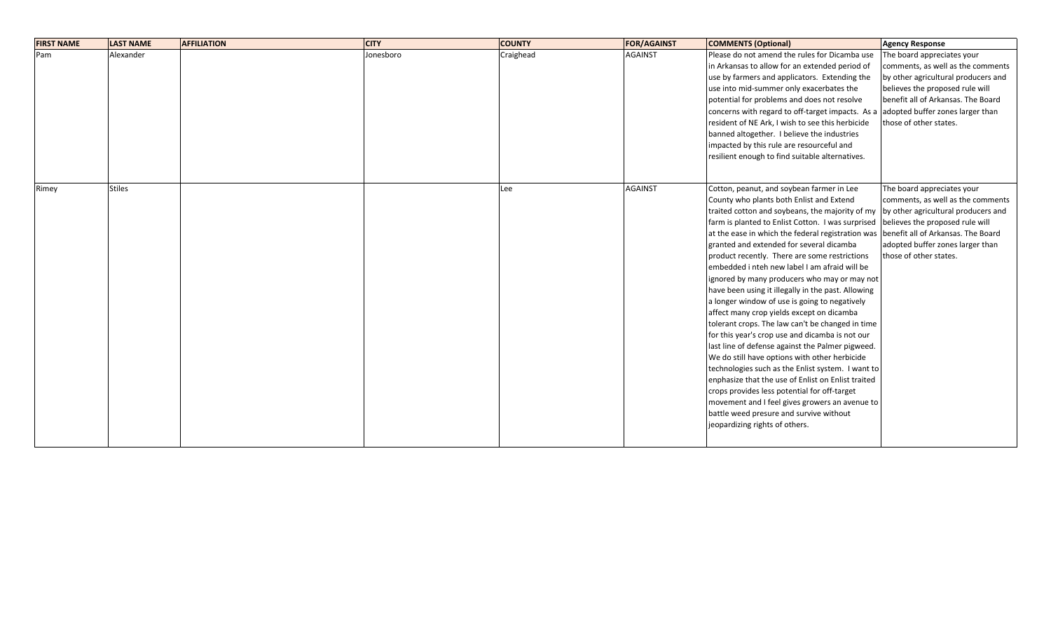| The board appreciates your<br>comments, as well as the comments                   |
|-----------------------------------------------------------------------------------|
|                                                                                   |
|                                                                                   |
| by other agricultural producers and                                               |
| believes the proposed rule will                                                   |
| benefit all of Arkansas. The Board                                                |
| adopted buffer zones larger than                                                  |
| those of other states.                                                            |
|                                                                                   |
|                                                                                   |
|                                                                                   |
|                                                                                   |
|                                                                                   |
| The board appreciates your                                                        |
| comments, as well as the comments                                                 |
| by other agricultural producers and                                               |
| farm is planted to Enlist Cotton. I was surprised believes the proposed rule will |
| benefit all of Arkansas. The Board                                                |
| adopted buffer zones larger than                                                  |
| those of other states.                                                            |
|                                                                                   |
|                                                                                   |
|                                                                                   |
|                                                                                   |
|                                                                                   |
|                                                                                   |
|                                                                                   |
|                                                                                   |
|                                                                                   |
|                                                                                   |
|                                                                                   |
|                                                                                   |
|                                                                                   |
|                                                                                   |
|                                                                                   |
|                                                                                   |
|                                                                                   |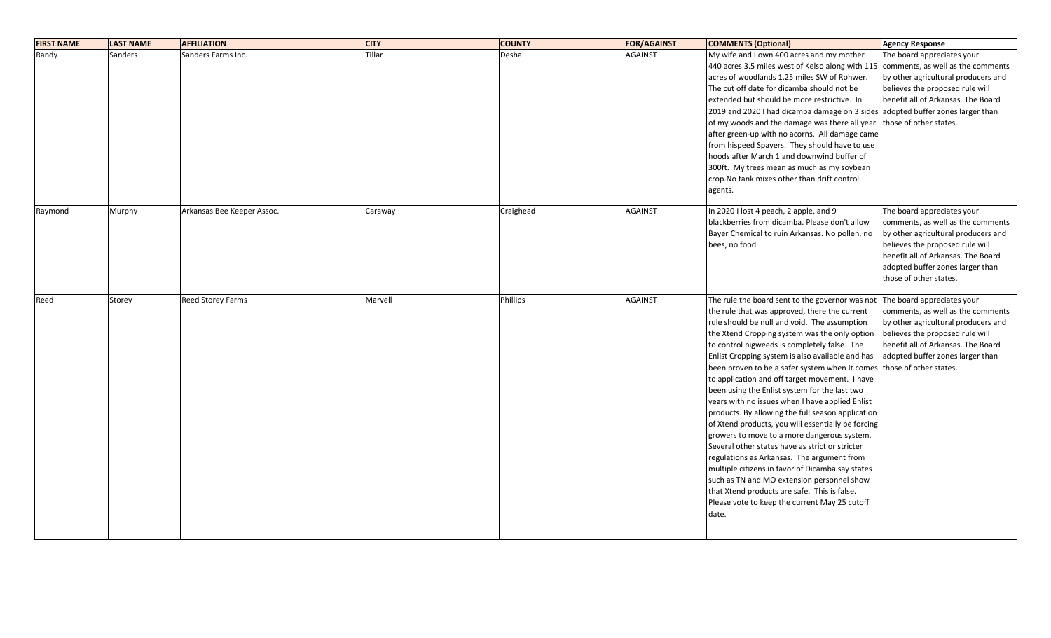| <b>FIRST NAME</b> | <b>LAST NAME</b> | <b>AFFILIATION</b>         | <b>CITY</b> | <b>COUNTY</b>   | <b>FOR/AGAINST</b> | <b>COMMENTS (Optional)</b>                                                                                                                                                                                                                                                                                                                                                                                                                                                                                                                                                                                                                                                                                                                                                                                                                                                                                                                                                           | <b>Agency Response</b>                                                                                                                                                                                                                        |
|-------------------|------------------|----------------------------|-------------|-----------------|--------------------|--------------------------------------------------------------------------------------------------------------------------------------------------------------------------------------------------------------------------------------------------------------------------------------------------------------------------------------------------------------------------------------------------------------------------------------------------------------------------------------------------------------------------------------------------------------------------------------------------------------------------------------------------------------------------------------------------------------------------------------------------------------------------------------------------------------------------------------------------------------------------------------------------------------------------------------------------------------------------------------|-----------------------------------------------------------------------------------------------------------------------------------------------------------------------------------------------------------------------------------------------|
| Randy             | Sanders          | Sanders Farms Inc.         | Tillar      | Desha           | <b>AGAINST</b>     | My wife and I own 400 acres and my mother<br>440 acres 3.5 miles west of Kelso along with 115<br>acres of woodlands 1.25 miles SW of Rohwer.<br>The cut off date for dicamba should not be<br>extended but should be more restrictive. In<br>2019 and 2020 I had dicamba damage on 3 sides adopted buffer zones larger than<br>of my woods and the damage was there all year<br>after green-up with no acorns. All damage came<br>from hispeed Spayers. They should have to use<br>hoods after March 1 and downwind buffer of<br>300ft. My trees mean as much as my soybean<br>crop.No tank mixes other than drift control<br>agents.                                                                                                                                                                                                                                                                                                                                                | The board appreciates your<br>comments, as well as the comments<br>by other agricultural producers and<br>believes the proposed rule will<br>benefit all of Arkansas. The Board<br>those of other states.                                     |
| Raymond           | Murphy           | Arkansas Bee Keeper Assoc. | Caraway     | Craighead       | <b>AGAINST</b>     | In 2020 I lost 4 peach, 2 apple, and 9<br>blackberries from dicamba. Please don't allow<br>Bayer Chemical to ruin Arkansas. No pollen, no<br>bees, no food.                                                                                                                                                                                                                                                                                                                                                                                                                                                                                                                                                                                                                                                                                                                                                                                                                          | The board appreciates your<br>comments, as well as the comments<br>by other agricultural producers and<br>believes the proposed rule will<br>benefit all of Arkansas. The Board<br>adopted buffer zones larger than<br>those of other states. |
| Reed              | Storey           | Reed Storey Farms          | Marvell     | <b>Phillips</b> | <b>AGAINST</b>     | The rule the board sent to the governor was not<br>the rule that was approved, there the current<br>rule should be null and void. The assumption<br>the Xtend Cropping system was the only option<br>to control pigweeds is completely false. The<br>Enlist Cropping system is also available and has<br>been proven to be a safer system when it comes<br>to application and off target movement. I have<br>been using the Enlist system for the last two<br>years with no issues when I have applied Enlist<br>products. By allowing the full season application<br>of Xtend products, you will essentially be forcing<br>growers to move to a more dangerous system.<br>Several other states have as strict or stricter<br>regulations as Arkansas. The argument from<br>multiple citizens in favor of Dicamba say states<br>such as TN and MO extension personnel show<br>that Xtend products are safe. This is false.<br>Please vote to keep the current May 25 cutoff<br>date. | The board appreciates your<br>comments, as well as the comments<br>by other agricultural producers and<br>believes the proposed rule will<br>benefit all of Arkansas. The Board<br>adopted buffer zones larger than<br>those of other states. |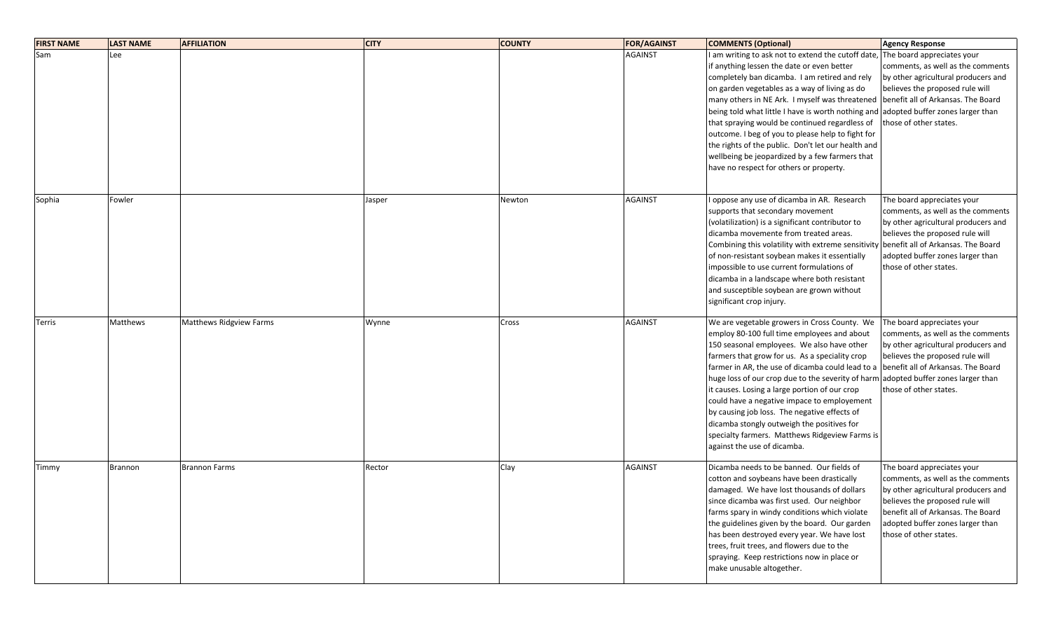| <b>FIRST NAME</b> | <b>LAST NAME</b> | <b>AFFILIATION</b>             | <b>CITY</b> | <b>COUNTY</b> | <b>FOR/AGAINST</b> | <b>COMMENTS (Optional)</b>                                                                                                                                                                                                                                                                                                                                                                                                                                                                                                                                                                                           | <b>Agency Response</b>                                                                                                                                                                                                                        |
|-------------------|------------------|--------------------------------|-------------|---------------|--------------------|----------------------------------------------------------------------------------------------------------------------------------------------------------------------------------------------------------------------------------------------------------------------------------------------------------------------------------------------------------------------------------------------------------------------------------------------------------------------------------------------------------------------------------------------------------------------------------------------------------------------|-----------------------------------------------------------------------------------------------------------------------------------------------------------------------------------------------------------------------------------------------|
| Sam               | Lee              |                                |             |               | <b>AGAINST</b>     | I am writing to ask not to extend the cutoff date,<br>if anything lessen the date or even better<br>completely ban dicamba. I am retired and rely<br>on garden vegetables as a way of living as do<br>many others in NE Ark. I myself was threatened<br>being told what little I have is worth nothing and<br>that spraying would be continued regardless of<br>outcome. I beg of you to please help to fight for<br>the rights of the public. Don't let our health and<br>wellbeing be jeopardized by a few farmers that<br>have no respect for others or property.                                                 | The board appreciates your<br>comments, as well as the comments<br>by other agricultural producers and<br>believes the proposed rule will<br>benefit all of Arkansas. The Board<br>adopted buffer zones larger than<br>those of other states. |
| Sophia            | Fowler           |                                | Jasper      | Newton        | <b>AGAINST</b>     | oppose any use of dicamba in AR. Research<br>supports that secondary movement<br>(volatilization) is a significant contributor to<br>dicamba movemente from treated areas.<br>Combining this volatility with extreme sensitivity benefit all of Arkansas. The Board<br>of non-resistant soybean makes it essentially<br>impossible to use current formulations of<br>dicamba in a landscape where both resistant<br>and susceptible soybean are grown without<br>significant crop injury.                                                                                                                            | The board appreciates your<br>comments, as well as the comments<br>by other agricultural producers and<br>believes the proposed rule will<br>adopted buffer zones larger than<br>those of other states.                                       |
| Terris            | Matthews         | <b>Matthews Ridgview Farms</b> | Wynne       | Cross         | <b>AGAINST</b>     | We are vegetable growers in Cross County. We<br>employ 80-100 full time employees and about<br>150 seasonal employees. We also have other<br>farmers that grow for us. As a speciality crop<br>farmer in AR, the use of dicamba could lead to a<br>huge loss of our crop due to the severity of harm adopted buffer zones larger than<br>it causes. Losing a large portion of our crop<br>could have a negative impace to employement<br>by causing job loss. The negative effects of<br>dicamba stongly outweigh the positives for<br>specialty farmers. Matthews Ridgeview Farms is<br>against the use of dicamba. | The board appreciates your<br>comments, as well as the comments<br>by other agricultural producers and<br>believes the proposed rule will<br>benefit all of Arkansas. The Board<br>those of other states.                                     |
| Timmy             | <b>Brannon</b>   | <b>Brannon Farms</b>           | Rector      | Clay          | <b>AGAINST</b>     | Dicamba needs to be banned. Our fields of<br>cotton and soybeans have been drastically<br>damaged. We have lost thousands of dollars<br>since dicamba was first used. Our neighbor<br>farms spary in windy conditions which violate<br>the guidelines given by the board. Our garden<br>has been destroyed every year. We have lost<br>trees, fruit trees, and flowers due to the<br>spraying. Keep restrictions now in place or<br>make unusable altogether.                                                                                                                                                        | The board appreciates your<br>comments, as well as the comments<br>by other agricultural producers and<br>believes the proposed rule will<br>benefit all of Arkansas. The Board<br>adopted buffer zones larger than<br>those of other states. |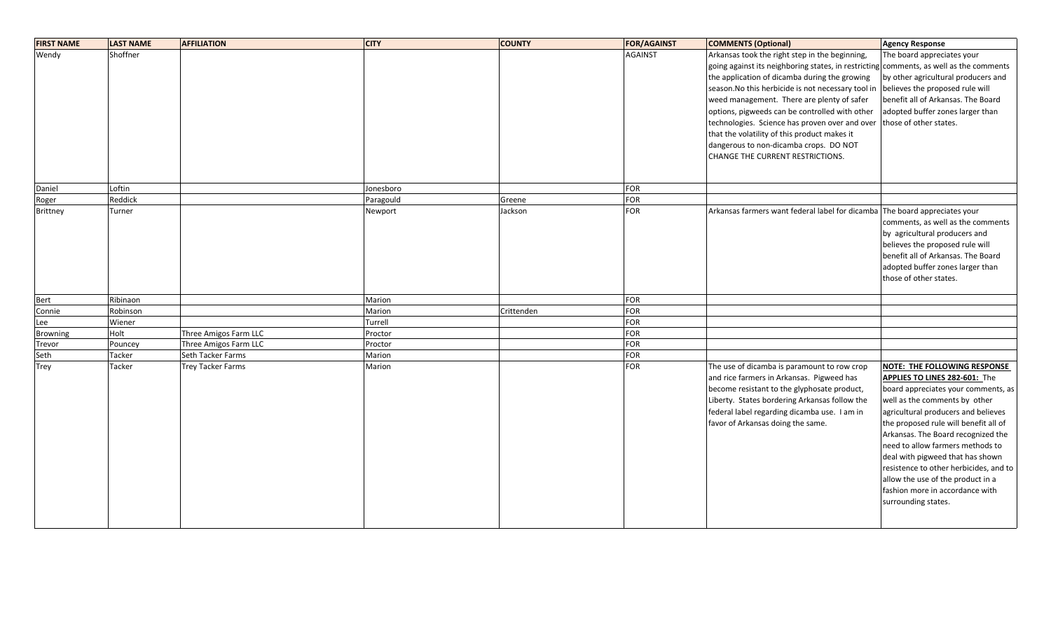| <b>FIRST NAME</b> | <b>LAST NAME</b> | <b>AFFILIATION</b>       | <b>CITY</b> | <b>COUNTY</b> | <b>FOR/AGAINST</b> | <b>COMMENTS (Optional)</b>                                                             | <b>Agency Response</b>                                                                                                                                                                                    |
|-------------------|------------------|--------------------------|-------------|---------------|--------------------|----------------------------------------------------------------------------------------|-----------------------------------------------------------------------------------------------------------------------------------------------------------------------------------------------------------|
| Wendy             | Shoffner         |                          |             |               | <b>AGAINST</b>     | Arkansas took the right step in the beginning,                                         | The board appreciates your                                                                                                                                                                                |
|                   |                  |                          |             |               |                    | going against its neighboring states, in restricting comments, as well as the comments |                                                                                                                                                                                                           |
|                   |                  |                          |             |               |                    | the application of dicamba during the growing                                          | by other agricultural producers and                                                                                                                                                                       |
|                   |                  |                          |             |               |                    | season. No this herbicide is not necessary tool in                                     | believes the proposed rule will                                                                                                                                                                           |
|                   |                  |                          |             |               |                    | weed management. There are plenty of safer                                             | benefit all of Arkansas. The Board                                                                                                                                                                        |
|                   |                  |                          |             |               |                    | options, pigweeds can be controlled with other                                         | adopted buffer zones larger than                                                                                                                                                                          |
|                   |                  |                          |             |               |                    | technologies. Science has proven over and over                                         | those of other states.                                                                                                                                                                                    |
|                   |                  |                          |             |               |                    | that the volatility of this product makes it                                           |                                                                                                                                                                                                           |
|                   |                  |                          |             |               |                    | dangerous to non-dicamba crops. DO NOT                                                 |                                                                                                                                                                                                           |
|                   |                  |                          |             |               |                    | CHANGE THE CURRENT RESTRICTIONS.                                                       |                                                                                                                                                                                                           |
|                   |                  |                          |             |               |                    |                                                                                        |                                                                                                                                                                                                           |
| Daniel            | Loftin           |                          | Jonesboro   |               | <b>FOR</b>         |                                                                                        |                                                                                                                                                                                                           |
| Roger             | Reddick          |                          | Paragould   | Greene        | <b>FOR</b>         |                                                                                        |                                                                                                                                                                                                           |
| Brittney          | Turner           |                          | Newport     | Jackson       | <b>FOR</b>         | Arkansas farmers want federal label for dicamba The board appreciates your             | comments, as well as the comments<br>by agricultural producers and<br>believes the proposed rule will<br>benefit all of Arkansas. The Board<br>adopted buffer zones larger than<br>those of other states. |
| Bert              | Ribinaon         |                          | Marion      |               | <b>FOR</b>         |                                                                                        |                                                                                                                                                                                                           |
| Connie            | Robinson         |                          | Marion      | Crittenden    | <b>FOR</b>         |                                                                                        |                                                                                                                                                                                                           |
| Lee               | Wiener           |                          | Turrell     |               | <b>FOR</b>         |                                                                                        |                                                                                                                                                                                                           |
| <b>Browning</b>   | Holt             | Three Amigos Farm LLC    | Proctor     |               | <b>FOR</b>         |                                                                                        |                                                                                                                                                                                                           |
| Trevor            | Pouncey          | Three Amigos Farm LLC    | Proctor     |               | <b>FOR</b>         |                                                                                        |                                                                                                                                                                                                           |
| Seth              | Tacker           | Seth Tacker Farms        | Marion      |               | <b>FOR</b>         |                                                                                        |                                                                                                                                                                                                           |
| Trey              | Tacker           | <b>Trey Tacker Farms</b> | Marion      |               | FOR                | The use of dicamba is paramount to row crop                                            | NOTE: THE FOLLOWING RESPONSE                                                                                                                                                                              |
|                   |                  |                          |             |               |                    | and rice farmers in Arkansas. Pigweed has                                              | <b>APPLIES TO LINES 282-601: The</b>                                                                                                                                                                      |
|                   |                  |                          |             |               |                    | become resistant to the glyphosate product,                                            | board appreciates your comments, as                                                                                                                                                                       |
|                   |                  |                          |             |               |                    | Liberty. States bordering Arkansas follow the                                          | well as the comments by other                                                                                                                                                                             |
|                   |                  |                          |             |               |                    | federal label regarding dicamba use. I am in                                           | agricultural producers and believes                                                                                                                                                                       |
|                   |                  |                          |             |               |                    | favor of Arkansas doing the same.                                                      | the proposed rule will benefit all of                                                                                                                                                                     |
|                   |                  |                          |             |               |                    |                                                                                        | Arkansas. The Board recognized the                                                                                                                                                                        |
|                   |                  |                          |             |               |                    |                                                                                        | need to allow farmers methods to                                                                                                                                                                          |
|                   |                  |                          |             |               |                    |                                                                                        | deal with pigweed that has shown                                                                                                                                                                          |
|                   |                  |                          |             |               |                    |                                                                                        | resistence to other herbicides, and to                                                                                                                                                                    |
|                   |                  |                          |             |               |                    |                                                                                        | allow the use of the product in a                                                                                                                                                                         |
|                   |                  |                          |             |               |                    |                                                                                        | fashion more in accordance with                                                                                                                                                                           |
|                   |                  |                          |             |               |                    |                                                                                        | surrounding states.                                                                                                                                                                                       |
|                   |                  |                          |             |               |                    |                                                                                        |                                                                                                                                                                                                           |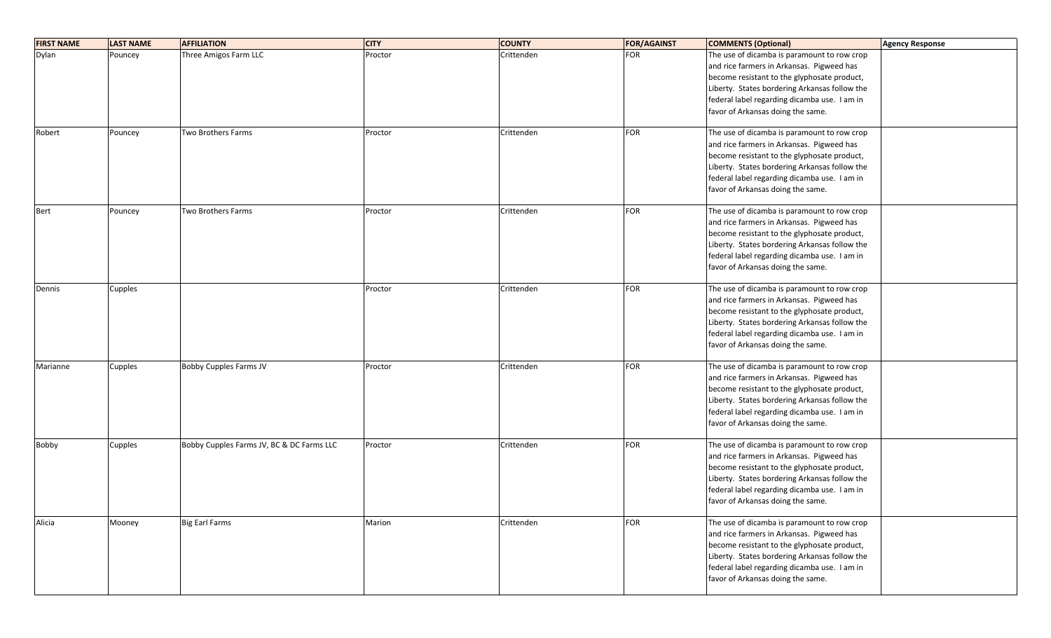| <b>FIRST NAME</b> | <b>LAST NAME</b> | <b>AFFILIATION</b>                        | <b>CITY</b> | <b>COUNTY</b> | <b>FOR/AGAINST</b> | <b>COMMENTS (Optional)</b>                    | <b>Agency Response</b> |
|-------------------|------------------|-------------------------------------------|-------------|---------------|--------------------|-----------------------------------------------|------------------------|
| Dylan             | Pouncey          | Three Amigos Farm LLC                     | Proctor     | Crittenden    | <b>FOR</b>         | The use of dicamba is paramount to row crop   |                        |
|                   |                  |                                           |             |               |                    | and rice farmers in Arkansas. Pigweed has     |                        |
|                   |                  |                                           |             |               |                    | become resistant to the glyphosate product,   |                        |
|                   |                  |                                           |             |               |                    | Liberty. States bordering Arkansas follow the |                        |
|                   |                  |                                           |             |               |                    | federal label regarding dicamba use. I am in  |                        |
|                   |                  |                                           |             |               |                    | favor of Arkansas doing the same.             |                        |
|                   |                  |                                           |             |               |                    |                                               |                        |
| Robert            | Pouncey          | Two Brothers Farms                        | Proctor     | Crittenden    | <b>FOR</b>         | The use of dicamba is paramount to row crop   |                        |
|                   |                  |                                           |             |               |                    | and rice farmers in Arkansas. Pigweed has     |                        |
|                   |                  |                                           |             |               |                    | become resistant to the glyphosate product,   |                        |
|                   |                  |                                           |             |               |                    | Liberty. States bordering Arkansas follow the |                        |
|                   |                  |                                           |             |               |                    | federal label regarding dicamba use. I am in  |                        |
|                   |                  |                                           |             |               |                    | favor of Arkansas doing the same.             |                        |
|                   |                  |                                           |             |               |                    |                                               |                        |
| Bert              | Pouncey          | Two Brothers Farms                        | Proctor     | Crittenden    | FOR                | The use of dicamba is paramount to row crop   |                        |
|                   |                  |                                           |             |               |                    | and rice farmers in Arkansas. Pigweed has     |                        |
|                   |                  |                                           |             |               |                    | become resistant to the glyphosate product,   |                        |
|                   |                  |                                           |             |               |                    | Liberty. States bordering Arkansas follow the |                        |
|                   |                  |                                           |             |               |                    | federal label regarding dicamba use. I am in  |                        |
|                   |                  |                                           |             |               |                    | favor of Arkansas doing the same.             |                        |
|                   |                  |                                           |             |               |                    |                                               |                        |
| Dennis            | Cupples          |                                           | Proctor     | Crittenden    | FOR                | The use of dicamba is paramount to row crop   |                        |
|                   |                  |                                           |             |               |                    | and rice farmers in Arkansas. Pigweed has     |                        |
|                   |                  |                                           |             |               |                    | become resistant to the glyphosate product,   |                        |
|                   |                  |                                           |             |               |                    | Liberty. States bordering Arkansas follow the |                        |
|                   |                  |                                           |             |               |                    | federal label regarding dicamba use. I am in  |                        |
|                   |                  |                                           |             |               |                    | favor of Arkansas doing the same.             |                        |
|                   |                  |                                           |             |               |                    |                                               |                        |
| Marianne          | Cupples          | <b>Bobby Cupples Farms JV</b>             | Proctor     | Crittenden    | FOR                | The use of dicamba is paramount to row crop   |                        |
|                   |                  |                                           |             |               |                    | and rice farmers in Arkansas. Pigweed has     |                        |
|                   |                  |                                           |             |               |                    | become resistant to the glyphosate product,   |                        |
|                   |                  |                                           |             |               |                    | Liberty. States bordering Arkansas follow the |                        |
|                   |                  |                                           |             |               |                    | federal label regarding dicamba use. I am in  |                        |
|                   |                  |                                           |             |               |                    | favor of Arkansas doing the same.             |                        |
| Bobby             | Cupples          | Bobby Cupples Farms JV, BC & DC Farms LLC | Proctor     | Crittenden    | FOR                | The use of dicamba is paramount to row crop   |                        |
|                   |                  |                                           |             |               |                    | and rice farmers in Arkansas. Pigweed has     |                        |
|                   |                  |                                           |             |               |                    |                                               |                        |
|                   |                  |                                           |             |               |                    | become resistant to the glyphosate product,   |                        |
|                   |                  |                                           |             |               |                    | Liberty. States bordering Arkansas follow the |                        |
|                   |                  |                                           |             |               |                    | federal label regarding dicamba use. I am in  |                        |
|                   |                  |                                           |             |               |                    | favor of Arkansas doing the same.             |                        |
| Alicia            | Mooney           | <b>Big Earl Farms</b>                     | Marion      | Crittenden    | FOR                | The use of dicamba is paramount to row crop   |                        |
|                   |                  |                                           |             |               |                    | and rice farmers in Arkansas. Pigweed has     |                        |
|                   |                  |                                           |             |               |                    | become resistant to the glyphosate product,   |                        |
|                   |                  |                                           |             |               |                    | Liberty. States bordering Arkansas follow the |                        |
|                   |                  |                                           |             |               |                    | federal label regarding dicamba use. I am in  |                        |
|                   |                  |                                           |             |               |                    | favor of Arkansas doing the same.             |                        |
|                   |                  |                                           |             |               |                    |                                               |                        |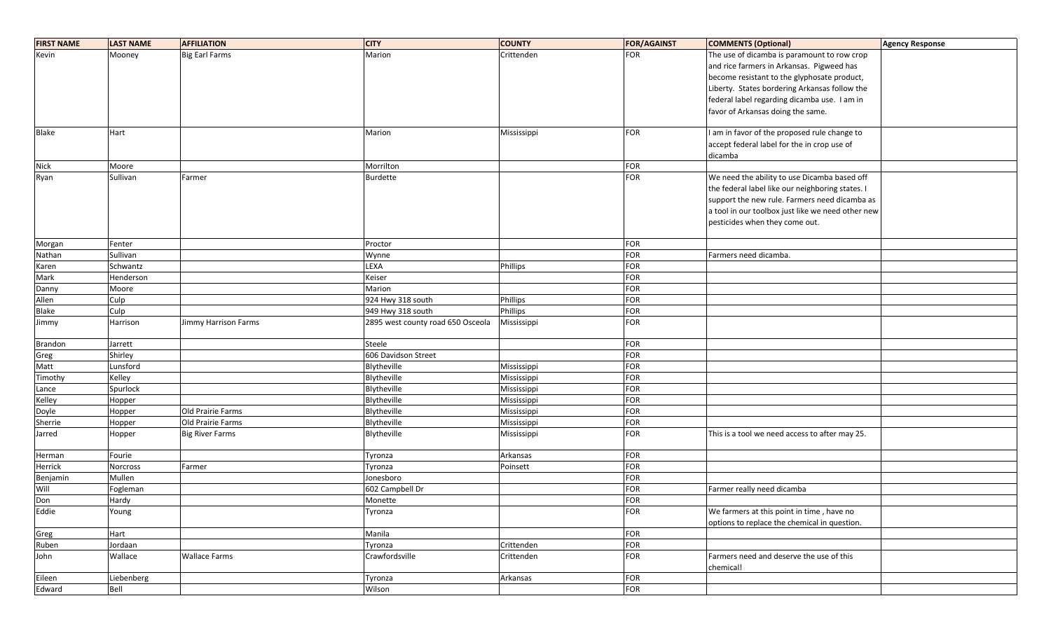| <b>FIRST NAME</b> | <b>LAST NAME</b> | <b>AFFILIATION</b>     | <b>CITY</b>                       | <b>COUNTY</b>   | <b>FOR/AGAINST</b> | <b>COMMENTS (Optional)</b>                            | Agency Response |
|-------------------|------------------|------------------------|-----------------------------------|-----------------|--------------------|-------------------------------------------------------|-----------------|
| Kevin             | Mooney           | <b>Big Earl Farms</b>  | Marion                            | Crittenden      | <b>FOR</b>         | The use of dicamba is paramount to row crop           |                 |
|                   |                  |                        |                                   |                 |                    | and rice farmers in Arkansas. Pigweed has             |                 |
|                   |                  |                        |                                   |                 |                    | become resistant to the glyphosate product,           |                 |
|                   |                  |                        |                                   |                 |                    | Liberty. States bordering Arkansas follow the         |                 |
|                   |                  |                        |                                   |                 |                    | federal label regarding dicamba use. I am in          |                 |
|                   |                  |                        |                                   |                 |                    | favor of Arkansas doing the same.                     |                 |
|                   |                  |                        |                                   |                 |                    |                                                       |                 |
| <b>Blake</b>      | Hart             |                        | Marion                            | Mississippi     | <b>FOR</b>         | I am in favor of the proposed rule change to          |                 |
|                   |                  |                        |                                   |                 |                    | accept federal label for the in crop use of           |                 |
|                   |                  |                        |                                   |                 |                    | dicamba                                               |                 |
| <b>Nick</b>       | Moore            |                        | Morrilton                         |                 | <b>FOR</b>         |                                                       |                 |
| Ryan              | Sullivan         | Farmer                 | Burdette                          |                 | FOR                | We need the ability to use Dicamba based off          |                 |
|                   |                  |                        |                                   |                 |                    | the federal label like our neighboring states. I      |                 |
|                   |                  |                        |                                   |                 |                    | support the new rule. Farmers need dicamba as         |                 |
|                   |                  |                        |                                   |                 |                    | a tool in our toolbox just like we need other new     |                 |
|                   |                  |                        |                                   |                 |                    | pesticides when they come out.                        |                 |
|                   |                  |                        |                                   |                 |                    |                                                       |                 |
| Morgan            | Fenter           |                        | Proctor                           |                 | <b>FOR</b>         |                                                       |                 |
| Nathan            | Sullivan         |                        | Wynne                             |                 | FOR                | Farmers need dicamba.                                 |                 |
| Karen             | Schwantz         |                        | LEXA                              | <b>Phillips</b> | <b>FOR</b>         |                                                       |                 |
| Mark              | Henderson        |                        | Keiser                            |                 | FOR                |                                                       |                 |
| Danny             | Moore            |                        | Marion                            |                 | FOR                |                                                       |                 |
| Allen             | Culp             |                        | 924 Hwy 318 south                 | Phillips        | <b>FOR</b>         |                                                       |                 |
| Blake             | Culp             |                        | 949 Hwy 318 south                 | Phillips        | <b>FOR</b>         |                                                       |                 |
| Jimmy             | Harrison         | Jimmy Harrison Farms   | 2895 west county road 650 Osceola | Mississippi     | <b>FOR</b>         |                                                       |                 |
| Brandon           | Jarrett          |                        | Steele                            |                 | <b>FOR</b>         |                                                       |                 |
| Greg              | Shirley          |                        | 606 Davidson Street               |                 | FOR                |                                                       |                 |
| Matt              | Lunsford         |                        | Blytheville                       | Mississippi     | FOR                |                                                       |                 |
| Timothy           | Kelley           |                        | Blytheville                       | Mississippi     | <b>FOR</b>         |                                                       |                 |
| Lance             | Spurlock         |                        | Blytheville                       | Mississippi     | FOR                |                                                       |                 |
| Kelley            | Hopper           |                        | Blytheville                       | Mississippi     | <b>FOR</b>         |                                                       |                 |
| Doyle             | Hopper           | Old Prairie Farms      | Blytheville                       | Mississippi     | <b>FOR</b>         |                                                       |                 |
| Sherrie           | Hopper           | Old Prairie Farms      | Blytheville                       | Mississippi     | <b>FOR</b>         |                                                       |                 |
| Jarred            | Hopper           | <b>Big River Farms</b> | Blytheville                       | Mississippi     | <b>FOR</b>         | This is a tool we need access to after may 25.        |                 |
| Herman            | Fourie           |                        | Tyronza                           | Arkansas        | <b>FOR</b>         |                                                       |                 |
| Herrick           | Norcross         | Farmer                 | Tyronza                           | Poinsett        | FOR                |                                                       |                 |
| Benjamin          | Mullen           |                        | Jonesboro                         |                 | <b>FOR</b>         |                                                       |                 |
| Will              | Fogleman         |                        | 602 Campbell Dr                   |                 | <b>FOR</b>         | Farmer really need dicamba                            |                 |
| Don               | Hardy            |                        | Monette                           |                 | <b>FOR</b>         |                                                       |                 |
| Eddie             | Young            |                        | Tyronza                           |                 | FOR                | We farmers at this point in time, have no             |                 |
|                   |                  |                        |                                   |                 |                    | options to replace the chemical in question.          |                 |
| Greg              | Hart             |                        | Manila                            |                 | FOR                |                                                       |                 |
| Ruben             | Jordaan          |                        | Tyronza                           | Crittenden      | FOR                |                                                       |                 |
| John              | Wallace          | <b>Wallace Farms</b>   | Crawfordsville                    | Crittenden      | FOR                | Farmers need and deserve the use of this<br>chemical! |                 |
| Eileen            | Liebenberg       |                        | Tyronza                           | Arkansas        | FOR                |                                                       |                 |
| Edward            | Bell             |                        | Wilson                            |                 | FOR                |                                                       |                 |
|                   |                  |                        |                                   |                 |                    |                                                       |                 |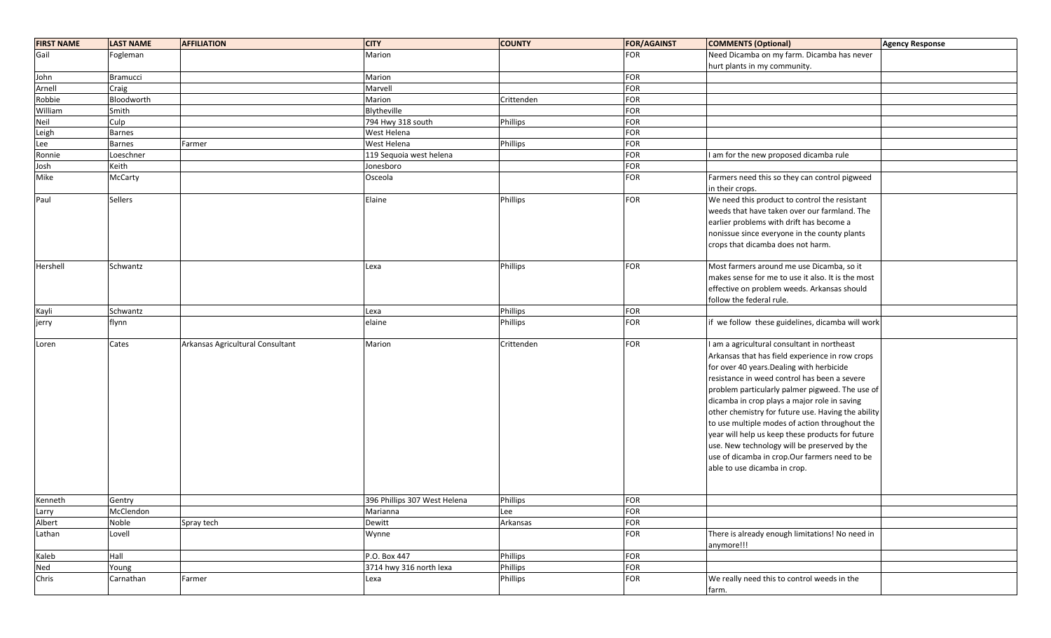| <b>FIRST NAME</b> | <b>LAST NAME</b> | <b>AFFILIATION</b>               | <b>CITY</b>                  | <b>COUNTY</b> | <b>FOR/AGAINST</b> | <b>COMMENTS (Optional)</b>                         | <b>Agency Response</b> |
|-------------------|------------------|----------------------------------|------------------------------|---------------|--------------------|----------------------------------------------------|------------------------|
| Gail              | Fogleman         |                                  | Marion                       |               | <b>FOR</b>         | Need Dicamba on my farm. Dicamba has never         |                        |
|                   |                  |                                  |                              |               |                    | hurt plants in my community.                       |                        |
| John              | <b>Bramucci</b>  |                                  | Marion                       |               | <b>FOR</b>         |                                                    |                        |
| Arnell            | Craig            |                                  | Marvell                      |               | <b>FOR</b>         |                                                    |                        |
| Robbie            | Bloodworth       |                                  | Marion                       | Crittenden    | FOR                |                                                    |                        |
| William           | Smith            |                                  | Blytheville                  |               | FOR                |                                                    |                        |
| Neil              | Culp             |                                  | 794 Hwy 318 south            | Phillips      | FOR                |                                                    |                        |
| Leigh             | <b>Barnes</b>    |                                  | West Helena                  |               | FOR                |                                                    |                        |
| Lee               | Barnes           | Farmer                           | West Helena                  | Phillips      | FOR                |                                                    |                        |
| Ronnie            | Loeschner        |                                  | 119 Sequoia west helena      |               | FOR                | am for the new proposed dicamba rule               |                        |
| Josh              | Keith            |                                  | Jonesboro                    |               | FOR                |                                                    |                        |
| Mike              | McCarty          |                                  | Osceola                      |               | FOR                | Farmers need this so they can control pigweed      |                        |
|                   |                  |                                  |                              |               |                    | in their crops.                                    |                        |
| Paul              | Sellers          |                                  | Elaine                       | Phillips      | <b>FOR</b>         | We need this product to control the resistant      |                        |
|                   |                  |                                  |                              |               |                    | weeds that have taken over our farmland. The       |                        |
|                   |                  |                                  |                              |               |                    | earlier problems with drift has become a           |                        |
|                   |                  |                                  |                              |               |                    | nonissue since everyone in the county plants       |                        |
|                   |                  |                                  |                              |               |                    | crops that dicamba does not harm.                  |                        |
|                   |                  |                                  |                              |               |                    |                                                    |                        |
| Hershell          | Schwantz         |                                  | Lexa                         | Phillips      | <b>FOR</b>         | Most farmers around me use Dicamba, so it          |                        |
|                   |                  |                                  |                              |               |                    | makes sense for me to use it also. It is the most  |                        |
|                   |                  |                                  |                              |               |                    | effective on problem weeds. Arkansas should        |                        |
|                   |                  |                                  |                              |               |                    | follow the federal rule.                           |                        |
| Kayli             | Schwantz         |                                  | Lexa                         | Phillips      | <b>FOR</b>         |                                                    |                        |
| jerry             | flynn            |                                  | elaine                       | Phillips      | FOR                | if we follow these guidelines, dicamba will work   |                        |
|                   |                  |                                  |                              |               |                    |                                                    |                        |
| Loren             | Cates            | Arkansas Agricultural Consultant | Marion                       | Crittenden    | <b>FOR</b>         | I am a agricultural consultant in northeast        |                        |
|                   |                  |                                  |                              |               |                    | Arkansas that has field experience in row crops    |                        |
|                   |                  |                                  |                              |               |                    | for over 40 years. Dealing with herbicide          |                        |
|                   |                  |                                  |                              |               |                    | resistance in weed control has been a severe       |                        |
|                   |                  |                                  |                              |               |                    | problem particularly palmer pigweed. The use of    |                        |
|                   |                  |                                  |                              |               |                    | dicamba in crop plays a major role in saving       |                        |
|                   |                  |                                  |                              |               |                    | other chemistry for future use. Having the ability |                        |
|                   |                  |                                  |                              |               |                    | to use multiple modes of action throughout the     |                        |
|                   |                  |                                  |                              |               |                    | year will help us keep these products for future   |                        |
|                   |                  |                                  |                              |               |                    | use. New technology will be preserved by the       |                        |
|                   |                  |                                  |                              |               |                    | use of dicamba in crop.Our farmers need to be      |                        |
|                   |                  |                                  |                              |               |                    | able to use dicamba in crop.                       |                        |
|                   |                  |                                  |                              |               |                    |                                                    |                        |
|                   |                  |                                  |                              |               |                    |                                                    |                        |
| Kenneth           | Gentry           |                                  | 396 Phillips 307 West Helena | Phillips      | FOR                |                                                    |                        |
| Larry             | McClendon        |                                  | Marianna                     | Lee           | FOR                |                                                    |                        |
| Albert            | Noble            | Spray tech                       | Dewitt                       | Arkansas      | FOR                |                                                    |                        |
| Lathan            | Lovell           |                                  | Wynne                        |               | FOR                | There is already enough limitations! No need in    |                        |
|                   |                  |                                  |                              |               |                    | anymore!!!                                         |                        |
| Kaleb             | Hall             |                                  | P.O. Box 447                 | Phillips      | <b>FOR</b>         |                                                    |                        |
| Ned               | Young            |                                  | 3714 hwy 316 north lexa      | Phillips      | FOR                |                                                    |                        |
| Chris             | Carnathan        | Farmer                           | Lexa                         | Phillips      | FOR                | We really need this to control weeds in the        |                        |
|                   |                  |                                  |                              |               |                    | farm.                                              |                        |
|                   |                  |                                  |                              |               |                    |                                                    |                        |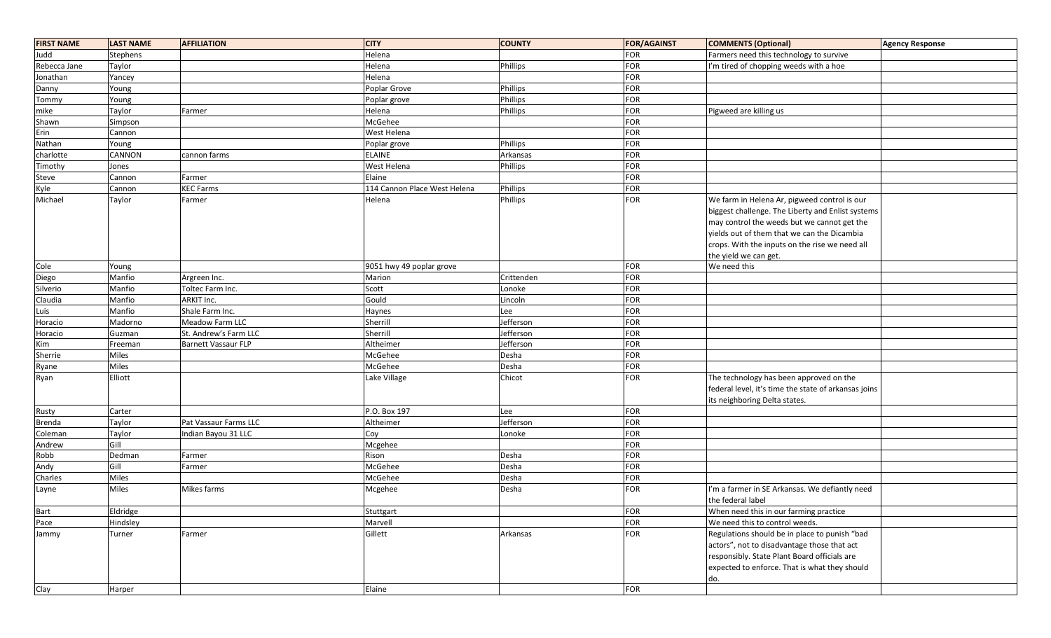| <b>FIRST NAME</b> | <b>LAST NAME</b> | <b>AFFILIATION</b>    | <b>CITY</b>                  | <b>COUNTY</b> | <b>FOR/AGAINST</b> | <b>COMMENTS (Optional)</b>                           | <b>Agency Response</b> |
|-------------------|------------------|-----------------------|------------------------------|---------------|--------------------|------------------------------------------------------|------------------------|
| Judd              | Stephens         |                       | Helena                       |               | <b>FOR</b>         | Farmers need this technology to survive              |                        |
| Rebecca Jane      | Taylor           |                       | Helena                       | Phillips      | <b>FOR</b>         | I'm tired of chopping weeds with a hoe               |                        |
| Jonathan          | Yancey           |                       | Helena                       |               | FOR                |                                                      |                        |
| Danny             | Young            |                       | Poplar Grove                 | Phillips      | <b>FOR</b>         |                                                      |                        |
| Tommy             | Young            |                       | Poplar grove                 | Phillips      | FOR                |                                                      |                        |
| mike              | Taylor           | Farmer                | Helena                       | Phillips      | <b>FOR</b>         | Pigweed are killing us                               |                        |
| Shawn             | Simpson          |                       | McGehee                      |               | FOR                |                                                      |                        |
| Erin              | Cannon           |                       | West Helena                  |               | <b>FOR</b>         |                                                      |                        |
| Nathan            | Young            |                       | Poplar grove                 | Phillips      | FOR                |                                                      |                        |
| charlotte         | CANNON           | cannon farms          | <b>ELAINE</b>                | Arkansas      | <b>FOR</b>         |                                                      |                        |
| Timothy           | Jones            |                       | West Helena                  | Phillips      | <b>FOR</b>         |                                                      |                        |
| Steve             | Cannon           | Farmer                | Elaine                       |               | <b>FOR</b>         |                                                      |                        |
| Kyle              | Cannon           | <b>KEC Farms</b>      | 114 Cannon Place West Helena | Phillips      | FOR                |                                                      |                        |
| Michael           | Taylor           | Farmer                | Helena                       | Phillips      | FOR                | We farm in Helena Ar, pigweed control is our         |                        |
|                   |                  |                       |                              |               |                    | biggest challenge. The Liberty and Enlist systems    |                        |
|                   |                  |                       |                              |               |                    | may control the weeds but we cannot get the          |                        |
|                   |                  |                       |                              |               |                    | yields out of them that we can the Dicambia          |                        |
|                   |                  |                       |                              |               |                    | crops. With the inputs on the rise we need all       |                        |
|                   |                  |                       |                              |               |                    | the yield we can get.                                |                        |
| Cole              | Young            |                       | 9051 hwy 49 poplar grove     |               | FOR                | We need this                                         |                        |
| Diego             | Manfio           | Argreen Inc.          | Marion                       | Crittenden    | FOR                |                                                      |                        |
| Silverio          | Manfio           | Toltec Farm Inc.      | Scott                        | Lonoke        | FOR                |                                                      |                        |
| Claudia           | Manfio           | ARKIT Inc.            | Gould                        | Lincoln       | FOR                |                                                      |                        |
| Luis              | Manfio           | Shale Farm Inc.       | Haynes                       | Lee           | FOR                |                                                      |                        |
| Horacio           | Madorno          | Meadow Farm LLC       | Sherrill                     | Jefferson     | FOR                |                                                      |                        |
| Horacio           | Guzman           | St. Andrew's Farm LLC | Sherrill                     | Jefferson     | FOR                |                                                      |                        |
| Kim               | Freeman          | Barnett Vassaur FLP   | Altheimer                    | Jefferson     | FOR                |                                                      |                        |
| Sherrie           | Miles            |                       | McGehee                      | Desha         | FOR                |                                                      |                        |
| Ryane             | Miles            |                       | McGehee                      | Desha         | FOR                |                                                      |                        |
| Ryan              | Elliott          |                       | Lake Village                 | Chicot        | FOR                | The technology has been approved on the              |                        |
|                   |                  |                       |                              |               |                    | federal level, it's time the state of arkansas joins |                        |
|                   |                  |                       |                              |               |                    | its neighboring Delta states.                        |                        |
| Rusty             | Carter           |                       | P.O. Box 197                 | Lee           | FOR                |                                                      |                        |
| <b>Brenda</b>     | Taylor           | Pat Vassaur Farms LLC | Altheimer                    | Jefferson     | FOR                |                                                      |                        |
| Coleman           | Taylor           | Indian Bayou 31 LLC   | Coy                          | Lonoke        | <b>FOR</b>         |                                                      |                        |
| Andrew            | Gill             |                       | Mcgehee                      |               | FOR                |                                                      |                        |
| Robb              | Dedman           | Farmer                | Rison                        | Desha         | <b>FOR</b>         |                                                      |                        |
| Andy              | Gill             | Farmer                | McGehee                      | Desha         | FOR                |                                                      |                        |
| Charles           | Miles            |                       | McGehee                      | Desha         | <b>FOR</b>         |                                                      |                        |
| Layne             | <b>Miles</b>     | Mikes farms           | Mcgehee                      | Desha         | FOR                | I'm a farmer in SE Arkansas. We defiantly need       |                        |
|                   |                  |                       |                              |               |                    | the federal label                                    |                        |
| Bart              | Eldridge         |                       | Stuttgart                    |               | FOR                | When need this in our farming practice               |                        |
| Pace              | Hindsley         |                       | Marvell                      |               | FOR                | We need this to control weeds.                       |                        |
| Jammy             | Turner           | Farmer                | Gillett                      | Arkansas      | FOR                | Regulations should be in place to punish "bad        |                        |
|                   |                  |                       |                              |               |                    | actors", not to disadvantage those that act          |                        |
|                   |                  |                       |                              |               |                    | responsibly. State Plant Board officials are         |                        |
|                   |                  |                       |                              |               |                    | expected to enforce. That is what they should        |                        |
|                   |                  |                       |                              |               |                    | do.                                                  |                        |
| Clay              | Harper           |                       | Elaine                       |               | <b>FOR</b>         |                                                      |                        |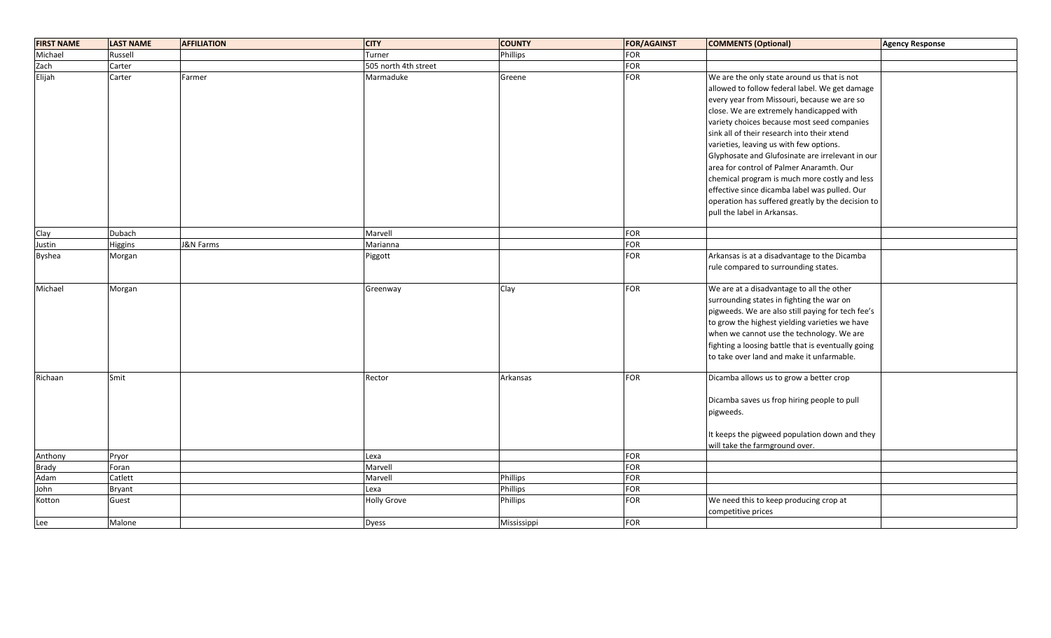| <b>FIRST NAME</b> | LAST NAME     | <b>AFFILIATION</b> | <b>CITY</b>          | <b>COUNTY</b>   | <b>FOR/AGAINST</b> | <b>COMMENTS (Optional)</b>                                                                                                                                                                                                                                                                                                                                                                                                                                                                                                                                                                                              | <b>Agency Response</b> |
|-------------------|---------------|--------------------|----------------------|-----------------|--------------------|-------------------------------------------------------------------------------------------------------------------------------------------------------------------------------------------------------------------------------------------------------------------------------------------------------------------------------------------------------------------------------------------------------------------------------------------------------------------------------------------------------------------------------------------------------------------------------------------------------------------------|------------------------|
| Michael           | Russell       |                    | Turner               | <b>Phillips</b> | FOR                |                                                                                                                                                                                                                                                                                                                                                                                                                                                                                                                                                                                                                         |                        |
| Zach              | Carter        |                    | 505 north 4th street |                 | <b>FOR</b>         |                                                                                                                                                                                                                                                                                                                                                                                                                                                                                                                                                                                                                         |                        |
| Elijah            | Carter        | Farmer             | Marmaduke            | Greene          | <b>FOR</b>         | We are the only state around us that is not<br>allowed to follow federal label. We get damage<br>every year from Missouri, because we are so<br>close. We are extremely handicapped with<br>variety choices because most seed companies<br>sink all of their research into their xtend<br>varieties, leaving us with few options.<br>Glyphosate and Glufosinate are irrelevant in our<br>area for control of Palmer Anaramth. Our<br>chemical program is much more costly and less<br>effective since dicamba label was pulled. Our<br>operation has suffered greatly by the decision to<br>pull the label in Arkansas. |                        |
|                   |               |                    |                      |                 |                    |                                                                                                                                                                                                                                                                                                                                                                                                                                                                                                                                                                                                                         |                        |
| Clay              | Dubach        |                    | Marvell              |                 | <b>FOR</b>         |                                                                                                                                                                                                                                                                                                                                                                                                                                                                                                                                                                                                                         |                        |
| Justin            | Higgins       | J&N Farms          | Marianna             |                 | <b>FOR</b>         |                                                                                                                                                                                                                                                                                                                                                                                                                                                                                                                                                                                                                         |                        |
| <b>Byshea</b>     | Morgan        |                    | Piggott              |                 | FOR                | Arkansas is at a disadvantage to the Dicamba<br>rule compared to surrounding states.                                                                                                                                                                                                                                                                                                                                                                                                                                                                                                                                    |                        |
| Michael           | Morgan        |                    | Greenway             | Clay            | <b>FOR</b>         | We are at a disadvantage to all the other<br>surrounding states in fighting the war on<br>pigweeds. We are also still paying for tech fee's<br>to grow the highest yielding varieties we have<br>when we cannot use the technology. We are<br>fighting a loosing battle that is eventually going<br>to take over land and make it unfarmable.                                                                                                                                                                                                                                                                           |                        |
| Richaan           | Smit          |                    | Rector               | Arkansas        | <b>FOR</b>         | Dicamba allows us to grow a better crop<br>Dicamba saves us frop hiring people to pull<br>pigweeds.<br>It keeps the pigweed population down and they<br>will take the farmground over.                                                                                                                                                                                                                                                                                                                                                                                                                                  |                        |
| Anthony           | Pryor         |                    | Lexa                 |                 | <b>FOR</b>         |                                                                                                                                                                                                                                                                                                                                                                                                                                                                                                                                                                                                                         |                        |
| <b>Brady</b>      | Foran         |                    | Marvell              |                 | <b>FOR</b>         |                                                                                                                                                                                                                                                                                                                                                                                                                                                                                                                                                                                                                         |                        |
| Adam              | Catlett       |                    | Marvell              | Phillips        | <b>FOR</b>         |                                                                                                                                                                                                                                                                                                                                                                                                                                                                                                                                                                                                                         |                        |
| John              | <b>Bryant</b> |                    | Lexa                 | Phillips        | FOR                |                                                                                                                                                                                                                                                                                                                                                                                                                                                                                                                                                                                                                         |                        |
| Kotton            | Guest         |                    | <b>Holly Grove</b>   | Phillips        | FOR                | We need this to keep producing crop at<br>competitive prices                                                                                                                                                                                                                                                                                                                                                                                                                                                                                                                                                            |                        |
| Lee               | Malone        |                    | <b>Dyess</b>         | Mississippi     | <b>FOR</b>         |                                                                                                                                                                                                                                                                                                                                                                                                                                                                                                                                                                                                                         |                        |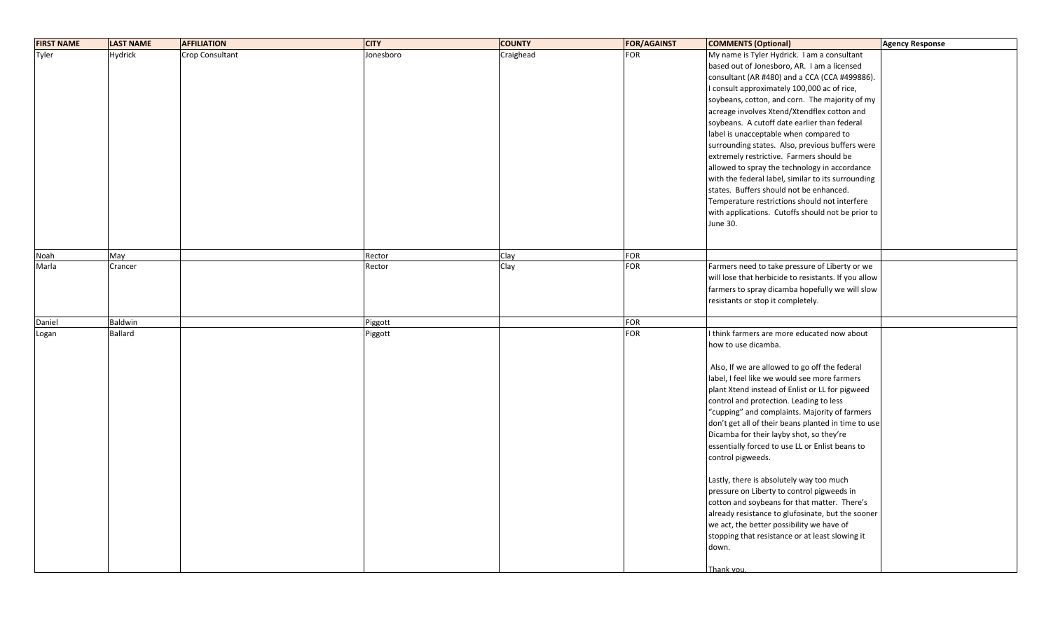| <b>FIRST NAME</b> | <b>LAST NAME</b> | <b>AFFILIATION</b> | <b>CITY</b> | <b>COUNTY</b> | <b>FOR/AGAINST</b> | <b>COMMENTS (Optional)</b>                           | <b>Agency Response</b> |
|-------------------|------------------|--------------------|-------------|---------------|--------------------|------------------------------------------------------|------------------------|
| Tyler             | Hydrick          | Crop Consultant    | Jonesboro   | Craighead     | <b>FOR</b>         | My name is Tyler Hydrick. I am a consultant          |                        |
|                   |                  |                    |             |               |                    | based out of Jonesboro, AR. I am a licensed          |                        |
|                   |                  |                    |             |               |                    | consultant (AR #480) and a CCA (CCA #499886).        |                        |
|                   |                  |                    |             |               |                    | I consult approximately 100,000 ac of rice,          |                        |
|                   |                  |                    |             |               |                    | soybeans, cotton, and corn. The majority of my       |                        |
|                   |                  |                    |             |               |                    | acreage involves Xtend/Xtendflex cotton and          |                        |
|                   |                  |                    |             |               |                    | soybeans. A cutoff date earlier than federal         |                        |
|                   |                  |                    |             |               |                    | label is unacceptable when compared to               |                        |
|                   |                  |                    |             |               |                    | surrounding states. Also, previous buffers were      |                        |
|                   |                  |                    |             |               |                    | extremely restrictive. Farmers should be             |                        |
|                   |                  |                    |             |               |                    | allowed to spray the technology in accordance        |                        |
|                   |                  |                    |             |               |                    |                                                      |                        |
|                   |                  |                    |             |               |                    | with the federal label, similar to its surrounding   |                        |
|                   |                  |                    |             |               |                    | states. Buffers should not be enhanced.              |                        |
|                   |                  |                    |             |               |                    | Temperature restrictions should not interfere        |                        |
|                   |                  |                    |             |               |                    | with applications. Cutoffs should not be prior to    |                        |
|                   |                  |                    |             |               |                    | June 30.                                             |                        |
|                   |                  |                    |             |               |                    |                                                      |                        |
| Noah              | May              |                    | Rector      | Clay          | <b>FOR</b>         |                                                      |                        |
| Marla             | Crancer          |                    | Rector      | Clay          | FOR                | Farmers need to take pressure of Liberty or we       |                        |
|                   |                  |                    |             |               |                    | will lose that herbicide to resistants. If you allow |                        |
|                   |                  |                    |             |               |                    | farmers to spray dicamba hopefully we will slow      |                        |
|                   |                  |                    |             |               |                    |                                                      |                        |
|                   |                  |                    |             |               |                    | resistants or stop it completely.                    |                        |
| Daniel            | Baldwin          |                    | Piggott     |               | <b>FOR</b>         |                                                      |                        |
| Logan             | Ballard          |                    | Piggott     |               | <b>FOR</b>         | I think farmers are more educated now about          |                        |
|                   |                  |                    |             |               |                    | how to use dicamba.                                  |                        |
|                   |                  |                    |             |               |                    |                                                      |                        |
|                   |                  |                    |             |               |                    | Also, If we are allowed to go off the federal        |                        |
|                   |                  |                    |             |               |                    | label, I feel like we would see more farmers         |                        |
|                   |                  |                    |             |               |                    | plant Xtend instead of Enlist or LL for pigweed      |                        |
|                   |                  |                    |             |               |                    | control and protection. Leading to less              |                        |
|                   |                  |                    |             |               |                    | "cupping" and complaints. Majority of farmers        |                        |
|                   |                  |                    |             |               |                    | don't get all of their beans planted in time to use  |                        |
|                   |                  |                    |             |               |                    | Dicamba for their layby shot, so they're             |                        |
|                   |                  |                    |             |               |                    |                                                      |                        |
|                   |                  |                    |             |               |                    | essentially forced to use LL or Enlist beans to      |                        |
|                   |                  |                    |             |               |                    | control pigweeds.                                    |                        |
|                   |                  |                    |             |               |                    |                                                      |                        |
|                   |                  |                    |             |               |                    | Lastly, there is absolutely way too much             |                        |
|                   |                  |                    |             |               |                    | pressure on Liberty to control pigweeds in           |                        |
|                   |                  |                    |             |               |                    | cotton and soybeans for that matter. There's         |                        |
|                   |                  |                    |             |               |                    | already resistance to glufosinate, but the sooner    |                        |
|                   |                  |                    |             |               |                    | we act, the better possibility we have of            |                        |
|                   |                  |                    |             |               |                    | stopping that resistance or at least slowing it      |                        |
|                   |                  |                    |             |               |                    | down.                                                |                        |
|                   |                  |                    |             |               |                    |                                                      |                        |
|                   |                  |                    |             |               |                    | Thank vou                                            |                        |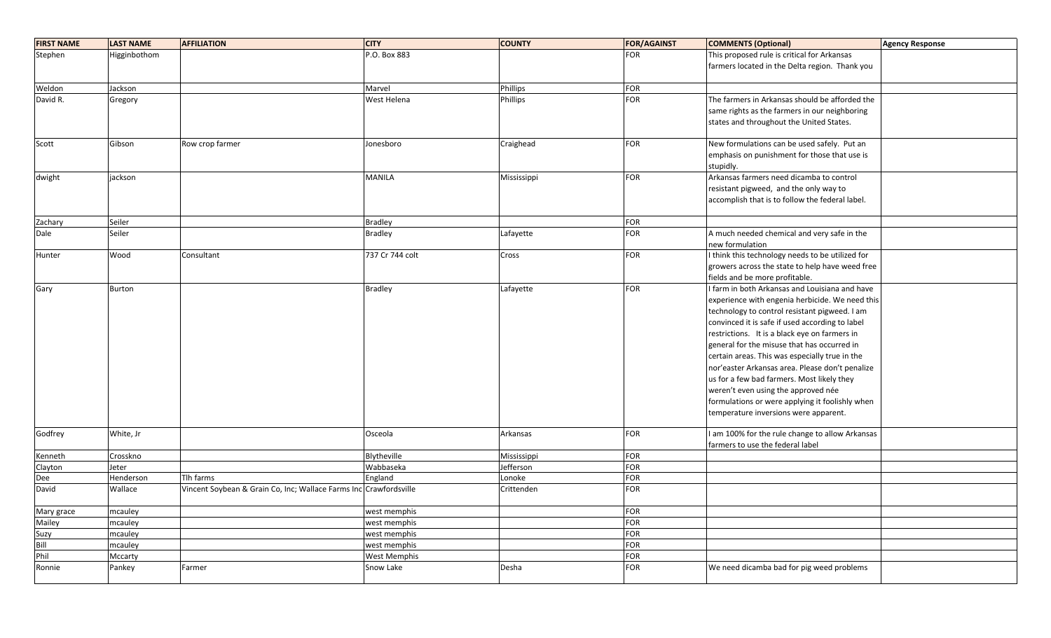| <b>FIRST NAME</b> | <b>LAST NAME</b> | <b>AFFILIATION</b>                                                | <b>CITY</b>     | <b>COUNTY</b> | <b>FOR/AGAINST</b> | <b>COMMENTS (Optional)</b>                       | <b>Agency Response</b> |
|-------------------|------------------|-------------------------------------------------------------------|-----------------|---------------|--------------------|--------------------------------------------------|------------------------|
| Stephen           | Higginbothom     |                                                                   | P.O. Box 883    |               | <b>FOR</b>         | This proposed rule is critical for Arkansas      |                        |
|                   |                  |                                                                   |                 |               |                    | farmers located in the Delta region. Thank you   |                        |
|                   |                  |                                                                   |                 |               |                    |                                                  |                        |
| Weldon            | Jackson          |                                                                   | Marvel          | Phillips      | <b>FOR</b>         |                                                  |                        |
| David R.          | Gregory          |                                                                   | West Helena     | Phillips      | <b>FOR</b>         | The farmers in Arkansas should be afforded the   |                        |
|                   |                  |                                                                   |                 |               |                    | same rights as the farmers in our neighboring    |                        |
|                   |                  |                                                                   |                 |               |                    | states and throughout the United States.         |                        |
|                   |                  |                                                                   |                 |               |                    |                                                  |                        |
| Scott             | Gibson           | Row crop farmer                                                   | Jonesboro       | Craighead     | FOR                | New formulations can be used safely. Put an      |                        |
|                   |                  |                                                                   |                 |               |                    | emphasis on punishment for those that use is     |                        |
|                   |                  |                                                                   |                 |               |                    | stupidly.                                        |                        |
| dwight            | jackson          |                                                                   | <b>MANILA</b>   | Mississippi   | FOR                | Arkansas farmers need dicamba to control         |                        |
|                   |                  |                                                                   |                 |               |                    | resistant pigweed, and the only way to           |                        |
|                   |                  |                                                                   |                 |               |                    | accomplish that is to follow the federal label.  |                        |
|                   |                  |                                                                   |                 |               |                    |                                                  |                        |
| Zachary           | Seiler           |                                                                   | <b>Bradley</b>  |               | FOR                |                                                  |                        |
| Dale              | Seiler           |                                                                   | <b>Bradley</b>  | Lafayette     | <b>FOR</b>         | A much needed chemical and very safe in the      |                        |
|                   |                  |                                                                   |                 |               |                    | new formulation                                  |                        |
| Hunter            | Wood             | Consultant                                                        | 737 Cr 744 colt | Cross         | FOR                | I think this technology needs to be utilized for |                        |
|                   |                  |                                                                   |                 |               |                    | growers across the state to help have weed free  |                        |
|                   |                  |                                                                   |                 |               |                    | fields and be more profitable.                   |                        |
| Gary              | <b>Burton</b>    |                                                                   | <b>Bradley</b>  | Lafayette     | FOR                | I farm in both Arkansas and Louisiana and have   |                        |
|                   |                  |                                                                   |                 |               |                    | experience with engenia herbicide. We need this  |                        |
|                   |                  |                                                                   |                 |               |                    | technology to control resistant pigweed. I am    |                        |
|                   |                  |                                                                   |                 |               |                    | convinced it is safe if used according to label  |                        |
|                   |                  |                                                                   |                 |               |                    | restrictions. It is a black eye on farmers in    |                        |
|                   |                  |                                                                   |                 |               |                    | general for the misuse that has occurred in      |                        |
|                   |                  |                                                                   |                 |               |                    | certain areas. This was especially true in the   |                        |
|                   |                  |                                                                   |                 |               |                    | nor'easter Arkansas area. Please don't penalize  |                        |
|                   |                  |                                                                   |                 |               |                    | us for a few bad farmers. Most likely they       |                        |
|                   |                  |                                                                   |                 |               |                    | weren't even using the approved née              |                        |
|                   |                  |                                                                   |                 |               |                    | formulations or were applying it foolishly when  |                        |
|                   |                  |                                                                   |                 |               |                    | temperature inversions were apparent.            |                        |
| Godfrey           | White, Jr        |                                                                   | Osceola         | Arkansas      | FOR                | I am 100% for the rule change to allow Arkansas  |                        |
|                   |                  |                                                                   |                 |               |                    | farmers to use the federal label                 |                        |
| Kenneth           | Crosskno         |                                                                   | Blytheville     | Mississippi   | FOR                |                                                  |                        |
| Clayton           | Jeter            |                                                                   | Wabbaseka       | Jefferson     | FOR                |                                                  |                        |
| Dee               | Henderson        | Tlh farms                                                         | England         | Lonoke        | <b>FOR</b>         |                                                  |                        |
| David             | Wallace          | Vincent Soybean & Grain Co, Inc; Wallace Farms Inc Crawfordsville |                 | Crittenden    | <b>FOR</b>         |                                                  |                        |
| Mary grace        | mcauley          |                                                                   | west memphis    |               | FOR                |                                                  |                        |
| Mailey            | mcauley          |                                                                   | west memphis    |               | <b>FOR</b>         |                                                  |                        |
| Suzy              | mcauley          |                                                                   | west memphis    |               | FOR                |                                                  |                        |
| Bill              | mcauley          |                                                                   | west memphis    |               | FOR                |                                                  |                        |
| Phil              | Mccarty          |                                                                   | West Memphis    |               | FOR                |                                                  |                        |
| Ronnie            | Pankey           | Farmer                                                            | Snow Lake       | Desha         | <b>FOR</b>         | We need dicamba bad for pig weed problems        |                        |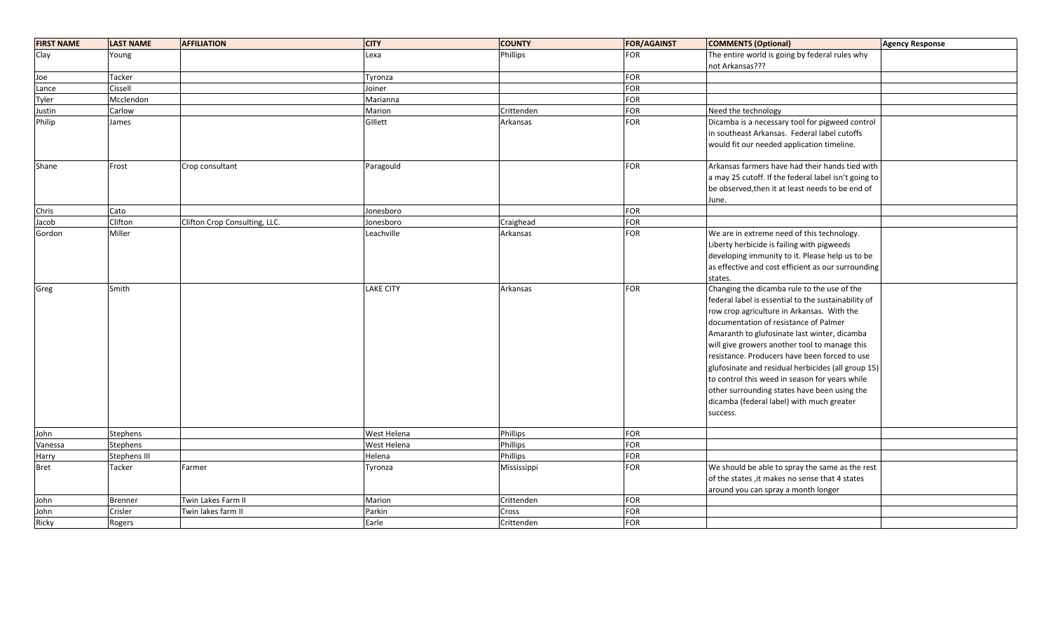| <b>FIRST NAME</b> | <b>LAST NAME</b>    | <b>AFFILIATION</b>            | <b>CITY</b>      | <b>COUNTY</b> | <b>FOR/AGAINST</b> | <b>COMMENTS (Optional)</b>                                                                    | <b>Agency Response</b> |
|-------------------|---------------------|-------------------------------|------------------|---------------|--------------------|-----------------------------------------------------------------------------------------------|------------------------|
| Clay              | Young               |                               | Lexa             | Phillips      | <b>FOR</b>         | The entire world is going by federal rules why                                                |                        |
|                   |                     |                               |                  |               |                    | not Arkansas???                                                                               |                        |
| Joe               | Tacker              |                               | Tyronza          |               | FOR                |                                                                                               |                        |
| Lance             | Cissell             |                               | Joiner           |               | FOR                |                                                                                               |                        |
| Tyler             | Mcclendon           |                               | Marianna         |               | <b>FOR</b>         |                                                                                               |                        |
| Justin            | Carlow              |                               | Marion           | Crittenden    | <b>FOR</b>         | Need the technology                                                                           |                        |
| Philip            | James               |                               | Gillett          | Arkansas      | <b>FOR</b>         | Dicamba is a necessary tool for pigweed control                                               |                        |
|                   |                     |                               |                  |               |                    | in southeast Arkansas. Federal label cutoffs                                                  |                        |
|                   |                     |                               |                  |               |                    | would fit our needed application timeline.                                                    |                        |
|                   |                     |                               |                  |               | <b>FOR</b>         | Arkansas farmers have had their hands tied with                                               |                        |
| Shane             | Frost               | Crop consultant               | Paragould        |               |                    |                                                                                               |                        |
|                   |                     |                               |                  |               |                    | a may 25 cutoff. If the federal label isn't going to                                          |                        |
|                   |                     |                               |                  |               |                    | be observed, then it at least needs to be end of                                              |                        |
|                   |                     |                               |                  |               |                    | June.                                                                                         |                        |
| Chris             | Cato<br>Clifton     |                               | Jonesboro        |               | FOR<br><b>FOR</b>  |                                                                                               |                        |
| Jacob             | Miller              | Clifton Crop Consulting, LLC. | Jonesboro        | Craighead     | FOR                | We are in extreme need of this technology.                                                    |                        |
| Gordon            |                     |                               | Leachville       | Arkansas      |                    |                                                                                               |                        |
|                   |                     |                               |                  |               |                    | Liberty herbicide is failing with pigweeds                                                    |                        |
|                   |                     |                               |                  |               |                    | developing immunity to it. Please help us to be                                               |                        |
|                   |                     |                               |                  |               |                    | as effective and cost efficient as our surrounding                                            |                        |
|                   | Smith               |                               | <b>LAKE CITY</b> | Arkansas      | <b>FOR</b>         | states.<br>Changing the dicamba rule to the use of the                                        |                        |
| Greg              |                     |                               |                  |               |                    | federal label is essential to the sustainability of                                           |                        |
|                   |                     |                               |                  |               |                    | row crop agriculture in Arkansas. With the                                                    |                        |
|                   |                     |                               |                  |               |                    | documentation of resistance of Palmer                                                         |                        |
|                   |                     |                               |                  |               |                    |                                                                                               |                        |
|                   |                     |                               |                  |               |                    | Amaranth to glufosinate last winter, dicamba<br>will give growers another tool to manage this |                        |
|                   |                     |                               |                  |               |                    |                                                                                               |                        |
|                   |                     |                               |                  |               |                    | resistance. Producers have been forced to use                                                 |                        |
|                   |                     |                               |                  |               |                    | glufosinate and residual herbicides (all group 15)                                            |                        |
|                   |                     |                               |                  |               |                    | to control this weed in season for years while                                                |                        |
|                   |                     |                               |                  |               |                    | other surrounding states have been using the                                                  |                        |
|                   |                     |                               |                  |               |                    | dicamba (federal label) with much greater                                                     |                        |
|                   |                     |                               |                  |               |                    | success.                                                                                      |                        |
| John              | <b>Stephens</b>     |                               | West Helena      | Phillips      | FOR                |                                                                                               |                        |
| Vanessa           | <b>Stephens</b>     |                               | West Helena      | Phillips      | <b>FOR</b>         |                                                                                               |                        |
| Harry             | <b>Stephens III</b> |                               | Helena           | Phillips      | <b>FOR</b>         |                                                                                               |                        |
| <b>Bret</b>       | Tacker              | Farmer                        | Tyronza          | Mississippi   | <b>FOR</b>         | We should be able to spray the same as the rest                                               |                        |
|                   |                     |                               |                  |               |                    | of the states, it makes no sense that 4 states                                                |                        |
|                   |                     |                               |                  |               |                    | around you can spray a month longer                                                           |                        |
| John              | <b>Brenner</b>      | Twin Lakes Farm II            | Marion           | Crittenden    | FOR                |                                                                                               |                        |
| John              | Crisler             | Twin lakes farm II            | Parkin           | Cross         | <b>FOR</b>         |                                                                                               |                        |
| Ricky             | Rogers              |                               | Earle            | Crittenden    | <b>FOR</b>         |                                                                                               |                        |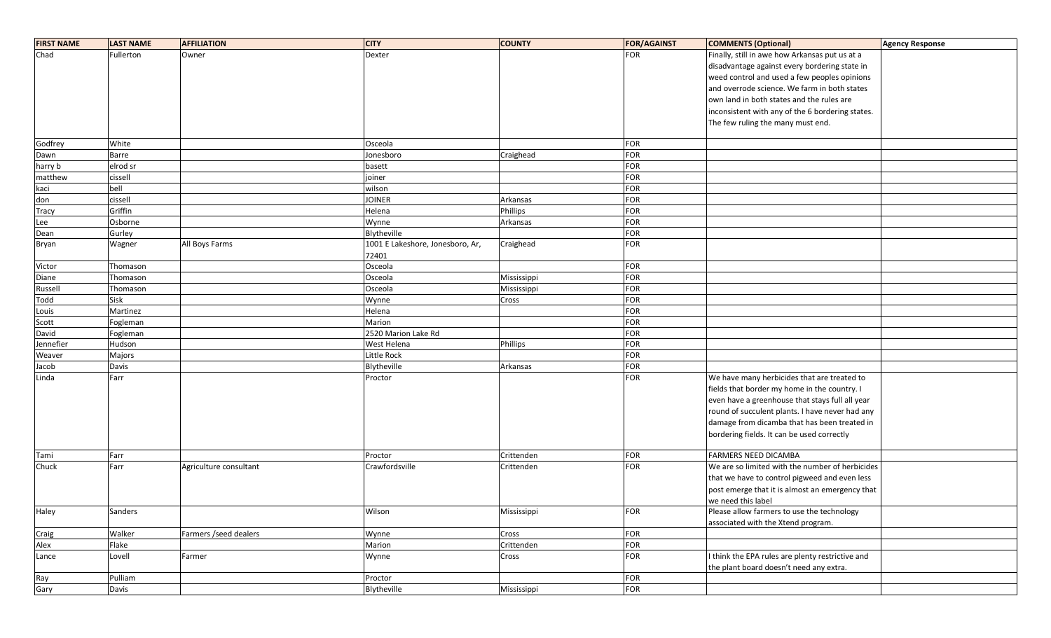| <b>FIRST NAME</b> | <b>LAST NAME</b> | <b>AFFILIATION</b>     | <b>CITY</b>                               | <b>COUNTY</b> | <b>FOR/AGAINST</b> | <b>COMMENTS (Optional)</b>                       | <b>Agency Response</b> |
|-------------------|------------------|------------------------|-------------------------------------------|---------------|--------------------|--------------------------------------------------|------------------------|
| Chad              | Fullerton        | Owner                  | Dexter                                    |               | <b>FOR</b>         | Finally, still in awe how Arkansas put us at a   |                        |
|                   |                  |                        |                                           |               |                    | disadvantage against every bordering state in    |                        |
|                   |                  |                        |                                           |               |                    | weed control and used a few peoples opinions     |                        |
|                   |                  |                        |                                           |               |                    | and overrode science. We farm in both states     |                        |
|                   |                  |                        |                                           |               |                    | own land in both states and the rules are        |                        |
|                   |                  |                        |                                           |               |                    | inconsistent with any of the 6 bordering states. |                        |
|                   |                  |                        |                                           |               |                    | The few ruling the many must end.                |                        |
|                   |                  |                        |                                           |               |                    |                                                  |                        |
| Godfrey           | White            |                        | Osceola                                   |               | <b>FOR</b>         |                                                  |                        |
| Dawn              | Barre            |                        | Jonesboro                                 | Craighead     | <b>FOR</b>         |                                                  |                        |
| harry b           | elrod sr         |                        | basett                                    |               | FOR                |                                                  |                        |
| matthew           | cissell          |                        | joiner                                    |               | FOR                |                                                  |                        |
| kaci              | bell             |                        | wilson                                    |               | <b>FOR</b>         |                                                  |                        |
| don               | cissell          |                        | <b>JOINER</b>                             | Arkansas      | FOR                |                                                  |                        |
| Tracy             | Griffin          |                        | Helena                                    | Phillips      | FOR                |                                                  |                        |
| Lee               | Osborne          |                        | Wynne                                     | Arkansas      | <b>FOR</b>         |                                                  |                        |
| Dean              | Gurley           |                        | Blytheville                               |               | FOR                |                                                  |                        |
| Bryan             | Wagner           | All Boys Farms         | 1001 E Lakeshore, Jonesboro, Ar,<br>72401 | Craighead     | <b>FOR</b>         |                                                  |                        |
| Victor            | Thomason         |                        | Osceola                                   |               | FOR                |                                                  |                        |
| Diane             | Thomason         |                        | Osceola                                   | Mississippi   | <b>FOR</b>         |                                                  |                        |
| Russell           | Thomason         |                        | Osceola                                   | Mississippi   | FOR                |                                                  |                        |
| Todd              | Sisk             |                        | Wynne                                     | Cross         | FOR                |                                                  |                        |
| Louis             | Martinez         |                        | Helena                                    |               | FOR                |                                                  |                        |
| Scott             | Fogleman         |                        | Marion                                    |               | <b>FOR</b>         |                                                  |                        |
| David             | Fogleman         |                        | 2520 Marion Lake Rd                       |               | FOR                |                                                  |                        |
| Jennefier         | Hudson           |                        | West Helena                               | Phillips      | FOR                |                                                  |                        |
| Weaver            | Majors           |                        | Little Rock                               |               | FOR                |                                                  |                        |
| Jacob             | Davis            |                        | Blytheville                               | Arkansas      | FOR                |                                                  |                        |
| Linda             | Farr             |                        | Proctor                                   |               | <b>FOR</b>         | We have many herbicides that are treated to      |                        |
|                   |                  |                        |                                           |               |                    | fields that border my home in the country. I     |                        |
|                   |                  |                        |                                           |               |                    | even have a greenhouse that stays full all year  |                        |
|                   |                  |                        |                                           |               |                    | round of succulent plants. I have never had any  |                        |
|                   |                  |                        |                                           |               |                    | damage from dicamba that has been treated in     |                        |
|                   |                  |                        |                                           |               |                    | bordering fields. It can be used correctly       |                        |
|                   |                  |                        |                                           |               |                    |                                                  |                        |
| Tami              | Farr             |                        | Proctor                                   | Crittenden    | <b>FOR</b>         | FARMERS NEED DICAMBA                             |                        |
| Chuck             | Farr             | Agriculture consultant | Crawfordsville                            | Crittenden    | FOR                | We are so limited with the number of herbicides  |                        |
|                   |                  |                        |                                           |               |                    | that we have to control pigweed and even less    |                        |
|                   |                  |                        |                                           |               |                    | post emerge that it is almost an emergency that  |                        |
|                   |                  |                        |                                           |               |                    | we need this label                               |                        |
| Haley             | Sanders          |                        | Wilson                                    | Mississippi   | FOR                | Please allow farmers to use the technology       |                        |
|                   |                  |                        |                                           |               |                    | associated with the Xtend program.               |                        |
| Craig             | Walker           | Farmers / seed dealers | Wynne                                     | Cross         | FOR                |                                                  |                        |
| Alex              | Flake            |                        | Marion                                    | Crittenden    | <b>FOR</b>         |                                                  |                        |
| Lance             | Lovell           | Farmer                 | Wynne                                     | Cross         | <b>FOR</b>         | I think the EPA rules are plenty restrictive and |                        |
|                   |                  |                        |                                           |               |                    | the plant board doesn't need any extra.          |                        |
| Ray               | Pulliam          |                        | Proctor                                   |               | <b>FOR</b>         |                                                  |                        |
| Gary              | Davis            |                        | Blytheville                               | Mississippi   | FOR                |                                                  |                        |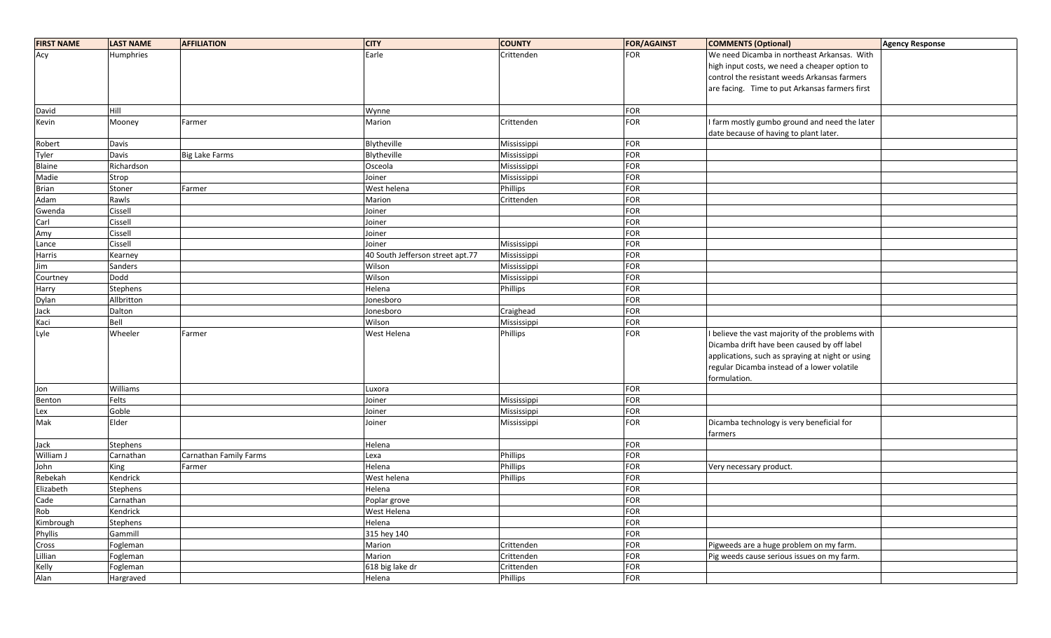| <b>FIRST NAME</b> | <b>LAST NAME</b> | <b>AFFILIATION</b>     | <b>CITY</b>                      | <b>COUNTY</b>   | <b>FOR/AGAINST</b> | <b>COMMENTS (Optional)</b>                       | <b>Agency Response</b> |
|-------------------|------------------|------------------------|----------------------------------|-----------------|--------------------|--------------------------------------------------|------------------------|
| Acy               | Humphries        |                        | Earle                            | Crittenden      | <b>FOR</b>         | We need Dicamba in northeast Arkansas. With      |                        |
|                   |                  |                        |                                  |                 |                    | high input costs, we need a cheaper option to    |                        |
|                   |                  |                        |                                  |                 |                    | control the resistant weeds Arkansas farmers     |                        |
|                   |                  |                        |                                  |                 |                    | are facing. Time to put Arkansas farmers first   |                        |
|                   |                  |                        |                                  |                 |                    |                                                  |                        |
| David             | Hill             |                        | Wynne                            |                 | <b>FOR</b>         |                                                  |                        |
| Kevin             | Mooney           | Farmer                 | Marion                           | Crittenden      | <b>FOR</b>         | I farm mostly gumbo ground and need the later    |                        |
|                   |                  |                        |                                  |                 |                    | date because of having to plant later.           |                        |
| Robert            | Davis            |                        | Blytheville                      | Mississippi     | <b>FOR</b>         |                                                  |                        |
| Tyler             | Davis            | <b>Big Lake Farms</b>  | Blytheville                      | Mississippi     | <b>FOR</b>         |                                                  |                        |
| Blaine            | Richardson       |                        | Osceola                          | Mississippi     | <b>FOR</b>         |                                                  |                        |
| Madie             | Strop            |                        | Joiner                           | Mississippi     | <b>FOR</b>         |                                                  |                        |
| <b>Brian</b>      | Stoner           | Farmer                 | West helena                      | Phillips        | <b>FOR</b>         |                                                  |                        |
| Adam              | Rawls            |                        | Marion                           | Crittenden      | FOR                |                                                  |                        |
| Gwenda            | Cissell          |                        | Joiner                           |                 | FOR                |                                                  |                        |
| Carl              | Cissell          |                        | Joiner                           |                 | <b>FOR</b>         |                                                  |                        |
| Amy               | Cissell          |                        | Joiner                           |                 | <b>FOR</b>         |                                                  |                        |
| Lance             | Cissell          |                        | Joiner                           | Mississippi     | FOR                |                                                  |                        |
| Harris            | Kearney          |                        | 40 South Jefferson street apt.77 | Mississippi     | FOR                |                                                  |                        |
| Jim               | <b>Sanders</b>   |                        | Wilson                           | Mississippi     | <b>FOR</b>         |                                                  |                        |
| Courtney          | Dodd             |                        | Wilson                           | Mississippi     | <b>FOR</b>         |                                                  |                        |
| Harry             | Stephens         |                        | Helena                           | <b>Phillips</b> | FOR                |                                                  |                        |
| Dylan             | Allbritton       |                        | Jonesboro                        |                 | <b>FOR</b>         |                                                  |                        |
| Jack              | Dalton           |                        | Jonesboro                        | Craighead       | <b>FOR</b>         |                                                  |                        |
| Kaci              | Bell             |                        | Wilson                           | Mississippi     | <b>FOR</b>         |                                                  |                        |
| Lyle              | Wheeler          | Farmer                 | West Helena                      | Phillips        | <b>FOR</b>         | I believe the vast majority of the problems with |                        |
|                   |                  |                        |                                  |                 |                    | Dicamba drift have been caused by off label      |                        |
|                   |                  |                        |                                  |                 |                    | applications, such as spraying at night or using |                        |
|                   |                  |                        |                                  |                 |                    | regular Dicamba instead of a lower volatile      |                        |
|                   |                  |                        |                                  |                 |                    | formulation.                                     |                        |
| Jon               | Williams         |                        | Luxora                           |                 | <b>FOR</b>         |                                                  |                        |
| Benton            | Felts            |                        | Joiner                           | Mississippi     | FOR                |                                                  |                        |
| Lex               | Goble            |                        | Joiner                           | Mississippi     | <b>FOR</b>         |                                                  |                        |
| Mak               | Elder            |                        | Joiner                           | Mississippi     | <b>FOR</b>         | Dicamba technology is very beneficial for        |                        |
|                   |                  |                        |                                  |                 |                    | farmers                                          |                        |
| Jack              | Stephens         |                        | Helena                           |                 | <b>FOR</b>         |                                                  |                        |
| William J         | Carnathan        | Carnathan Family Farms | Lexa                             | Phillips        | <b>FOR</b>         |                                                  |                        |
| John              | King             | Farmer                 | Helena                           | Phillips        | <b>FOR</b>         | Very necessary product.                          |                        |
| Rebekah           | Kendrick         |                        | West helena                      | <b>Phillips</b> | <b>FOR</b>         |                                                  |                        |
| Elizabeth         | Stephens         |                        | Helena                           |                 | <b>FOR</b>         |                                                  |                        |
| Cade              | Carnathan        |                        | Poplar grove                     |                 | <b>FOR</b>         |                                                  |                        |
| Rob               | Kendrick         |                        | West Helena                      |                 | <b>FOR</b>         |                                                  |                        |
| Kimbrough         | Stephens         |                        | Helena                           |                 | <b>FOR</b>         |                                                  |                        |
| Phyllis           | Gammill          |                        | 315 hey 140                      |                 | <b>FOR</b>         |                                                  |                        |
| Cross             | Fogleman         |                        | Marion                           | Crittenden      | <b>FOR</b>         | Pigweeds are a huge problem on my farm.          |                        |
| Lillian           | Fogleman         |                        | Marion                           | Crittenden      | <b>FOR</b>         | Pig weeds cause serious issues on my farm.       |                        |
| Kelly             | Fogleman         |                        | 618 big lake dr                  | Crittenden      | <b>FOR</b>         |                                                  |                        |
| Alan              | Hargraved        |                        | Helena                           | Phillips        | <b>FOR</b>         |                                                  |                        |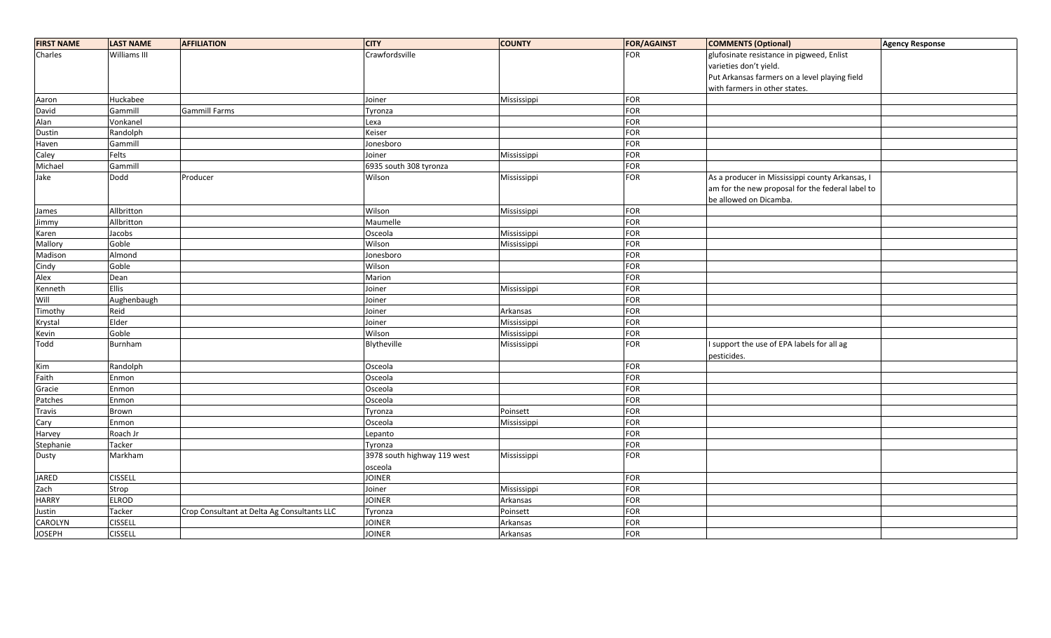| <b>FIRST NAME</b> | <b>LAST NAME</b> | <b>AFFILIATION</b>                          | <b>CITY</b>                 | <b>COUNTY</b> | <b>FOR/AGAINST</b> | <b>COMMENTS (Optional)</b>                       | <b>Agency Response</b> |
|-------------------|------------------|---------------------------------------------|-----------------------------|---------------|--------------------|--------------------------------------------------|------------------------|
| Charles           | Williams III     |                                             | Crawfordsville              |               | <b>FOR</b>         | glufosinate resistance in pigweed, Enlist        |                        |
|                   |                  |                                             |                             |               |                    | varieties don't yield.                           |                        |
|                   |                  |                                             |                             |               |                    | Put Arkansas farmers on a level playing field    |                        |
|                   |                  |                                             |                             |               |                    | with farmers in other states.                    |                        |
| Aaron             | Huckabee         |                                             | Joiner                      | Mississippi   | FOR                |                                                  |                        |
| David             | Gammill          | <b>Gammill Farms</b>                        | Tyronza                     |               | FOR                |                                                  |                        |
| Alan              | Vonkanel         |                                             | Lexa                        |               | FOR                |                                                  |                        |
| Dustin            | Randolph         |                                             | Keiser                      |               | FOR                |                                                  |                        |
| Haven             | Gammill          |                                             | Jonesboro                   |               | FOR                |                                                  |                        |
| Caley             | Felts            |                                             | Joiner                      | Mississippi   | FOR                |                                                  |                        |
| Michael           | Gammill          |                                             | 6935 south 308 tyronza      |               | FOR                |                                                  |                        |
| Jake              | Dodd             | Producer                                    | Wilson                      | Mississippi   | FOR                | As a producer in Mississippi county Arkansas, I  |                        |
|                   |                  |                                             |                             |               |                    | am for the new proposal for the federal label to |                        |
|                   |                  |                                             |                             |               |                    | be allowed on Dicamba.                           |                        |
| James             | Allbritton       |                                             | Wilson                      | Mississippi   | FOR                |                                                  |                        |
| Jimmy             | Allbritton       |                                             | Maumelle                    |               | FOR                |                                                  |                        |
| Karen             | Jacobs           |                                             | Osceola                     | Mississippi   | FOR                |                                                  |                        |
| Mallory           | Goble            |                                             | Wilson                      | Mississippi   | FOR                |                                                  |                        |
| Madison           | Almond           |                                             | Jonesboro                   |               | FOR                |                                                  |                        |
| Cindy             | Goble            |                                             | Wilson                      |               | FOR                |                                                  |                        |
| Alex              | Dean             |                                             | Marion                      |               | FOR                |                                                  |                        |
| Kenneth           | Ellis            |                                             | Joiner                      | Mississippi   | FOR                |                                                  |                        |
| Will              | Aughenbaugh      |                                             | Joiner                      |               | FOR                |                                                  |                        |
| Timothy           | Reid             |                                             | Joiner                      | Arkansas      | FOR                |                                                  |                        |
| Krystal           | Elder            |                                             | Joiner                      | Mississippi   | FOR                |                                                  |                        |
| Kevin             | Goble            |                                             | Wilson                      | Mississippi   | FOR                |                                                  |                        |
| Todd              | Burnham          |                                             | Blytheville                 | Mississippi   | <b>FOR</b>         | I support the use of EPA labels for all ag       |                        |
|                   |                  |                                             |                             |               |                    | pesticides.                                      |                        |
| Kim               | Randolph         |                                             | Osceola                     |               | FOR                |                                                  |                        |
| Faith             | Enmon            |                                             | Osceola                     |               | FOR                |                                                  |                        |
| Gracie            | Enmon            |                                             | Osceola                     |               | FOR                |                                                  |                        |
| Patches           | Enmon            |                                             | Osceola                     |               | FOR                |                                                  |                        |
| <b>Travis</b>     | Brown            |                                             | Tyronza                     | Poinsett      | FOR                |                                                  |                        |
| Cary              | Enmon            |                                             | Osceola                     | Mississippi   | <b>FOR</b>         |                                                  |                        |
| Harvey            | Roach Jr         |                                             | Lepanto                     |               | FOR                |                                                  |                        |
| Stephanie         | Tacker           |                                             | Tyronza                     |               | FOR                |                                                  |                        |
| Dusty             | Markham          |                                             | 3978 south highway 119 west | Mississippi   | <b>FOR</b>         |                                                  |                        |
|                   |                  |                                             | osceola                     |               |                    |                                                  |                        |
| <b>JARED</b>      | <b>CISSELL</b>   |                                             | <b>JOINER</b>               |               | FOR                |                                                  |                        |
| Zach              | Strop            |                                             | Joiner                      | Mississippi   | <b>FOR</b>         |                                                  |                        |
| <b>HARRY</b>      | <b>ELROD</b>     |                                             | <b>JOINER</b>               | Arkansas      | FOR                |                                                  |                        |
| Justin            | Tacker           | Crop Consultant at Delta Ag Consultants LLC | Tyronza                     | Poinsett      | FOR                |                                                  |                        |
| CAROLYN           | <b>CISSELL</b>   |                                             | <b>JOINER</b>               | Arkansas      | <b>FOR</b>         |                                                  |                        |
| <b>JOSEPH</b>     | <b>CISSELL</b>   |                                             | <b>JOINER</b>               | Arkansas      | FOR                |                                                  |                        |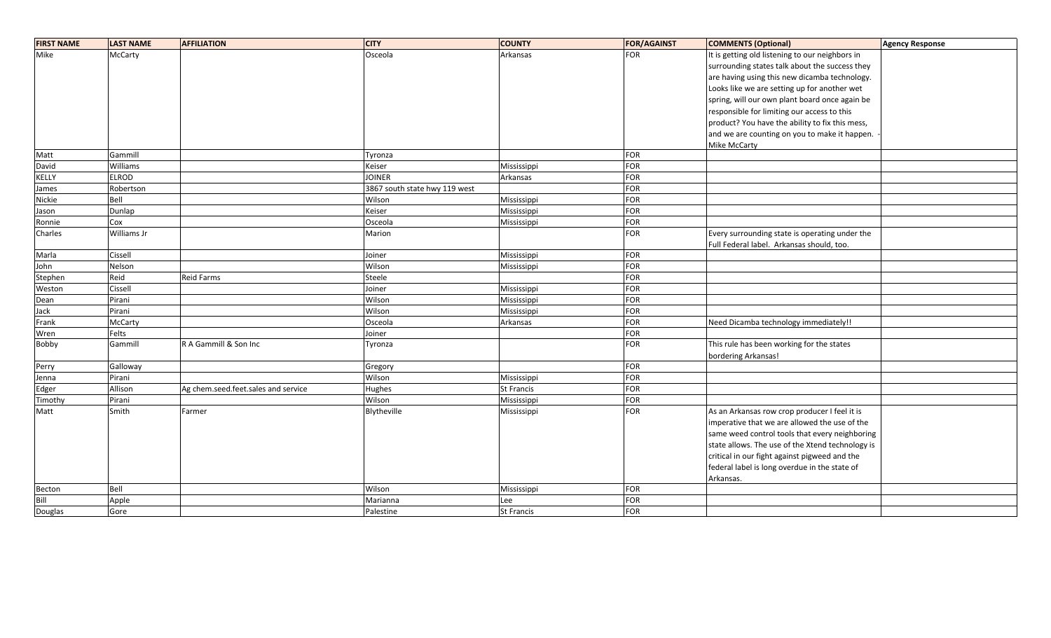| <b>FIRST NAME</b> | <b>LAST NAME</b> | <b>AFFILIATION</b>                  | <b>CITY</b>                   | <b>COUNTY</b>     | <b>FOR/AGAINST</b> | <b>COMMENTS (Optional)</b>                       | Agency Response |
|-------------------|------------------|-------------------------------------|-------------------------------|-------------------|--------------------|--------------------------------------------------|-----------------|
| Mike              | McCarty          |                                     | Osceola                       | Arkansas          | <b>FOR</b>         | It is getting old listening to our neighbors in  |                 |
|                   |                  |                                     |                               |                   |                    | surrounding states talk about the success they   |                 |
|                   |                  |                                     |                               |                   |                    | are having using this new dicamba technology.    |                 |
|                   |                  |                                     |                               |                   |                    | Looks like we are setting up for another wet     |                 |
|                   |                  |                                     |                               |                   |                    | spring, will our own plant board once again be   |                 |
|                   |                  |                                     |                               |                   |                    | responsible for limiting our access to this      |                 |
|                   |                  |                                     |                               |                   |                    | product? You have the ability to fix this mess,  |                 |
|                   |                  |                                     |                               |                   |                    | and we are counting on you to make it happen.    |                 |
|                   |                  |                                     |                               |                   |                    | Mike McCarty                                     |                 |
| Matt              | Gammill          |                                     | Tyronza                       |                   | FOR                |                                                  |                 |
| David             | Williams         |                                     | Keiser                        | Mississippi       | <b>FOR</b>         |                                                  |                 |
| <b>KELLY</b>      | <b>ELROD</b>     |                                     | <b>JOINER</b>                 | Arkansas          | <b>FOR</b>         |                                                  |                 |
| James             | Robertson        |                                     | 3867 south state hwy 119 west |                   | <b>FOR</b>         |                                                  |                 |
| Nickie            | Bell             |                                     | Wilson                        | Mississippi       | FOR                |                                                  |                 |
| Jason             | Dunlap           |                                     | Keiser                        | Mississippi       | <b>FOR</b>         |                                                  |                 |
| Ronnie            | Cox              |                                     | Osceola                       | Mississippi       | FOR                |                                                  |                 |
| Charles           | Williams Jr      |                                     | Marion                        |                   | FOR                | Every surrounding state is operating under the   |                 |
|                   |                  |                                     |                               |                   |                    | Full Federal label. Arkansas should, too.        |                 |
| Marla             | Cissell          |                                     | Joiner                        | Mississippi       | <b>FOR</b>         |                                                  |                 |
| John              | Nelson           |                                     | Wilson                        | Mississippi       | FOR                |                                                  |                 |
| Stephen           | Reid             | <b>Reid Farms</b>                   | Steele                        |                   | <b>FOR</b>         |                                                  |                 |
| Weston            | Cissell          |                                     | Joiner                        | Mississippi       | FOR                |                                                  |                 |
| Dean              | Pirani           |                                     | Wilson                        | Mississippi       | <b>FOR</b>         |                                                  |                 |
| Jack              | Pirani           |                                     | Wilson                        | Mississippi       | <b>FOR</b>         |                                                  |                 |
| Frank             | McCarty          |                                     | Osceola                       | Arkansas          | <b>FOR</b>         | Need Dicamba technology immediately!!            |                 |
| Wren              | Felts            |                                     | Joiner                        |                   | <b>FOR</b>         |                                                  |                 |
| Bobby             | Gammill          | R A Gammill & Son Inc               | Tyronza                       |                   | <b>FOR</b>         | This rule has been working for the states        |                 |
|                   |                  |                                     |                               |                   |                    | bordering Arkansas!                              |                 |
| Perry             | Galloway         |                                     | Gregory                       |                   | FOR                |                                                  |                 |
| Jenna             | Pirani           |                                     | Wilson                        | Mississippi       | FOR                |                                                  |                 |
| Edger             | Allison          | Ag chem.seed.feet.sales and service | Hughes                        | <b>St Francis</b> | <b>FOR</b>         |                                                  |                 |
| Timothy           | Pirani           |                                     | Wilson                        | Mississippi       | <b>FOR</b>         |                                                  |                 |
| Matt              | Smith            | Farmer                              | Blytheville                   | Mississippi       | FOR                | As an Arkansas row crop producer I feel it is    |                 |
|                   |                  |                                     |                               |                   |                    | imperative that we are allowed the use of the    |                 |
|                   |                  |                                     |                               |                   |                    | same weed control tools that every neighboring   |                 |
|                   |                  |                                     |                               |                   |                    | state allows. The use of the Xtend technology is |                 |
|                   |                  |                                     |                               |                   |                    | critical in our fight against pigweed and the    |                 |
|                   |                  |                                     |                               |                   |                    | federal label is long overdue in the state of    |                 |
|                   |                  |                                     |                               |                   |                    | Arkansas.                                        |                 |
| Becton            | Bell             |                                     | Wilson                        | Mississippi       | FOR                |                                                  |                 |
| Bill              | Apple            |                                     | Marianna                      | Lee               | <b>FOR</b>         |                                                  |                 |
| Douglas           | Gore             |                                     | Palestine                     | St Francis        | <b>FOR</b>         |                                                  |                 |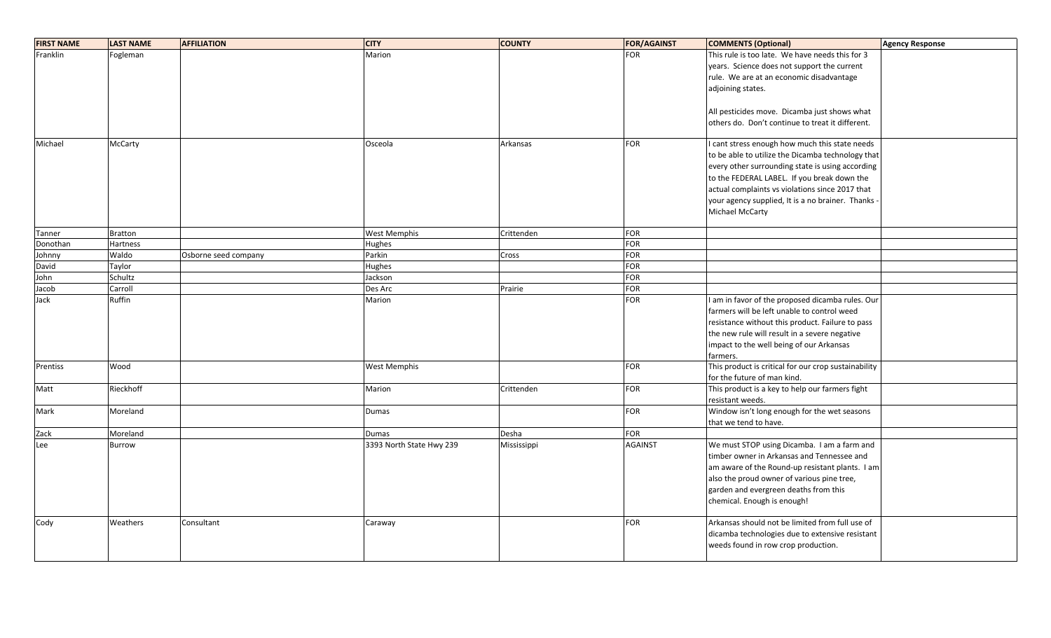| <b>FIRST NAME</b> | <b>LAST NAME</b> | <b>AFFILIATION</b>   | <b>CITY</b>              | <b>COUNTY</b> | <b>FOR/AGAINST</b> | <b>COMMENTS (Optional)</b>                           | Agency Response |
|-------------------|------------------|----------------------|--------------------------|---------------|--------------------|------------------------------------------------------|-----------------|
| Franklin          | Fogleman         |                      | Marion                   |               | <b>FOR</b>         | This rule is too late. We have needs this for 3      |                 |
|                   |                  |                      |                          |               |                    | years. Science does not support the current          |                 |
|                   |                  |                      |                          |               |                    | rule. We are at an economic disadvantage             |                 |
|                   |                  |                      |                          |               |                    | adjoining states.                                    |                 |
|                   |                  |                      |                          |               |                    |                                                      |                 |
|                   |                  |                      |                          |               |                    | All pesticides move. Dicamba just shows what         |                 |
|                   |                  |                      |                          |               |                    | others do. Don't continue to treat it different.     |                 |
|                   |                  |                      |                          |               |                    |                                                      |                 |
| Michael           | McCarty          |                      | Osceola                  | Arkansas      | <b>FOR</b>         | I cant stress enough how much this state needs       |                 |
|                   |                  |                      |                          |               |                    | to be able to utilize the Dicamba technology that    |                 |
|                   |                  |                      |                          |               |                    | every other surrounding state is using according     |                 |
|                   |                  |                      |                          |               |                    | to the FEDERAL LABEL. If you break down the          |                 |
|                   |                  |                      |                          |               |                    | actual complaints vs violations since 2017 that      |                 |
|                   |                  |                      |                          |               |                    | your agency supplied, It is a no brainer. Thanks -   |                 |
|                   |                  |                      |                          |               |                    | Michael McCarty                                      |                 |
|                   |                  |                      |                          |               |                    |                                                      |                 |
| Tanner            | <b>Bratton</b>   |                      | West Memphis             | Crittenden    | <b>FOR</b>         |                                                      |                 |
| Donothan          | <b>Hartness</b>  |                      | Hughes                   |               | <b>FOR</b>         |                                                      |                 |
| Johnny            | Waldo            | Osborne seed company | Parkin                   | Cross         | <b>FOR</b>         |                                                      |                 |
| David             | Taylor           |                      | Hughes                   |               | <b>FOR</b>         |                                                      |                 |
| John              | Schultz          |                      | Jackson                  |               | <b>FOR</b>         |                                                      |                 |
| Jacob             | Carroll          |                      | Des Arc                  | Prairie       | <b>FOR</b>         |                                                      |                 |
| Jack              | Ruffin           |                      | Marion                   |               | <b>FOR</b>         | I am in favor of the proposed dicamba rules. Our     |                 |
|                   |                  |                      |                          |               |                    | farmers will be left unable to control weed          |                 |
|                   |                  |                      |                          |               |                    | resistance without this product. Failure to pass     |                 |
|                   |                  |                      |                          |               |                    | the new rule will result in a severe negative        |                 |
|                   |                  |                      |                          |               |                    | impact to the well being of our Arkansas             |                 |
|                   |                  |                      |                          |               |                    | farmers.                                             |                 |
| Prentiss          | Wood             |                      | West Memphis             |               | <b>FOR</b>         | This product is critical for our crop sustainability |                 |
|                   |                  |                      |                          |               |                    | for the future of man kind.                          |                 |
| Matt              | Rieckhoff        |                      | Marion                   | Crittenden    | <b>FOR</b>         | This product is a key to help our farmers fight      |                 |
|                   |                  |                      |                          |               |                    | resistant weeds.                                     |                 |
| Mark              | Moreland         |                      | <b>Dumas</b>             |               | <b>FOR</b>         | Window isn't long enough for the wet seasons         |                 |
|                   |                  |                      |                          |               |                    | that we tend to have.                                |                 |
| Zack              | Moreland         |                      | <b>Dumas</b>             | Desha         | <b>FOR</b>         |                                                      |                 |
| Lee               | <b>Burrow</b>    |                      | 3393 North State Hwy 239 | Mississippi   | <b>AGAINST</b>     | We must STOP using Dicamba. I am a farm and          |                 |
|                   |                  |                      |                          |               |                    | timber owner in Arkansas and Tennessee and           |                 |
|                   |                  |                      |                          |               |                    | am aware of the Round-up resistant plants. I am      |                 |
|                   |                  |                      |                          |               |                    | also the proud owner of various pine tree,           |                 |
|                   |                  |                      |                          |               |                    | garden and evergreen deaths from this                |                 |
|                   |                  |                      |                          |               |                    | chemical. Enough is enough!                          |                 |
|                   |                  |                      |                          |               | <b>FOR</b>         | Arkansas should not be limited from full use of      |                 |
| Cody              | Weathers         | Consultant           | Caraway                  |               |                    | dicamba technologies due to extensive resistant      |                 |
|                   |                  |                      |                          |               |                    | weeds found in row crop production.                  |                 |
|                   |                  |                      |                          |               |                    |                                                      |                 |
|                   |                  |                      |                          |               |                    |                                                      |                 |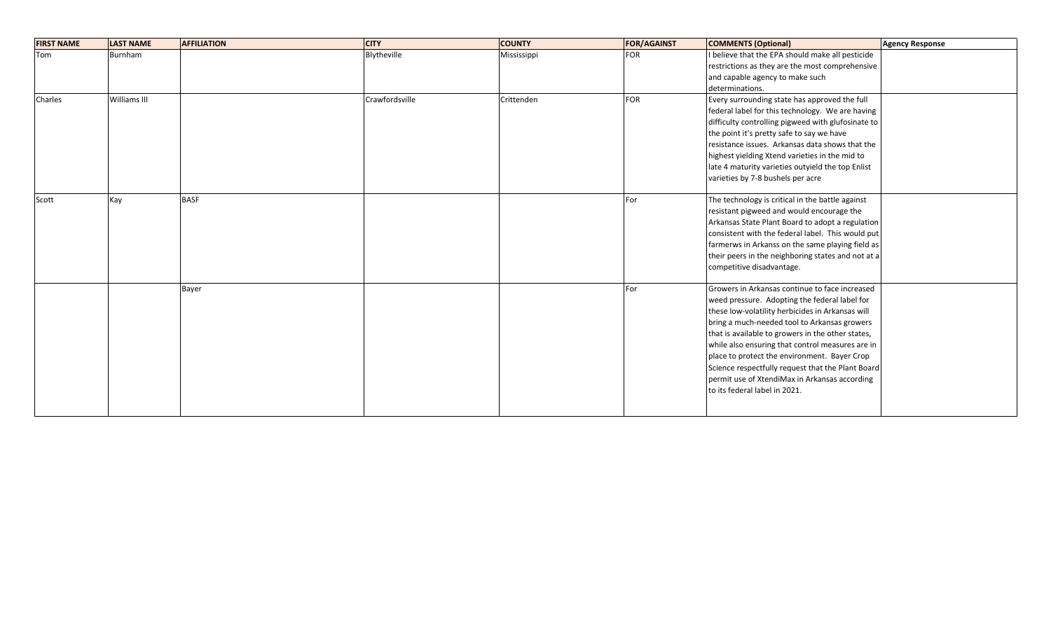| <b>FIRST NAME</b> | <b>LAST NAME</b> | <b>AFFILIATION</b> | <b>CITY</b>    | <b>COUNTY</b> | <b>FOR/AGAINST</b> | <b>COMMENTS (Optional)</b>                         | <b>Agency Response</b> |
|-------------------|------------------|--------------------|----------------|---------------|--------------------|----------------------------------------------------|------------------------|
| Tom               | Burnham          |                    | Blytheville    | Mississippi   | <b>FOR</b>         | I believe that the EPA should make all pesticide   |                        |
|                   |                  |                    |                |               |                    | restrictions as they are the most comprehensive    |                        |
|                   |                  |                    |                |               |                    | and capable agency to make such                    |                        |
|                   |                  |                    |                |               |                    | determinations.                                    |                        |
| Charles           | Williams III     |                    | Crawfordsville | Crittenden    | <b>FOR</b>         | Every surrounding state has approved the full      |                        |
|                   |                  |                    |                |               |                    | federal label for this technology. We are having   |                        |
|                   |                  |                    |                |               |                    | difficulty controlling pigweed with glufosinate to |                        |
|                   |                  |                    |                |               |                    | the point it's pretty safe to say we have          |                        |
|                   |                  |                    |                |               |                    | resistance issues. Arkansas data shows that the    |                        |
|                   |                  |                    |                |               |                    | highest yielding Xtend varieties in the mid to     |                        |
|                   |                  |                    |                |               |                    | late 4 maturity varieties outyield the top Enlist  |                        |
|                   |                  |                    |                |               |                    | varieties by 7-8 bushels per acre                  |                        |
| Scott             | Kay              | <b>BASF</b>        |                |               | For                | The technology is critical in the battle against   |                        |
|                   |                  |                    |                |               |                    | resistant pigweed and would encourage the          |                        |
|                   |                  |                    |                |               |                    | Arkansas State Plant Board to adopt a regulation   |                        |
|                   |                  |                    |                |               |                    | consistent with the federal label. This would put  |                        |
|                   |                  |                    |                |               |                    | farmerws in Arkanss on the same playing field as   |                        |
|                   |                  |                    |                |               |                    | their peers in the neighboring states and not at a |                        |
|                   |                  |                    |                |               |                    | competitive disadvantage.                          |                        |
|                   |                  | Bayer              |                |               | For                | Growers in Arkansas continue to face increased     |                        |
|                   |                  |                    |                |               |                    | weed pressure. Adopting the federal label for      |                        |
|                   |                  |                    |                |               |                    | these low-volatility herbicides in Arkansas will   |                        |
|                   |                  |                    |                |               |                    | bring a much-needed tool to Arkansas growers       |                        |
|                   |                  |                    |                |               |                    | that is available to growers in the other states,  |                        |
|                   |                  |                    |                |               |                    | while also ensuring that control measures are in   |                        |
|                   |                  |                    |                |               |                    | place to protect the environment. Bayer Crop       |                        |
|                   |                  |                    |                |               |                    | Science respectfully request that the Plant Board  |                        |
|                   |                  |                    |                |               |                    | permit use of XtendiMax in Arkansas according      |                        |
|                   |                  |                    |                |               |                    | to its federal label in 2021.                      |                        |
|                   |                  |                    |                |               |                    |                                                    |                        |
|                   |                  |                    |                |               |                    |                                                    |                        |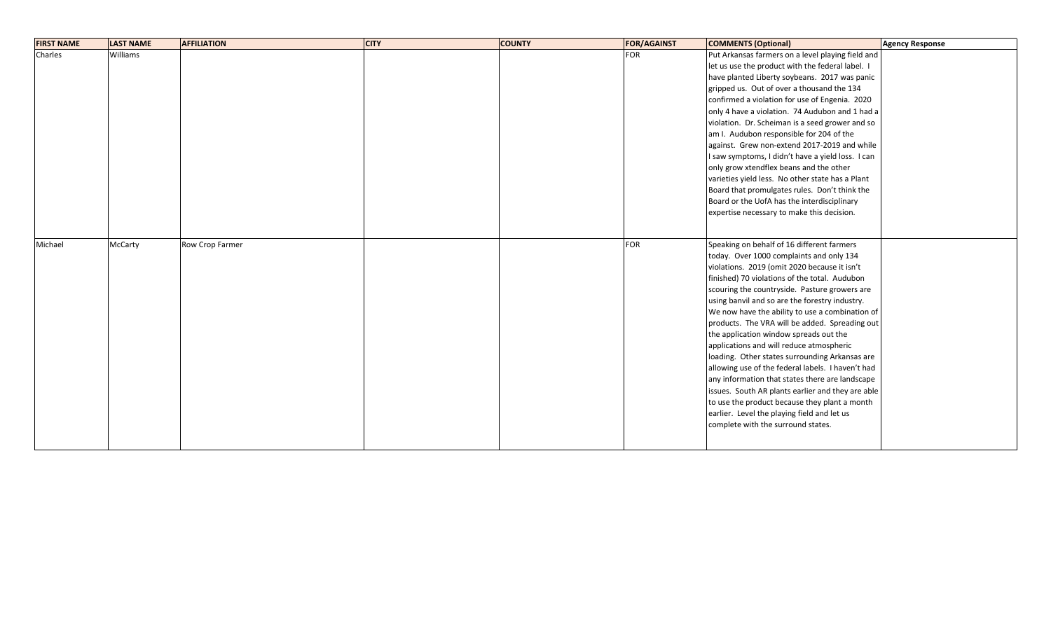| <b>FIRST NAME</b> | <b>LAST NAME</b> | <b>AFFILIATION</b> | <b>CITY</b> | <b>COUNTY</b> | <b>FOR/AGAINST</b> | <b>COMMENTS (Optional)</b>                        | Agency Response |
|-------------------|------------------|--------------------|-------------|---------------|--------------------|---------------------------------------------------|-----------------|
| Charles           | Williams         |                    |             |               | <b>FOR</b>         | Put Arkansas farmers on a level playing field and |                 |
|                   |                  |                    |             |               |                    | let us use the product with the federal label. I  |                 |
|                   |                  |                    |             |               |                    | have planted Liberty soybeans. 2017 was panic     |                 |
|                   |                  |                    |             |               |                    | gripped us. Out of over a thousand the 134        |                 |
|                   |                  |                    |             |               |                    | confirmed a violation for use of Engenia. 2020    |                 |
|                   |                  |                    |             |               |                    | only 4 have a violation. 74 Audubon and 1 had a   |                 |
|                   |                  |                    |             |               |                    | violation. Dr. Scheiman is a seed grower and so   |                 |
|                   |                  |                    |             |               |                    | am I. Audubon responsible for 204 of the          |                 |
|                   |                  |                    |             |               |                    | against. Grew non-extend 2017-2019 and while      |                 |
|                   |                  |                    |             |               |                    | I saw symptoms, I didn't have a yield loss. I can |                 |
|                   |                  |                    |             |               |                    | only grow xtendflex beans and the other           |                 |
|                   |                  |                    |             |               |                    | varieties yield less. No other state has a Plant  |                 |
|                   |                  |                    |             |               |                    | Board that promulgates rules. Don't think the     |                 |
|                   |                  |                    |             |               |                    | Board or the UofA has the interdisciplinary       |                 |
|                   |                  |                    |             |               |                    | expertise necessary to make this decision.        |                 |
|                   |                  |                    |             |               |                    |                                                   |                 |
|                   |                  |                    |             |               |                    |                                                   |                 |
| Michael           | McCarty          | Row Crop Farmer    |             |               | <b>FOR</b>         | Speaking on behalf of 16 different farmers        |                 |
|                   |                  |                    |             |               |                    | today. Over 1000 complaints and only 134          |                 |
|                   |                  |                    |             |               |                    | violations. 2019 (omit 2020 because it isn't      |                 |
|                   |                  |                    |             |               |                    | finished) 70 violations of the total. Audubon     |                 |
|                   |                  |                    |             |               |                    | scouring the countryside. Pasture growers are     |                 |
|                   |                  |                    |             |               |                    | using banvil and so are the forestry industry.    |                 |
|                   |                  |                    |             |               |                    | We now have the ability to use a combination of   |                 |
|                   |                  |                    |             |               |                    | products. The VRA will be added. Spreading out    |                 |
|                   |                  |                    |             |               |                    | the application window spreads out the            |                 |
|                   |                  |                    |             |               |                    | applications and will reduce atmospheric          |                 |
|                   |                  |                    |             |               |                    | loading. Other states surrounding Arkansas are    |                 |
|                   |                  |                    |             |               |                    | allowing use of the federal labels. I haven't had |                 |
|                   |                  |                    |             |               |                    | any information that states there are landscape   |                 |
|                   |                  |                    |             |               |                    | issues. South AR plants earlier and they are able |                 |
|                   |                  |                    |             |               |                    | to use the product because they plant a month     |                 |
|                   |                  |                    |             |               |                    | earlier. Level the playing field and let us       |                 |
|                   |                  |                    |             |               |                    | complete with the surround states.                |                 |
|                   |                  |                    |             |               |                    |                                                   |                 |
|                   |                  |                    |             |               |                    |                                                   |                 |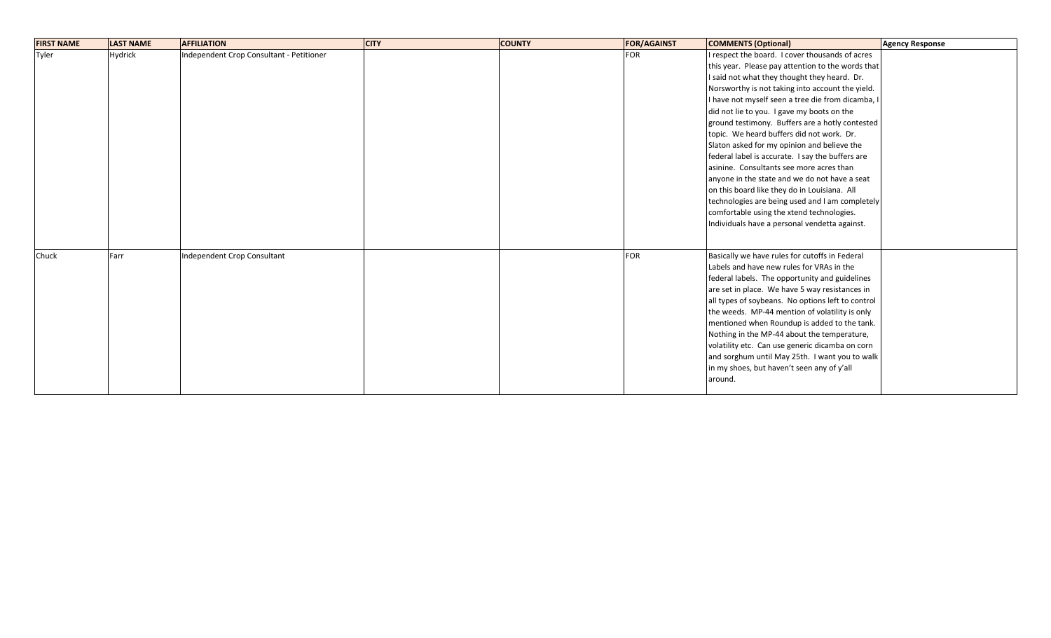| <b>FIRST NAME</b> | <b>LAST NAME</b> | <b>AFFILIATION</b>                       | <b>CITY</b> | <b>COUNTY</b> | <b>FOR/AGAINST</b> | <b>COMMENTS (Optional)</b>                        | <b>Agency Response</b> |
|-------------------|------------------|------------------------------------------|-------------|---------------|--------------------|---------------------------------------------------|------------------------|
| Tyler             | Hydrick          | Independent Crop Consultant - Petitioner |             |               | <b>FOR</b>         | I respect the board. I cover thousands of acres   |                        |
|                   |                  |                                          |             |               |                    | this year. Please pay attention to the words that |                        |
|                   |                  |                                          |             |               |                    | I said not what they thought they heard. Dr.      |                        |
|                   |                  |                                          |             |               |                    | Norsworthy is not taking into account the yield.  |                        |
|                   |                  |                                          |             |               |                    | I have not myself seen a tree die from dicamba, I |                        |
|                   |                  |                                          |             |               |                    | did not lie to you. I gave my boots on the        |                        |
|                   |                  |                                          |             |               |                    | ground testimony. Buffers are a hotly contested   |                        |
|                   |                  |                                          |             |               |                    | topic. We heard buffers did not work. Dr.         |                        |
|                   |                  |                                          |             |               |                    | Slaton asked for my opinion and believe the       |                        |
|                   |                  |                                          |             |               |                    | federal label is accurate. I say the buffers are  |                        |
|                   |                  |                                          |             |               |                    | asinine. Consultants see more acres than          |                        |
|                   |                  |                                          |             |               |                    | anyone in the state and we do not have a seat     |                        |
|                   |                  |                                          |             |               |                    | on this board like they do in Louisiana. All      |                        |
|                   |                  |                                          |             |               |                    | technologies are being used and I am completely   |                        |
|                   |                  |                                          |             |               |                    | comfortable using the xtend technologies.         |                        |
|                   |                  |                                          |             |               |                    | Individuals have a personal vendetta against.     |                        |
|                   |                  |                                          |             |               |                    |                                                   |                        |
| Chuck             | Farr             | Independent Crop Consultant              |             |               | <b>FOR</b>         | Basically we have rules for cutoffs in Federal    |                        |
|                   |                  |                                          |             |               |                    | Labels and have new rules for VRAs in the         |                        |
|                   |                  |                                          |             |               |                    | federal labels. The opportunity and guidelines    |                        |
|                   |                  |                                          |             |               |                    | are set in place. We have 5 way resistances in    |                        |
|                   |                  |                                          |             |               |                    | all types of soybeans. No options left to control |                        |
|                   |                  |                                          |             |               |                    | the weeds. MP-44 mention of volatility is only    |                        |
|                   |                  |                                          |             |               |                    | mentioned when Roundup is added to the tank.      |                        |
|                   |                  |                                          |             |               |                    | Nothing in the MP-44 about the temperature,       |                        |
|                   |                  |                                          |             |               |                    | volatility etc. Can use generic dicamba on corn   |                        |
|                   |                  |                                          |             |               |                    | and sorghum until May 25th. I want you to walk    |                        |
|                   |                  |                                          |             |               |                    | in my shoes, but haven't seen any of y'all        |                        |
|                   |                  |                                          |             |               |                    | around.                                           |                        |
|                   |                  |                                          |             |               |                    |                                                   |                        |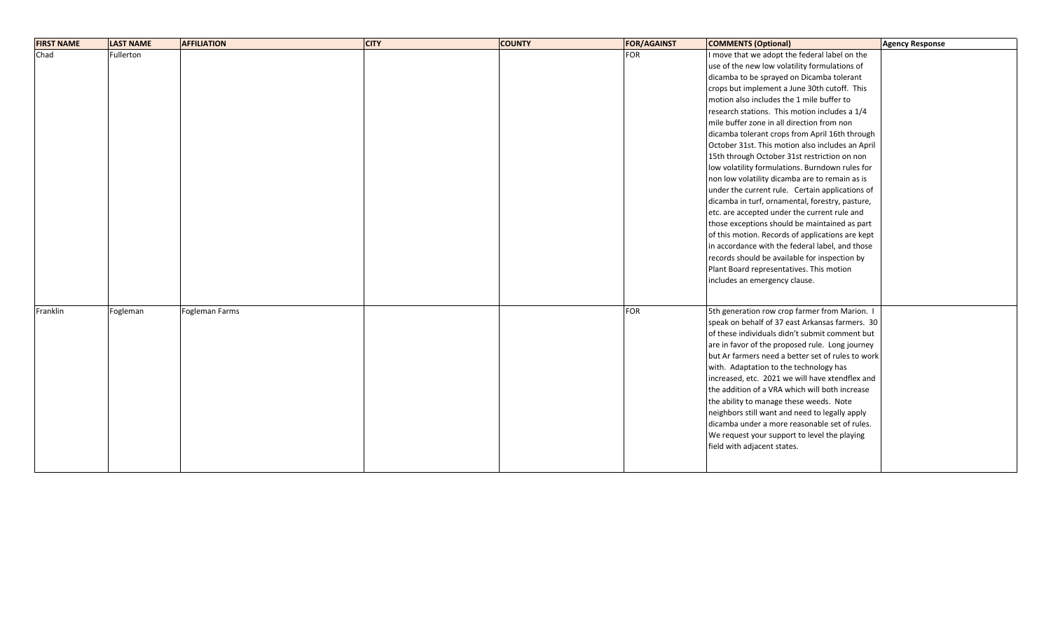| <b>FIRST NAME</b> | <b>LAST NAME</b> | <b>AFFILIATION</b> | <b>CITY</b> | <b>COUNTY</b> | <b>FOR/AGAINST</b> | <b>COMMENTS (Optional)</b>                        | <b>Agency Response</b> |
|-------------------|------------------|--------------------|-------------|---------------|--------------------|---------------------------------------------------|------------------------|
| Chad              | Fullerton        |                    |             |               | <b>FOR</b>         | I move that we adopt the federal label on the     |                        |
|                   |                  |                    |             |               |                    | use of the new low volatility formulations of     |                        |
|                   |                  |                    |             |               |                    | dicamba to be sprayed on Dicamba tolerant         |                        |
|                   |                  |                    |             |               |                    | crops but implement a June 30th cutoff. This      |                        |
|                   |                  |                    |             |               |                    | motion also includes the 1 mile buffer to         |                        |
|                   |                  |                    |             |               |                    | research stations. This motion includes a 1/4     |                        |
|                   |                  |                    |             |               |                    | mile buffer zone in all direction from non        |                        |
|                   |                  |                    |             |               |                    | dicamba tolerant crops from April 16th through    |                        |
|                   |                  |                    |             |               |                    | October 31st. This motion also includes an April  |                        |
|                   |                  |                    |             |               |                    | 15th through October 31st restriction on non      |                        |
|                   |                  |                    |             |               |                    | low volatility formulations. Burndown rules for   |                        |
|                   |                  |                    |             |               |                    | non low volatility dicamba are to remain as is    |                        |
|                   |                  |                    |             |               |                    | under the current rule. Certain applications of   |                        |
|                   |                  |                    |             |               |                    | dicamba in turf, ornamental, forestry, pasture,   |                        |
|                   |                  |                    |             |               |                    | etc. are accepted under the current rule and      |                        |
|                   |                  |                    |             |               |                    | those exceptions should be maintained as part     |                        |
|                   |                  |                    |             |               |                    | of this motion. Records of applications are kept  |                        |
|                   |                  |                    |             |               |                    | in accordance with the federal label, and those   |                        |
|                   |                  |                    |             |               |                    | records should be available for inspection by     |                        |
|                   |                  |                    |             |               |                    | Plant Board representatives. This motion          |                        |
|                   |                  |                    |             |               |                    | includes an emergency clause.                     |                        |
|                   |                  |                    |             |               |                    |                                                   |                        |
| Franklin          | Fogleman         | Fogleman Farms     |             |               | <b>FOR</b>         | 5th generation row crop farmer from Marion. I     |                        |
|                   |                  |                    |             |               |                    | speak on behalf of 37 east Arkansas farmers. 30   |                        |
|                   |                  |                    |             |               |                    | of these individuals didn't submit comment but    |                        |
|                   |                  |                    |             |               |                    | are in favor of the proposed rule. Long journey   |                        |
|                   |                  |                    |             |               |                    | but Ar farmers need a better set of rules to work |                        |
|                   |                  |                    |             |               |                    | with. Adaptation to the technology has            |                        |
|                   |                  |                    |             |               |                    | increased, etc. 2021 we will have xtendflex and   |                        |
|                   |                  |                    |             |               |                    | the addition of a VRA which will both increase    |                        |
|                   |                  |                    |             |               |                    | the ability to manage these weeds. Note           |                        |
|                   |                  |                    |             |               |                    | neighbors still want and need to legally apply    |                        |
|                   |                  |                    |             |               |                    | dicamba under a more reasonable set of rules.     |                        |
|                   |                  |                    |             |               |                    | We request your support to level the playing      |                        |
|                   |                  |                    |             |               |                    | field with adjacent states.                       |                        |
|                   |                  |                    |             |               |                    |                                                   |                        |
|                   |                  |                    |             |               |                    |                                                   |                        |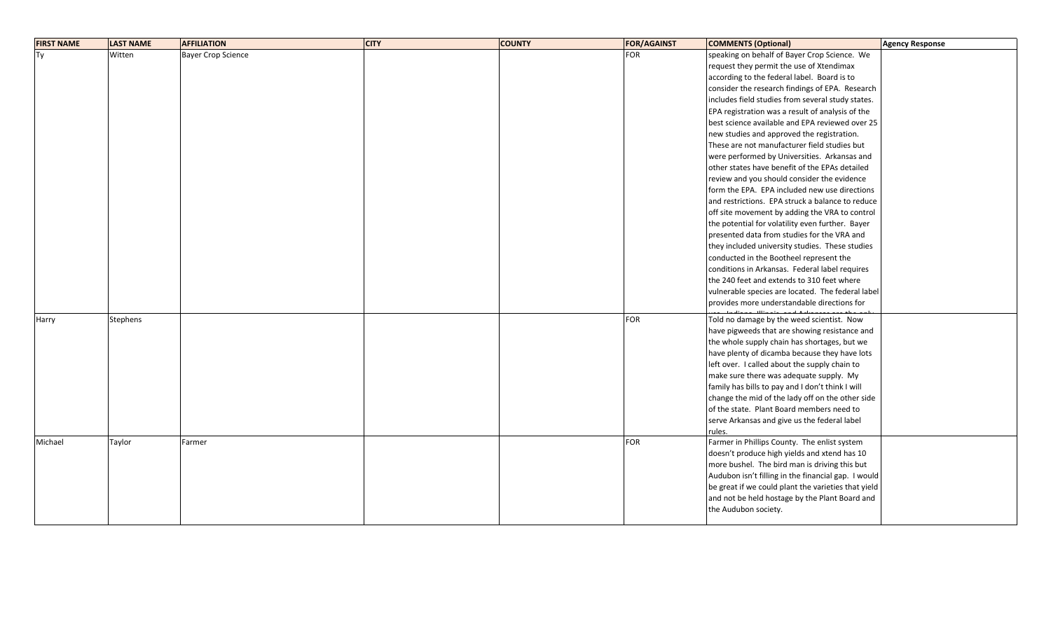| <b>FIRST NAME</b> | <b>LAST NAME</b> | <b>AFFILIATION</b>        | <b>CITY</b> | <b>COUNTY</b> | <b>FOR/AGAINST</b> | <b>COMMENTS (Optional)</b>                          | <b>Agency Response</b> |
|-------------------|------------------|---------------------------|-------------|---------------|--------------------|-----------------------------------------------------|------------------------|
| Тy                | Witten           | <b>Bayer Crop Science</b> |             |               | <b>FOR</b>         | speaking on behalf of Bayer Crop Science. We        |                        |
|                   |                  |                           |             |               |                    | request they permit the use of Xtendimax            |                        |
|                   |                  |                           |             |               |                    | according to the federal label. Board is to         |                        |
|                   |                  |                           |             |               |                    | consider the research findings of EPA. Research     |                        |
|                   |                  |                           |             |               |                    | includes field studies from several study states.   |                        |
|                   |                  |                           |             |               |                    | EPA registration was a result of analysis of the    |                        |
|                   |                  |                           |             |               |                    | best science available and EPA reviewed over 25     |                        |
|                   |                  |                           |             |               |                    | new studies and approved the registration.          |                        |
|                   |                  |                           |             |               |                    | These are not manufacturer field studies but        |                        |
|                   |                  |                           |             |               |                    | were performed by Universities. Arkansas and        |                        |
|                   |                  |                           |             |               |                    | other states have benefit of the EPAs detailed      |                        |
|                   |                  |                           |             |               |                    | review and you should consider the evidence         |                        |
|                   |                  |                           |             |               |                    | form the EPA. EPA included new use directions       |                        |
|                   |                  |                           |             |               |                    | and restrictions. EPA struck a balance to reduce    |                        |
|                   |                  |                           |             |               |                    | off site movement by adding the VRA to control      |                        |
|                   |                  |                           |             |               |                    | the potential for volatility even further. Bayer    |                        |
|                   |                  |                           |             |               |                    | presented data from studies for the VRA and         |                        |
|                   |                  |                           |             |               |                    | they included university studies. These studies     |                        |
|                   |                  |                           |             |               |                    | conducted in the Bootheel represent the             |                        |
|                   |                  |                           |             |               |                    | conditions in Arkansas. Federal label requires      |                        |
|                   |                  |                           |             |               |                    | the 240 feet and extends to 310 feet where          |                        |
|                   |                  |                           |             |               |                    | vulnerable species are located. The federal label   |                        |
|                   |                  |                           |             |               |                    | provides more understandable directions for         |                        |
| Harry             | <b>Stephens</b>  |                           |             |               | <b>FOR</b>         | Told no damage by the weed scientist. Now           |                        |
|                   |                  |                           |             |               |                    | have pigweeds that are showing resistance and       |                        |
|                   |                  |                           |             |               |                    | the whole supply chain has shortages, but we        |                        |
|                   |                  |                           |             |               |                    | have plenty of dicamba because they have lots       |                        |
|                   |                  |                           |             |               |                    | left over. I called about the supply chain to       |                        |
|                   |                  |                           |             |               |                    | make sure there was adequate supply. My             |                        |
|                   |                  |                           |             |               |                    | family has bills to pay and I don't think I will    |                        |
|                   |                  |                           |             |               |                    | change the mid of the lady off on the other side    |                        |
|                   |                  |                           |             |               |                    | of the state. Plant Board members need to           |                        |
|                   |                  |                           |             |               |                    | serve Arkansas and give us the federal label        |                        |
|                   |                  |                           |             |               |                    | rules.                                              |                        |
| Michael           | Taylor           | Farmer                    |             |               | <b>FOR</b>         | Farmer in Phillips County. The enlist system        |                        |
|                   |                  |                           |             |               |                    | doesn't produce high yields and xtend has 10        |                        |
|                   |                  |                           |             |               |                    | more bushel. The bird man is driving this but       |                        |
|                   |                  |                           |             |               |                    | Audubon isn't filling in the financial gap. I would |                        |
|                   |                  |                           |             |               |                    | be great if we could plant the varieties that yield |                        |
|                   |                  |                           |             |               |                    | and not be held hostage by the Plant Board and      |                        |
|                   |                  |                           |             |               |                    | the Audubon society.                                |                        |
|                   |                  |                           |             |               |                    |                                                     |                        |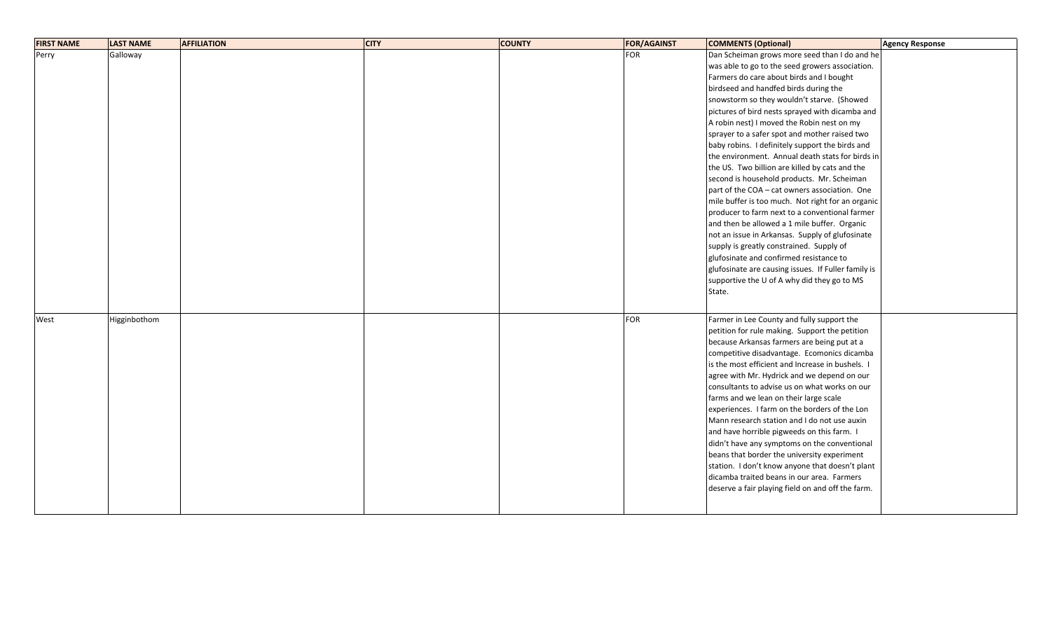| <b>FIRST NAME</b> | <b>LAST NAME</b> | <b>AFFILIATION</b> | <b>CITY</b> | <b>COUNTY</b> | <b>FOR/AGAINST</b> | <b>COMMENTS (Optional)</b>                          | Agency Response |
|-------------------|------------------|--------------------|-------------|---------------|--------------------|-----------------------------------------------------|-----------------|
| Perry             | Galloway         |                    |             |               | <b>FOR</b>         | Dan Scheiman grows more seed than I do and he       |                 |
|                   |                  |                    |             |               |                    | was able to go to the seed growers association.     |                 |
|                   |                  |                    |             |               |                    | Farmers do care about birds and I bought            |                 |
|                   |                  |                    |             |               |                    | birdseed and handfed birds during the               |                 |
|                   |                  |                    |             |               |                    | snowstorm so they wouldn't starve. (Showed          |                 |
|                   |                  |                    |             |               |                    | pictures of bird nests sprayed with dicamba and     |                 |
|                   |                  |                    |             |               |                    | A robin nest) I moved the Robin nest on my          |                 |
|                   |                  |                    |             |               |                    | sprayer to a safer spot and mother raised two       |                 |
|                   |                  |                    |             |               |                    | baby robins. I definitely support the birds and     |                 |
|                   |                  |                    |             |               |                    | the environment. Annual death stats for birds in    |                 |
|                   |                  |                    |             |               |                    | the US. Two billion are killed by cats and the      |                 |
|                   |                  |                    |             |               |                    | second is household products. Mr. Scheiman          |                 |
|                   |                  |                    |             |               |                    | part of the COA - cat owners association. One       |                 |
|                   |                  |                    |             |               |                    | mile buffer is too much. Not right for an organic   |                 |
|                   |                  |                    |             |               |                    | producer to farm next to a conventional farmer      |                 |
|                   |                  |                    |             |               |                    | and then be allowed a 1 mile buffer. Organic        |                 |
|                   |                  |                    |             |               |                    | not an issue in Arkansas. Supply of glufosinate     |                 |
|                   |                  |                    |             |               |                    | supply is greatly constrained. Supply of            |                 |
|                   |                  |                    |             |               |                    | glufosinate and confirmed resistance to             |                 |
|                   |                  |                    |             |               |                    | glufosinate are causing issues. If Fuller family is |                 |
|                   |                  |                    |             |               |                    | supportive the U of A why did they go to MS         |                 |
|                   |                  |                    |             |               |                    | State.                                              |                 |
|                   |                  |                    |             |               |                    |                                                     |                 |
| West              | Higginbothom     |                    |             |               | <b>FOR</b>         | Farmer in Lee County and fully support the          |                 |
|                   |                  |                    |             |               |                    | petition for rule making. Support the petition      |                 |
|                   |                  |                    |             |               |                    | because Arkansas farmers are being put at a         |                 |
|                   |                  |                    |             |               |                    | competitive disadvantage. Ecomonics dicamba         |                 |
|                   |                  |                    |             |               |                    | is the most efficient and Increase in bushels. I    |                 |
|                   |                  |                    |             |               |                    | agree with Mr. Hydrick and we depend on our         |                 |
|                   |                  |                    |             |               |                    | consultants to advise us on what works on our       |                 |
|                   |                  |                    |             |               |                    | farms and we lean on their large scale              |                 |
|                   |                  |                    |             |               |                    | experiences. I farm on the borders of the Lon       |                 |
|                   |                  |                    |             |               |                    | Mann research station and I do not use auxin        |                 |
|                   |                  |                    |             |               |                    | and have horrible pigweeds on this farm. I          |                 |
|                   |                  |                    |             |               |                    | didn't have any symptoms on the conventional        |                 |
|                   |                  |                    |             |               |                    | beans that border the university experiment         |                 |
|                   |                  |                    |             |               |                    | station. I don't know anyone that doesn't plant     |                 |
|                   |                  |                    |             |               |                    | dicamba traited beans in our area. Farmers          |                 |
|                   |                  |                    |             |               |                    | deserve a fair playing field on and off the farm.   |                 |
|                   |                  |                    |             |               |                    |                                                     |                 |
|                   |                  |                    |             |               |                    |                                                     |                 |